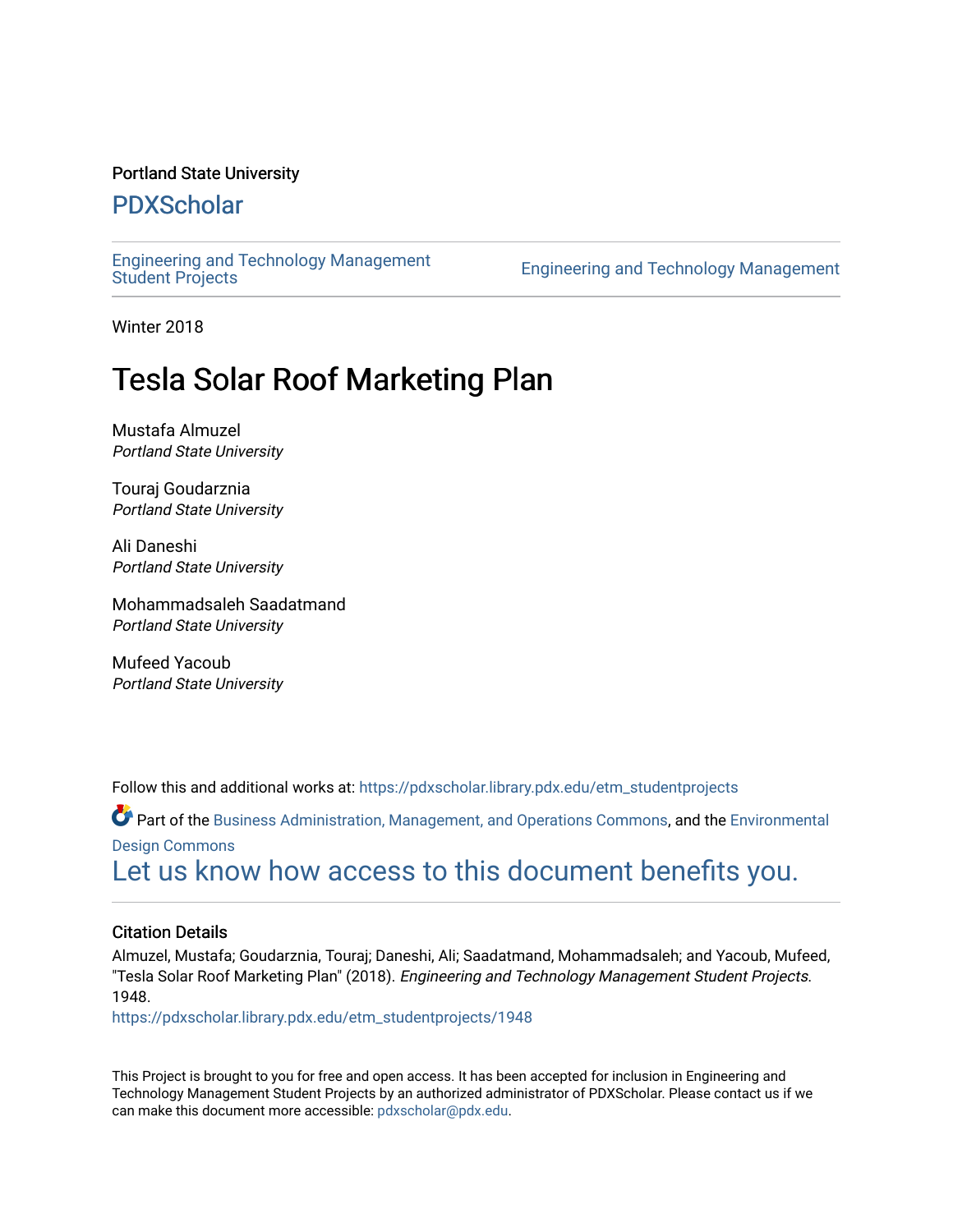#### Portland State University

# [PDXScholar](https://pdxscholar.library.pdx.edu/)

[Engineering and Technology Management](https://pdxscholar.library.pdx.edu/etm_studentprojects) 

Engineering and Technology Management

Winter 2018

# Tesla Solar Roof Marketing Plan

Mustafa Almuzel Portland State University

Touraj Goudarznia Portland State University

Ali Daneshi Portland State University

Mohammadsaleh Saadatmand Portland State University

Mufeed Yacoub Portland State University

Follow this and additional works at: [https://pdxscholar.library.pdx.edu/etm\\_studentprojects](https://pdxscholar.library.pdx.edu/etm_studentprojects?utm_source=pdxscholar.library.pdx.edu%2Fetm_studentprojects%2F1948&utm_medium=PDF&utm_campaign=PDFCoverPages) 

Part of the [Business Administration, Management, and Operations Commons](http://network.bepress.com/hgg/discipline/623?utm_source=pdxscholar.library.pdx.edu%2Fetm_studentprojects%2F1948&utm_medium=PDF&utm_campaign=PDFCoverPages), and the [Environmental](http://network.bepress.com/hgg/discipline/777?utm_source=pdxscholar.library.pdx.edu%2Fetm_studentprojects%2F1948&utm_medium=PDF&utm_campaign=PDFCoverPages) [Design Commons](http://network.bepress.com/hgg/discipline/777?utm_source=pdxscholar.library.pdx.edu%2Fetm_studentprojects%2F1948&utm_medium=PDF&utm_campaign=PDFCoverPages)

[Let us know how access to this document benefits you.](http://library.pdx.edu/services/pdxscholar-services/pdxscholar-feedback/?ref=https://pdxscholar.library.pdx.edu/etm_studentprojects/1948) 

#### Citation Details

Almuzel, Mustafa; Goudarznia, Touraj; Daneshi, Ali; Saadatmand, Mohammadsaleh; and Yacoub, Mufeed, "Tesla Solar Roof Marketing Plan" (2018). Engineering and Technology Management Student Projects. 1948.

[https://pdxscholar.library.pdx.edu/etm\\_studentprojects/1948](https://pdxscholar.library.pdx.edu/etm_studentprojects/1948?utm_source=pdxscholar.library.pdx.edu%2Fetm_studentprojects%2F1948&utm_medium=PDF&utm_campaign=PDFCoverPages)

This Project is brought to you for free and open access. It has been accepted for inclusion in Engineering and Technology Management Student Projects by an authorized administrator of PDXScholar. Please contact us if we can make this document more accessible: [pdxscholar@pdx.edu.](mailto:pdxscholar@pdx.edu)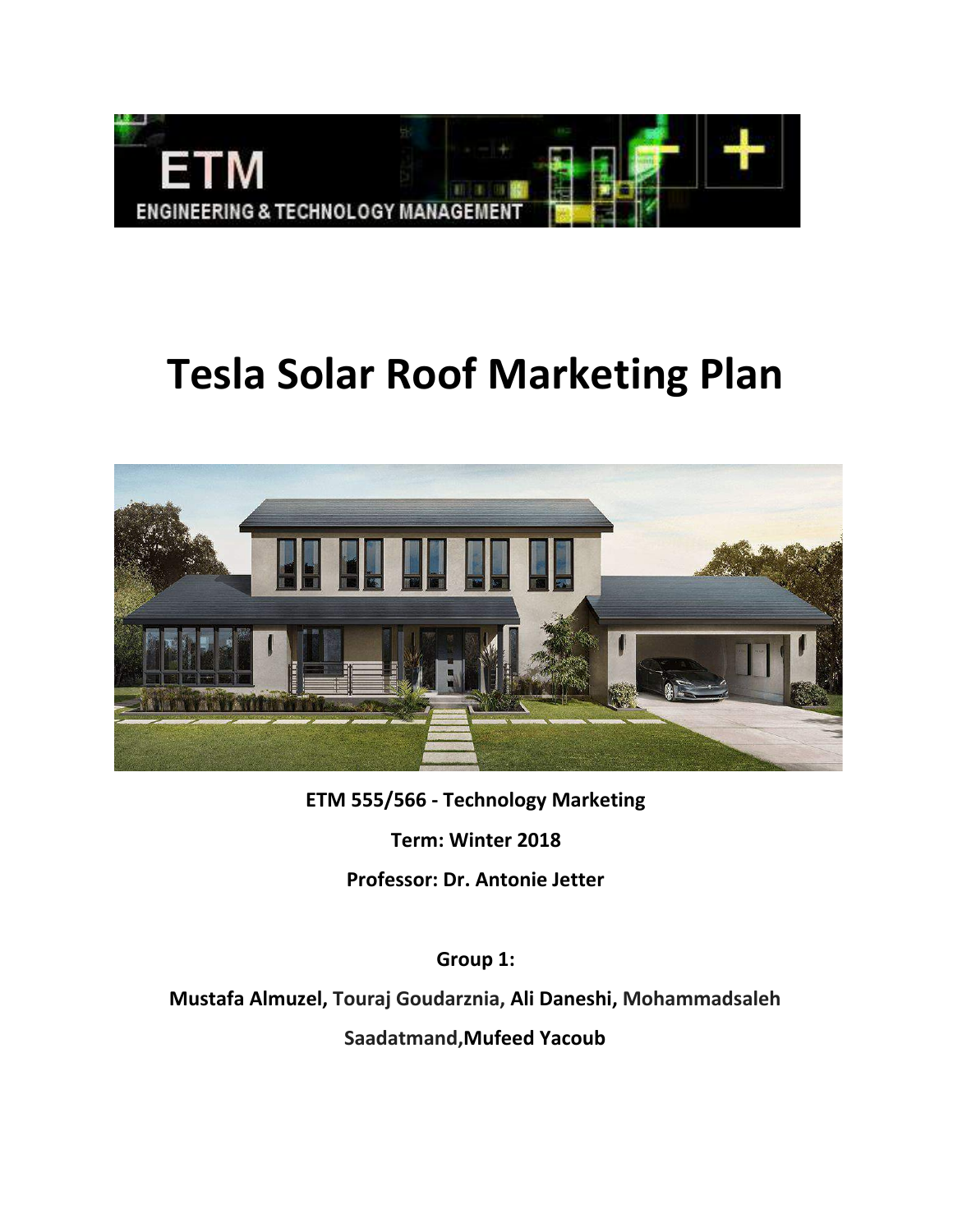

# **Tesla Solar Roof Marketing Plan**



**ETM 555/566 - Technology Marketing**

**Term: Winter 2018**

**Professor: Dr. Antonie Jetter**

**Group 1:**

**Mustafa Almuzel, Touraj Goudarznia, Ali Daneshi, Mohammadsaleh Saadatmand,Mufeed Yacoub**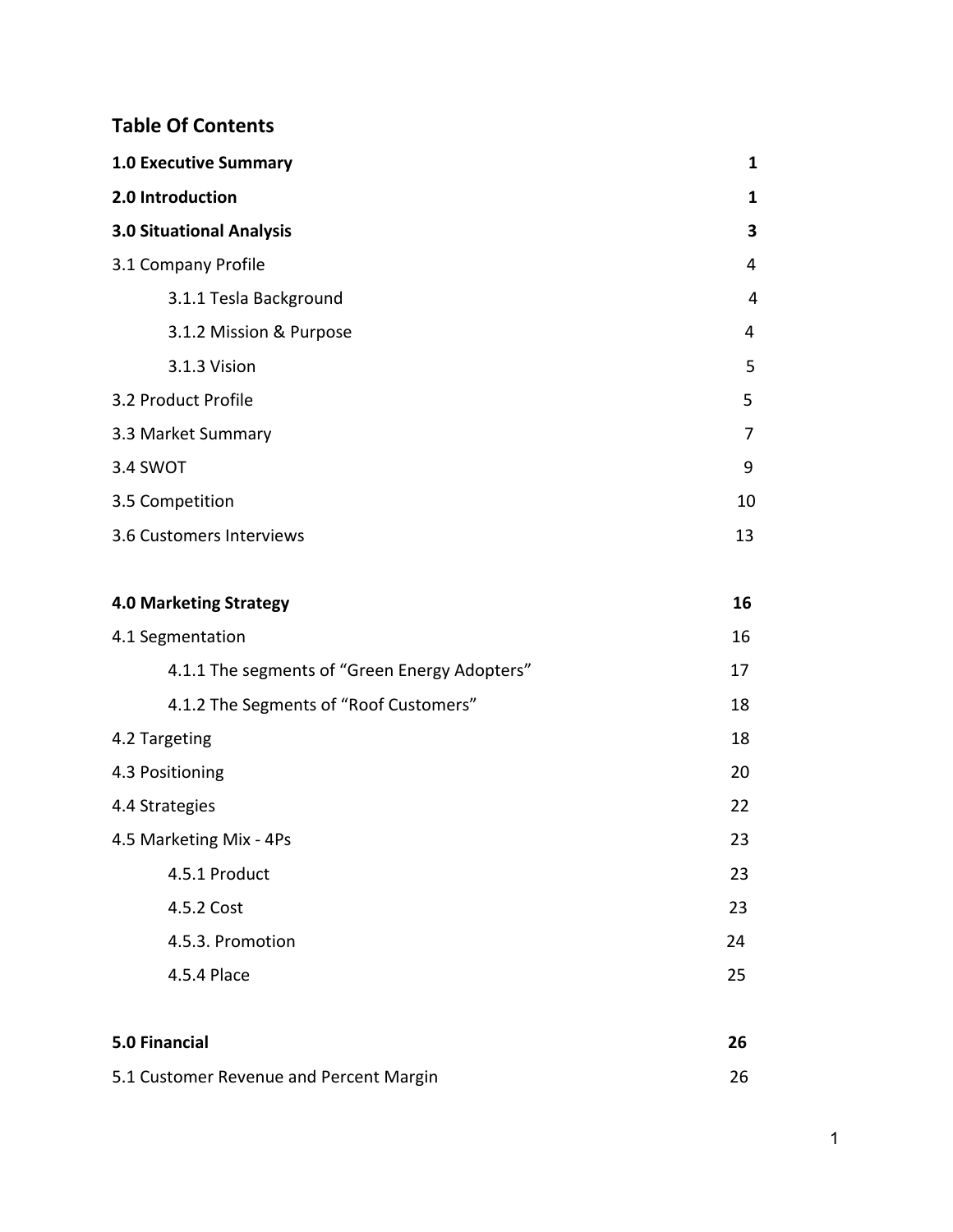# **Table Of Contents**

| <b>1.0 Executive Summary</b>                  | 1            |
|-----------------------------------------------|--------------|
| 2.0 Introduction                              | $\mathbf{1}$ |
| <b>3.0 Situational Analysis</b>               | 3            |
| 3.1 Company Profile                           | 4            |
| 3.1.1 Tesla Background                        | 4            |
| 3.1.2 Mission & Purpose                       | 4            |
| 3.1.3 Vision                                  | 5            |
| 3.2 Product Profile                           | 5            |
| 3.3 Market Summary                            | 7            |
| 3.4 SWOT                                      | 9            |
| 3.5 Competition                               | 10           |
| 3.6 Customers Interviews                      | 13           |
|                                               |              |
| <b>4.0 Marketing Strategy</b>                 | 16           |
| 4.1 Segmentation                              | 16           |
| 4.1.1 The segments of "Green Energy Adopters" | 17           |
| 4.1.2 The Segments of "Roof Customers"        | 18           |
| 4.2 Targeting                                 | 18           |
| 4.3 Positioning                               | 20           |
| 4.4 Strategies                                | 22           |
| 4.5 Marketing Mix - 4Ps                       | 23           |
| 4.5.1 Product                                 | 23           |
| 4.5.2 Cost                                    | 23           |
| 4.5.3. Promotion                              | 24           |
| 4.5.4 Place                                   | 25           |
|                                               |              |
| <b>5.0 Financial</b>                          | 26           |
| 5.1 Customer Revenue and Percent Margin       | 26           |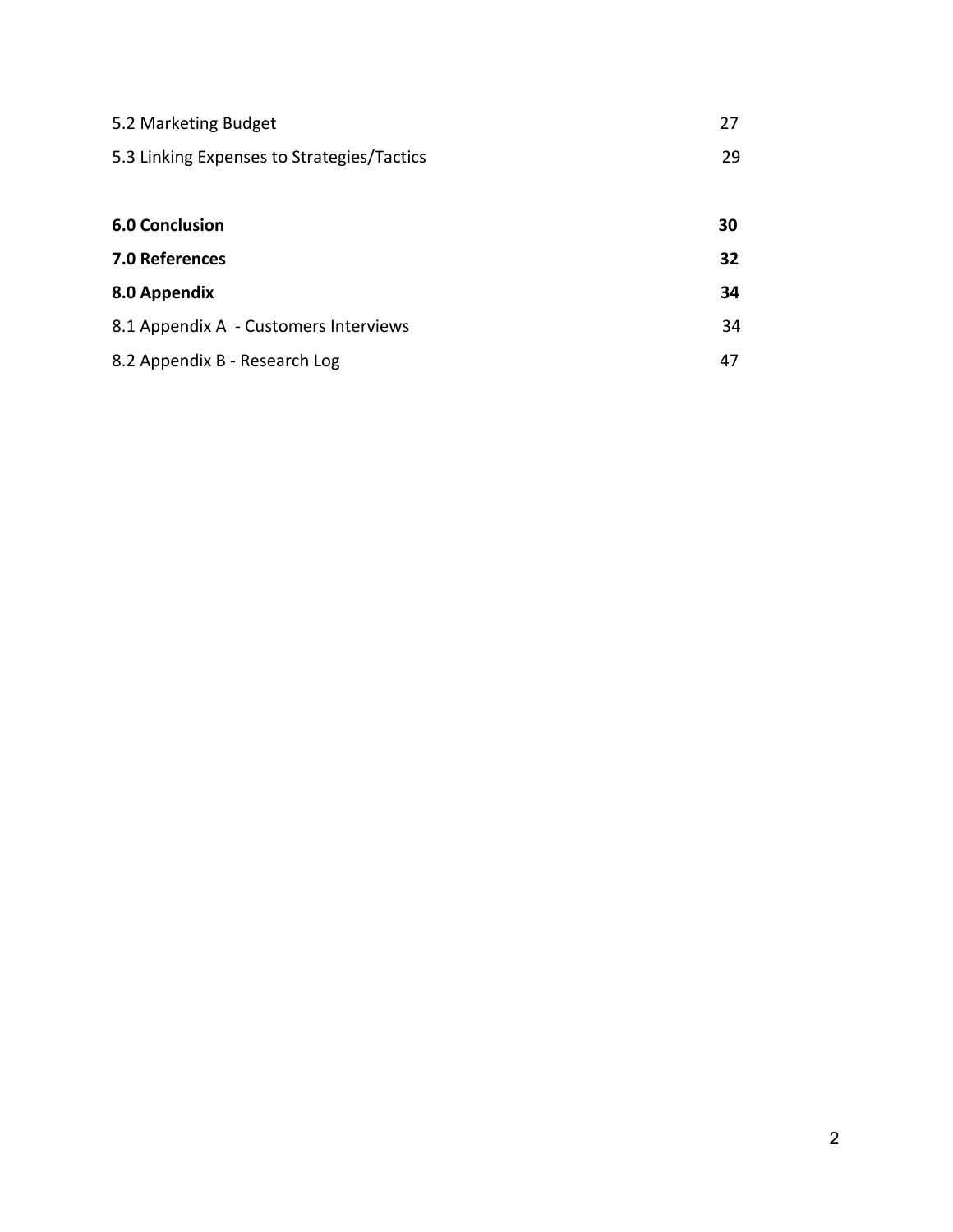| 5.2 Marketing Budget                       | 27              |
|--------------------------------------------|-----------------|
| 5.3 Linking Expenses to Strategies/Tactics | 29              |
|                                            |                 |
| <b>6.0 Conclusion</b>                      | 30              |
| 7.0 References                             | 32 <sub>2</sub> |
| 8.0 Appendix                               | 34              |
| 8.1 Appendix A - Customers Interviews      | 34              |
| 8.2 Appendix B - Research Log              | 47              |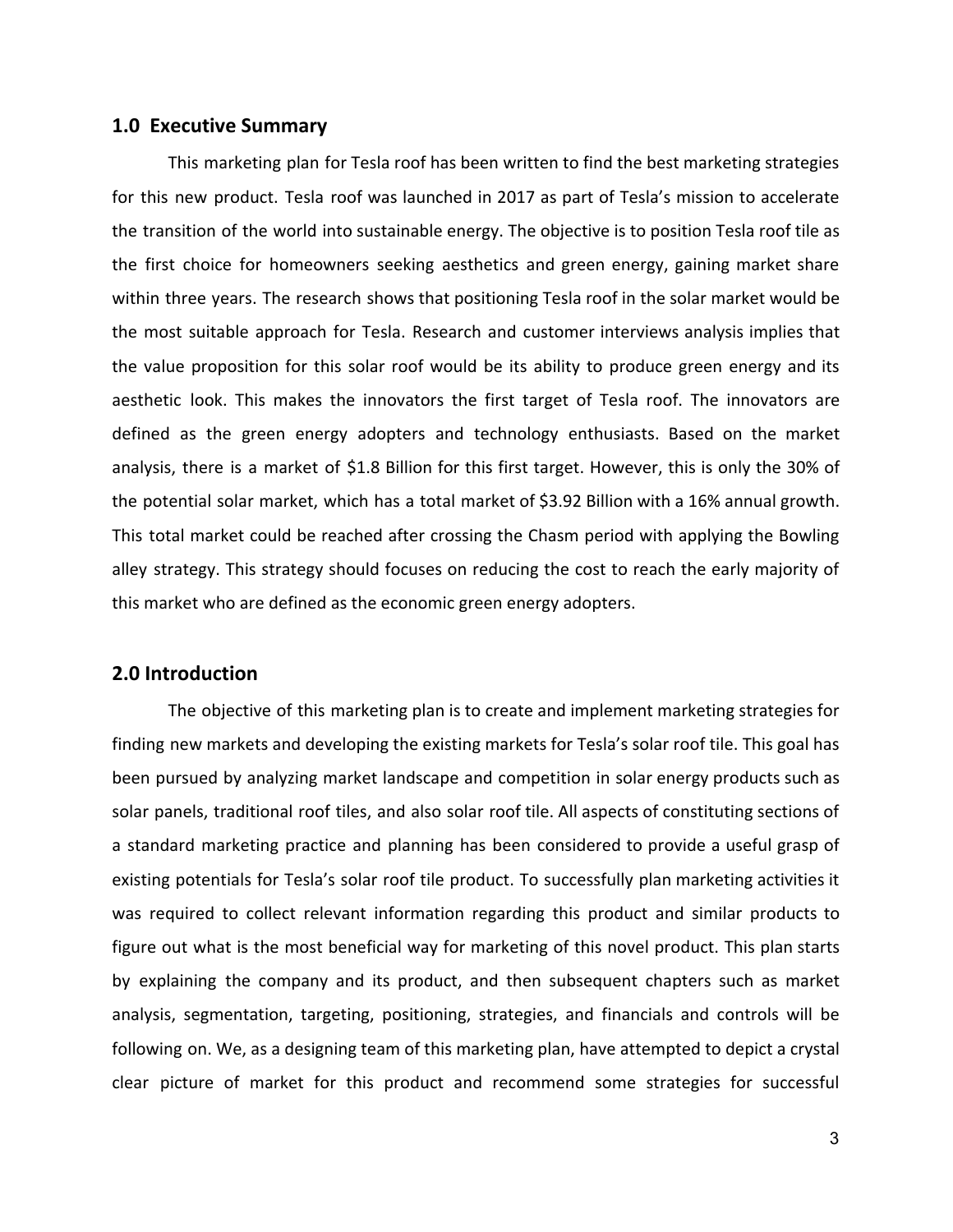#### **1.0 Executive Summary**

This marketing plan for Tesla roof has been written to find the best marketing strategies for this new product. Tesla roof was launched in 2017 as part of Tesla's mission to accelerate the transition of the world into sustainable energy. The objective is to position Tesla roof tile as the first choice for homeowners seeking aesthetics and green energy, gaining market share within three years. The research shows that positioning Tesla roof in the solar market would be the most suitable approach for Tesla. Research and customer interviews analysis implies that the value proposition for this solar roof would be its ability to produce green energy and its aesthetic look. This makes the innovators the first target of Tesla roof. The innovators are defined as the green energy adopters and technology enthusiasts. Based on the market analysis, there is a market of \$1.8 Billion for this first target. However, this is only the 30% of the potential solar market, which has a total market of \$3.92 Billion with a 16% annual growth. This total market could be reached after crossing the Chasm period with applying the Bowling alley strategy. This strategy should focuses on reducing the cost to reach the early majority of this market who are defined as the economic green energy adopters.

#### **2.0 Introduction**

The objective of this marketing plan is to create and implement marketing strategies for finding new markets and developing the existing markets for Tesla's solar roof tile. This goal has been pursued by analyzing market landscape and competition in solar energy products such as solar panels, traditional roof tiles, and also solar roof tile. All aspects of constituting sections of a standard marketing practice and planning has been considered to provide a useful grasp of existing potentials for Tesla's solar roof tile product. To successfully plan marketing activities it was required to collect relevant information regarding this product and similar products to figure out what is the most beneficial way for marketing of this novel product. This plan starts by explaining the company and its product, and then subsequent chapters such as market analysis, segmentation, targeting, positioning, strategies, and financials and controls will be following on. We, as a designing team of this marketing plan, have attempted to depict a crystal clear picture of market for this product and recommend some strategies for successful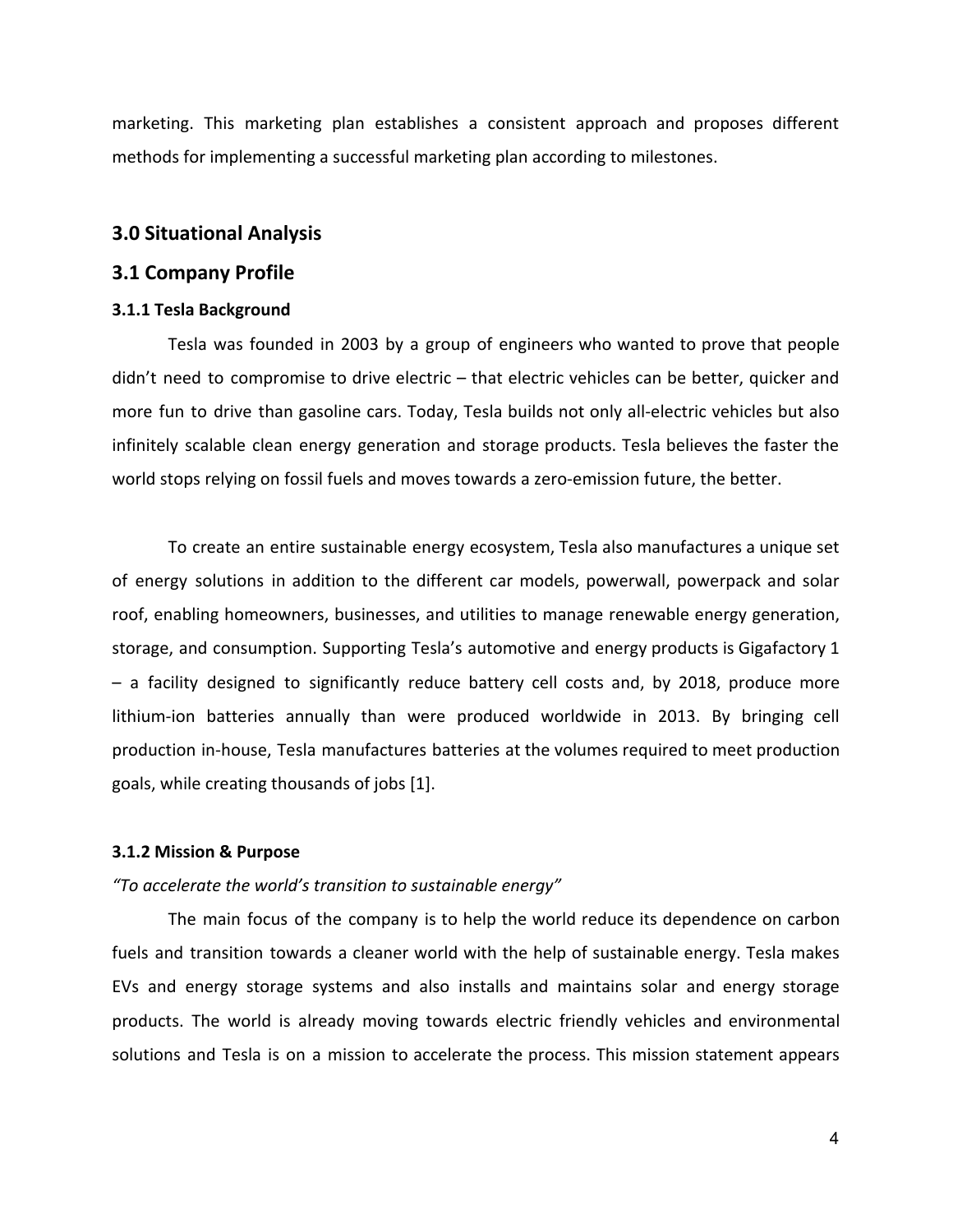marketing. This marketing plan establishes a consistent approach and proposes different methods for implementing a successful marketing plan according to milestones.

#### **3.0 Situational Analysis**

#### **3.1 Company Profile**

#### **3.1.1 Tesla Background**

Tesla was founded in 2003 by a group of engineers who wanted to prove that people didn't need to compromise to drive electric – that electric vehicles can be better, quicker and more fun to drive than gasoline cars. Today, Tesla builds not only all-electric vehicles but also infinitely scalable clean energy generation and storage products. Tesla believes the faster the world stops relying on fossil fuels and moves towards a zero-emission future, the better.

To create an entire sustainable energy ecosystem, Tesla also manufactures a unique set of energy solutions in addition to the different car models, powerwall, powerpack and solar roof, enabling homeowners, businesses, and utilities to manage renewable energy generation, storage, and consumption. Supporting Tesla's automotive and energy products is Gigafactory 1 – a facility designed to significantly reduce battery cell costs and, by 2018, produce more lithium-ion batteries annually than were produced worldwide in 2013. By bringing cell production in-house, Tesla manufactures batteries at the volumes required to meet production goals, while creating thousands of jobs [1].

#### **3.1.2 Mission & Purpose**

#### *"To accelerate the world's transition to sustainable energy"*

The main focus of the company is to help the world reduce its dependence on carbon fuels and transition towards a cleaner world with the help of sustainable energy. Tesla makes EVs and energy storage systems and also installs and maintains solar and energy storage products. The world is already moving towards electric friendly vehicles and environmental solutions and Tesla is on a mission to accelerate the process. This mission statement appears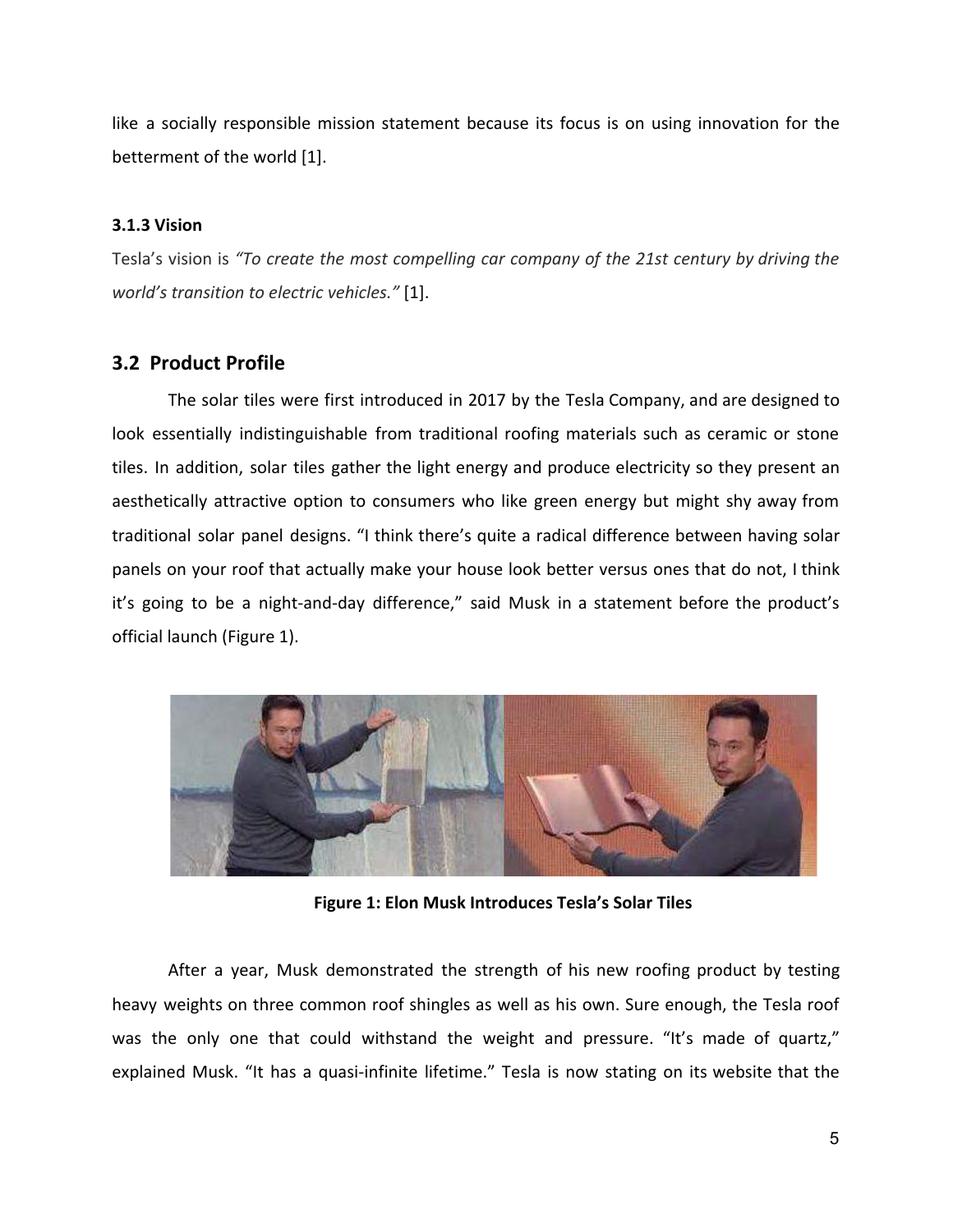like a socially responsible mission statement because its focus is on using innovation for the betterment of the world [1].

#### **3.1.3 Vision**

Tesla's vision is *"To create the most compelling car company of the 21st century by driving the world's transition to electric vehicles."* [1].

#### **3.2 Product Profile**

The solar tiles were first introduced in 2017 by the Tesla Company, and are designed to look essentially indistinguishable from traditional roofing materials such as ceramic or stone tiles. In addition, solar tiles gather the light energy and produce electricity so they present an aesthetically attractive option to consumers who like green energy but might shy away from traditional solar panel designs. "I think there's quite a radical difference between having solar panels on your roof that actually make your house look better versus ones that do not, I think it's going to be a night-and-day difference," said Musk in a statement before the product's official launch (Figure 1).



**Figure 1: Elon Musk Introduces Tesla's Solar Tiles**

After a year, Musk demonstrated the strength of his new roofing product by testing heavy weights on three common roof shingles as well as his own. Sure enough, the Tesla roof was the only one that could withstand the weight and pressure. "It's made of quartz," explained Musk. "It has a quasi-infinite lifetime." Tesla is now stating on its website that the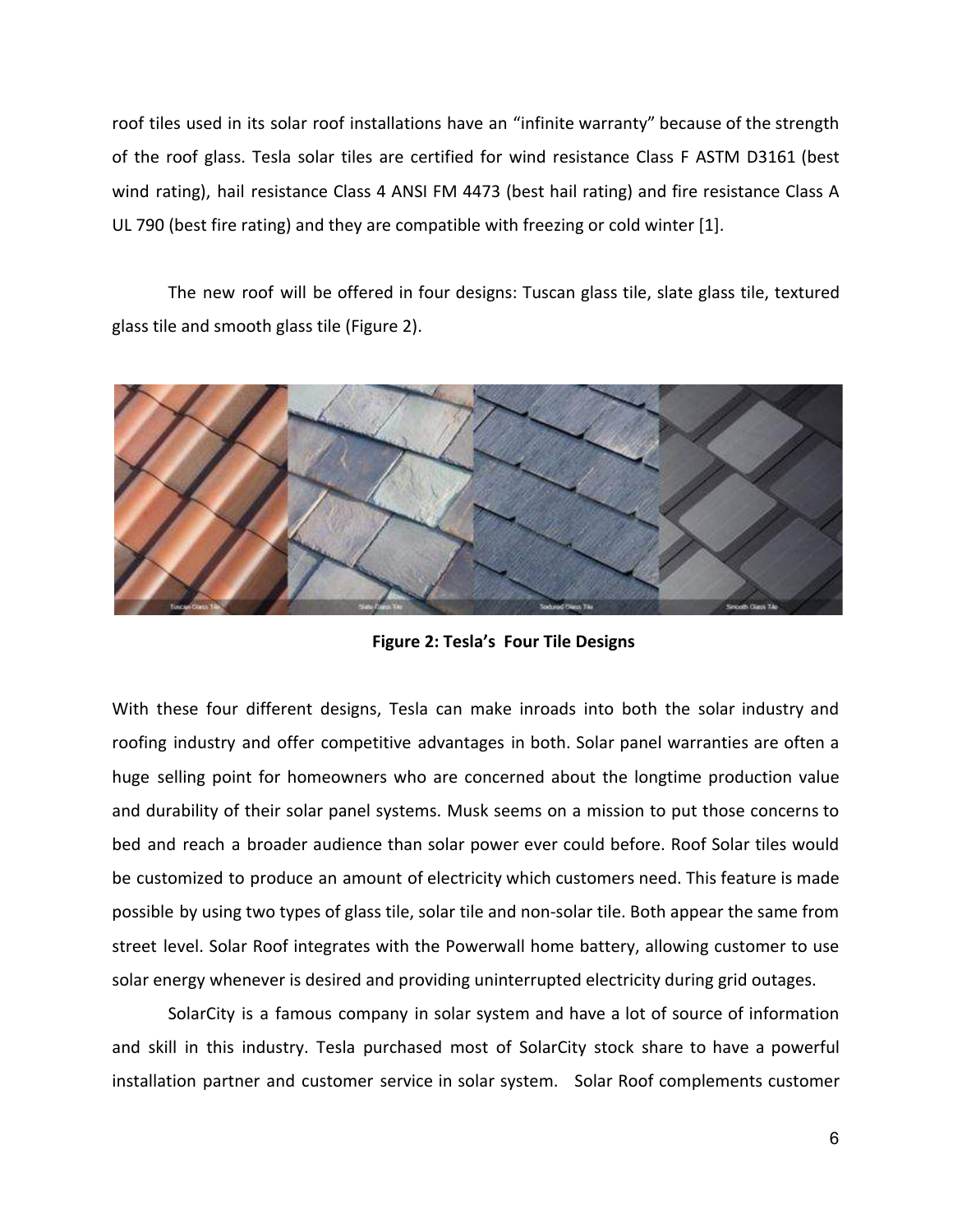roof tiles used in its solar roof installations have an "infinite warranty" because of the strength of the roof glass. Tesla solar tiles are certified for wind resistance Class F ASTM D3161 (best wind rating), hail resistance Class 4 ANSI FM 4473 (best hail rating) and fire resistance Class A UL 790 (best fire rating) and they are compatible with freezing or cold winter [1].

The new roof will be offered in four designs: Tuscan glass tile, slate glass tile, textured glass tile and smooth glass tile (Figure 2).



**Figure 2: Tesla's Four Tile Designs**

With these four different designs, Tesla can make inroads into both the solar industry and roofing industry and offer competitive advantages in both. Solar panel warranties are often a huge selling point for homeowners who are concerned about the longtime production value and durability of their solar panel systems. Musk seems on a mission to put those concerns to bed and reach a broader audience than solar power ever could before. Roof Solar tiles would be customized to produce an amount of electricity which customers need. This feature is made possible by using two types of glass tile, solar tile and non-solar tile. Both appear the same from street level. Solar Roof integrates with the Powerwall home battery, allowing customer to use solar energy whenever is desired and providing uninterrupted electricity during grid outages.

SolarCity is a famous company in solar system and have a lot of source of information and skill in this industry. Tesla purchased most of SolarCity stock share to have a powerful installation partner and customer service in solar system. Solar Roof complements customer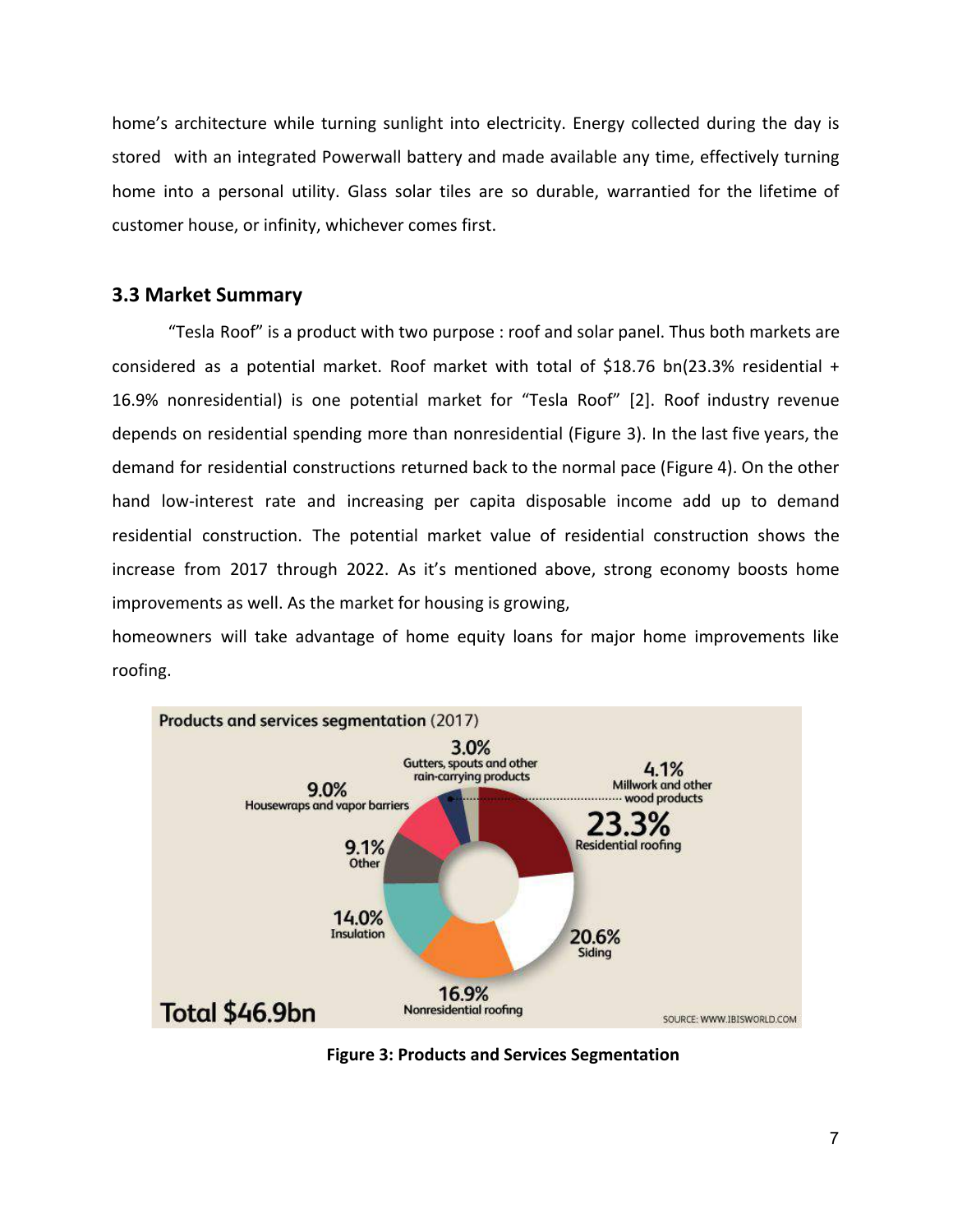home's architecture while turning sunlight into electricity. Energy collected during the day is stored with an integrated Powerwall battery and made available any time, effectively turning home into a personal utility. Glass solar tiles are so durable, warrantied for the lifetime of customer house, or infinity, whichever comes first.

#### **3.3 Market Summary**

"Tesla Roof" is a product with two purpose : roof and solar panel. Thus both markets are considered as a potential market. Roof market with total of \$18.76 bn(23.3% residential + 16.9% nonresidential) is one potential market for "Tesla Roof" [2]. Roof industry revenue depends on residential spending more than nonresidential (Figure 3). In the last five years, the demand for residential constructions returned back to the normal pace (Figure 4). On the other hand low-interest rate and increasing per capita disposable income add up to demand residential construction. The potential market value of residential construction shows the increase from 2017 through 2022. As it's mentioned above, strong economy boosts home improvements as well. As the market for housing is growing,

homeowners will take advantage of home equity loans for major home improvements like roofing.



**Figure 3: Products and Services Segmentation**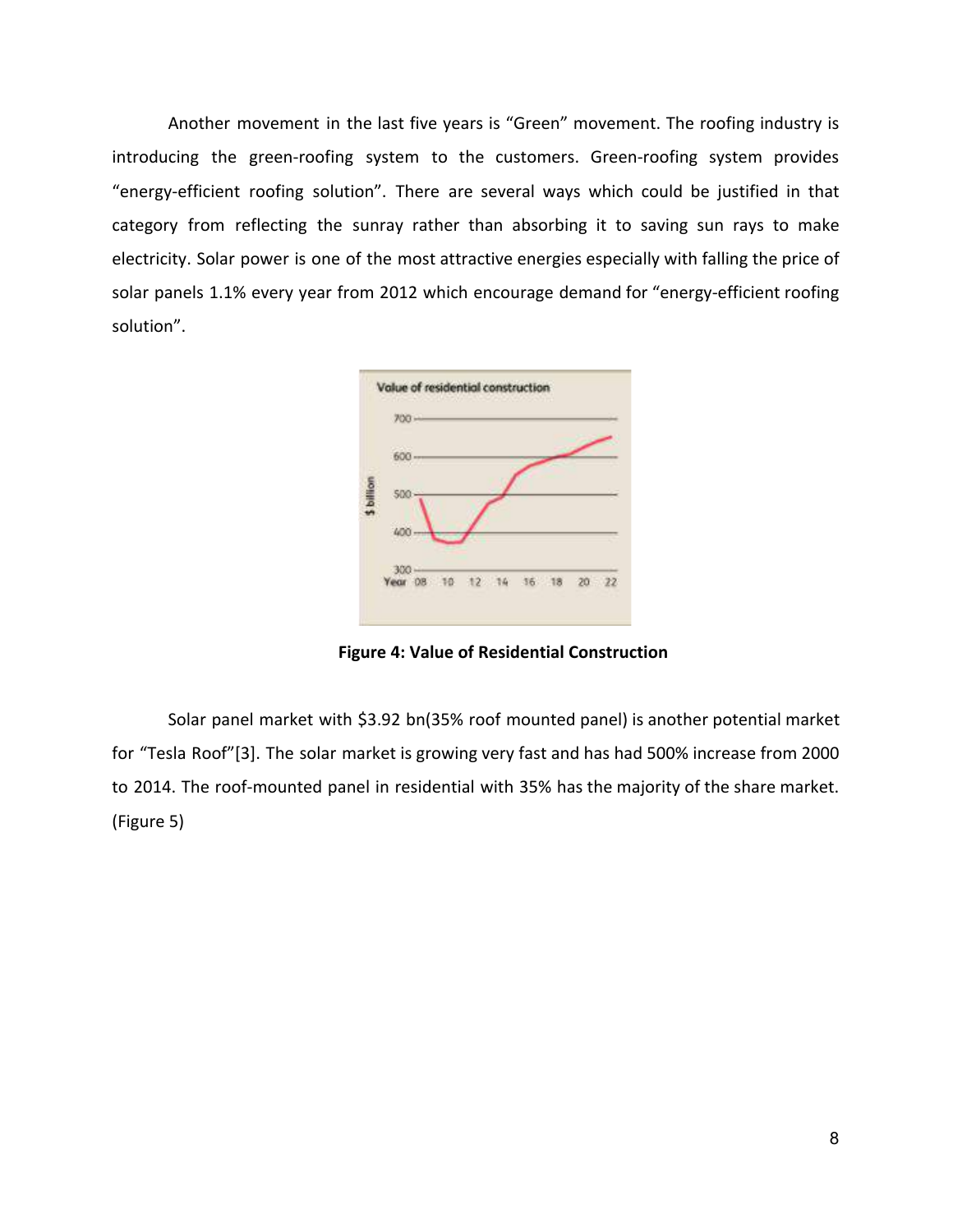Another movement in the last five years is "Green" movement. The roofing industry is introducing the green-roofing system to the customers. Green-roofing system provides "energy-efficient roofing solution". There are several ways which could be justified in that category from reflecting the sunray rather than absorbing it to saving sun rays to make electricity. Solar power is one of the most attractive energies especially with falling the price of solar panels 1.1% every year from 2012 which encourage demand for "energy-efficient roofing solution".



**Figure 4: Value of Residential Construction**

Solar panel market with \$3.92 bn(35% roof mounted panel) is another potential market for "Tesla Roof"[3]. The solar market is growing very fast and has had 500% increase from 2000 to 2014. The roof-mounted panel in residential with 35% has the majority of the share market. (Figure 5)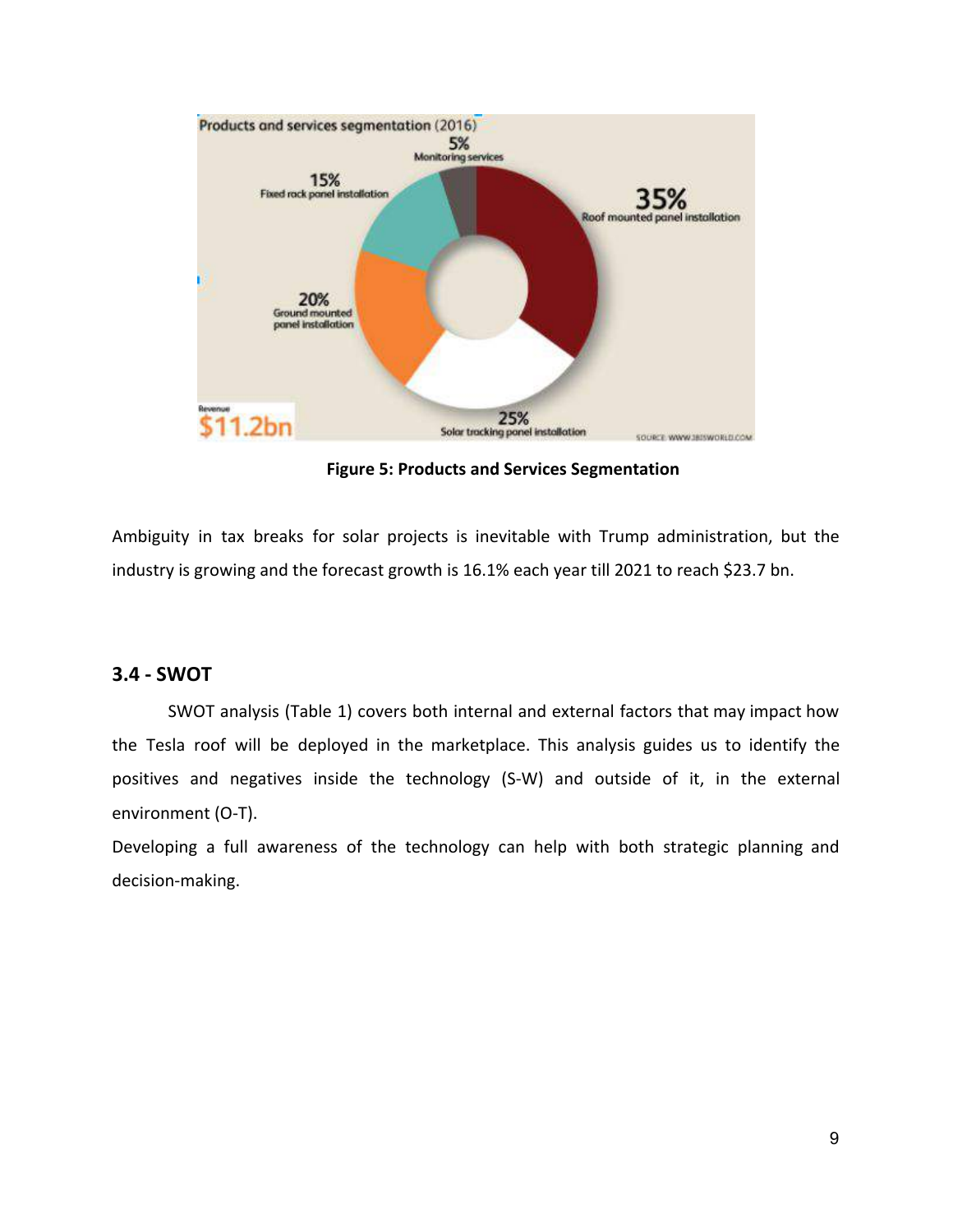

**Figure 5: Products and Services Segmentation**

Ambiguity in tax breaks for solar projects is inevitable with Trump administration, but the industry is growing and the forecast growth is 16.1% each year till 2021 to reach \$23.7 bn.

#### **3.4 - SWOT**

SWOT analysis (Table 1) covers both internal and external factors that may impact how the Tesla roof will be deployed in the marketplace. This analysis guides us to identify the positives and negatives inside the technology (S-W) and outside of it, in the external environment (O-T).

Developing a full awareness of the technology can help with both strategic planning and decision-making.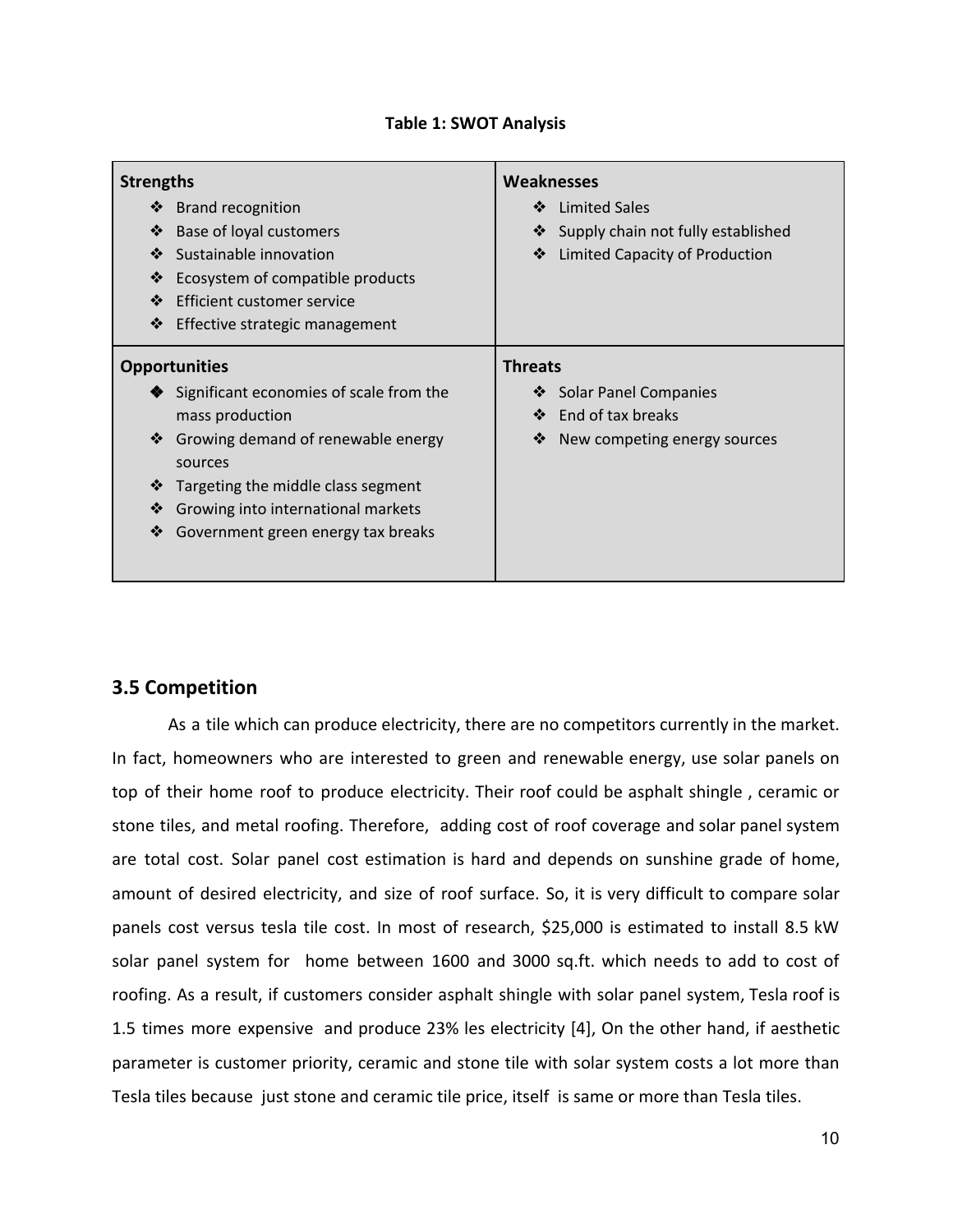| <b>Strengths</b><br><b>Brand recognition</b><br>❖<br>❖<br>Base of loyal customers<br>❖<br>Sustainable innovation<br>❖<br>Ecosystem of compatible products                                                                                         | <b>Weaknesses</b><br><b>Limited Sales</b><br>❖<br>Supply chain not fully established<br>❖<br>❖<br>Limited Capacity of Production |
|---------------------------------------------------------------------------------------------------------------------------------------------------------------------------------------------------------------------------------------------------|----------------------------------------------------------------------------------------------------------------------------------|
| ❖<br>Efficient customer service<br>❖<br>Effective strategic management                                                                                                                                                                            |                                                                                                                                  |
| <b>Opportunities</b>                                                                                                                                                                                                                              | <b>Threats</b>                                                                                                                   |
| Significant economies of scale from the<br>mass production<br>❖<br>Growing demand of renewable energy<br>sources<br>❖<br>Targeting the middle class segment<br>❖<br>Growing into international markets<br>❖<br>Government green energy tax breaks | <b>Solar Panel Companies</b><br>❖<br>End of tax breaks<br>❖<br>New competing energy sources<br>❖                                 |

#### **Table 1: SWOT Analysis**

## **3.5 Competition**

As a tile which can produce electricity, there are no competitors currently in the market. In fact, homeowners who are interested to green and renewable energy, use solar panels on top of their home roof to produce electricity. Their roof could be asphalt shingle , ceramic or stone tiles, and metal roofing. Therefore, adding cost of roof coverage and solar panel system are total cost. Solar panel cost estimation is hard and depends on sunshine grade of home, amount of desired electricity, and size of roof surface. So, it is very difficult to compare solar panels cost versus tesla tile cost. In most of research, \$25,000 is estimated to install 8.5 kW solar panel system for home between 1600 and 3000 sq.ft. which needs to add to cost of roofing. As a result, if customers consider asphalt shingle with solar panel system, Tesla roof is 1.5 times more expensive and produce 23% les electricity [4], On the other hand, if aesthetic parameter is customer priority, ceramic and stone tile with solar system costs a lot more than Tesla tiles because just stone and ceramic tile price, itself is same or more than Tesla tiles.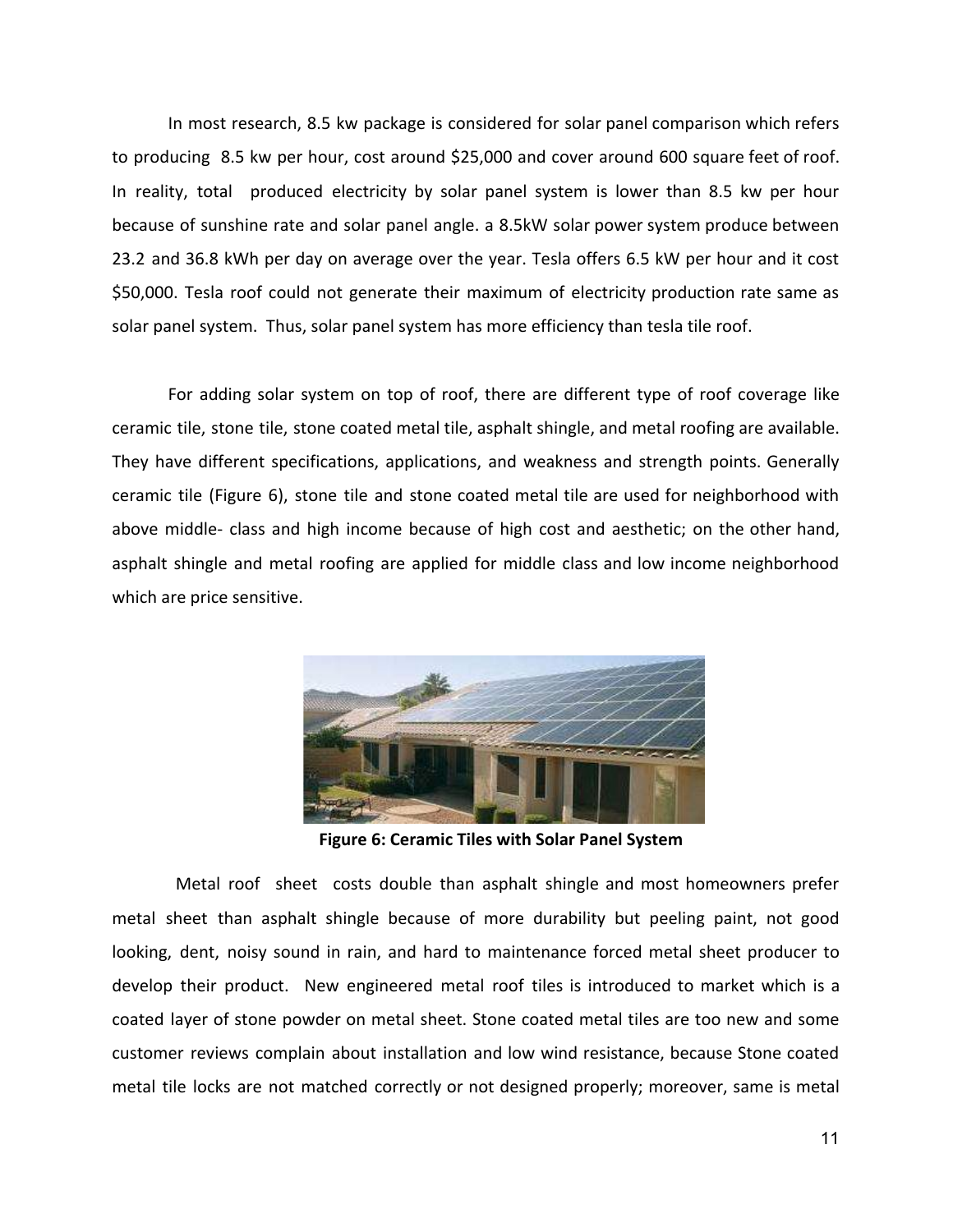In most research, 8.5 kw package is considered for solar panel comparison which refers to producing 8.5 kw per hour, cost around \$25,000 and cover around 600 square feet of roof. In reality, total produced electricity by solar panel system is lower than 8.5 kw per hour because of sunshine rate and solar panel angle. a 8.5kW solar power system produce between 23.2 and 36.8 kWh per day on average over the year. Tesla offers 6.5 kW per hour and it cost \$50,000. Tesla roof could not generate their maximum of electricity production rate same as solar panel system. Thus, solar panel system has more efficiency than tesla tile roof.

For adding solar system on top of roof, there are different type of roof coverage like ceramic tile, stone tile, stone coated metal tile, asphalt shingle, and metal roofing are available. They have different specifications, applications, and weakness and strength points. Generally ceramic tile (Figure 6), stone tile and stone coated metal tile are used for neighborhood with above middle- class and high income because of high cost and aesthetic; on the other hand, asphalt shingle and metal roofing are applied for middle class and low income neighborhood which are price sensitive.



 **Figure 6: Ceramic Tiles with Solar Panel System**

Metal roof sheet costs double than asphalt shingle and most homeowners prefer metal sheet than asphalt shingle because of more durability but peeling paint, not good looking, dent, noisy sound in rain, and hard to maintenance forced metal sheet producer to develop their product. New engineered metal roof tiles is introduced to market which is a coated layer of stone powder on metal sheet. Stone coated metal tiles are too new and some customer reviews complain about installation and low wind resistance, because Stone coated metal tile locks are not matched correctly or not designed properly; moreover, same is metal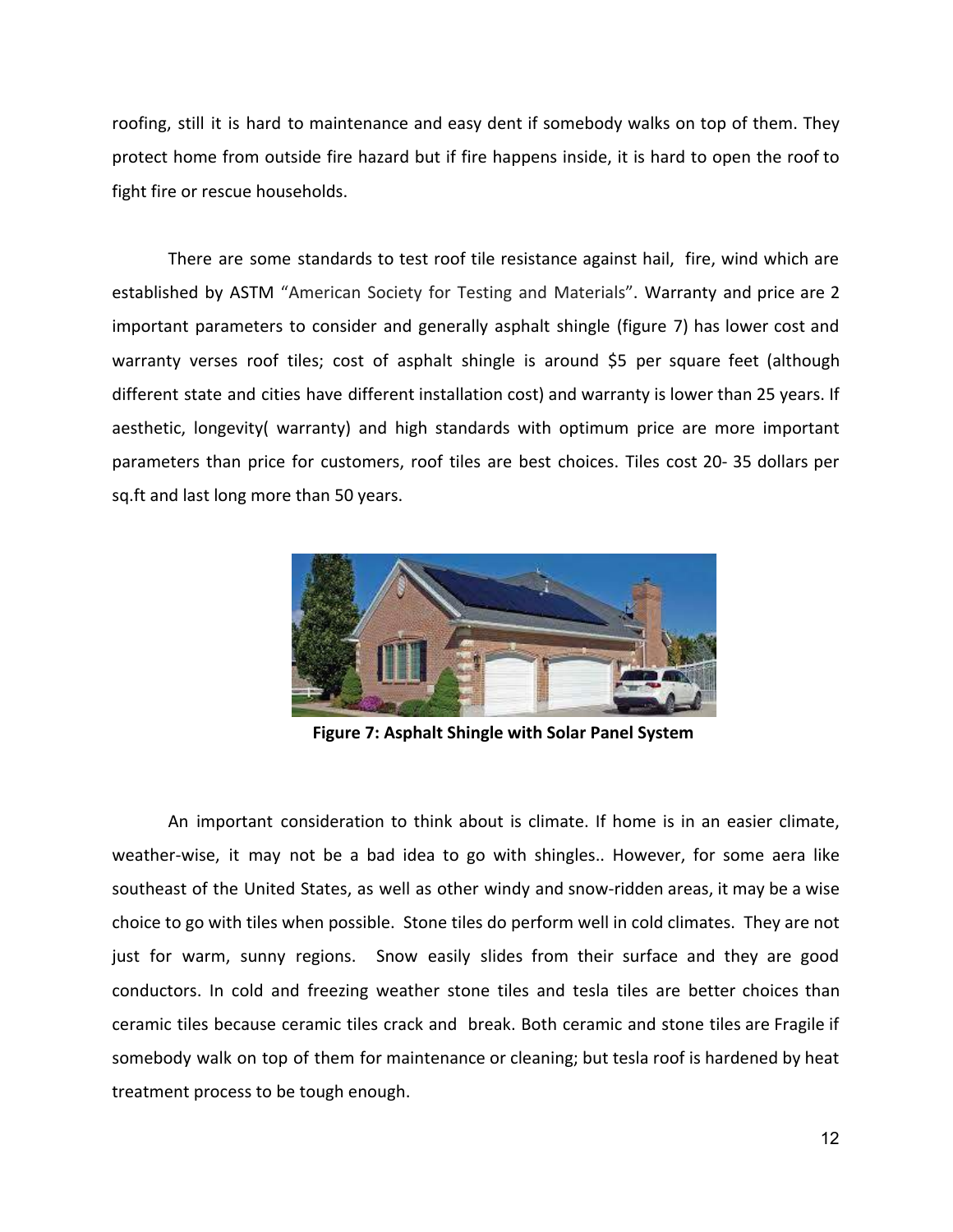roofing, still it is hard to maintenance and easy dent if somebody walks on top of them. They protect home from outside fire hazard but if fire happens inside, it is hard to open the roof to fight fire or rescue households.

There are some standards to test roof tile resistance against hail, fire, wind which are established by ASTM "American Society for Testing and Materials". Warranty and price are 2 important parameters to consider and generally asphalt shingle (figure 7) has lower cost and warranty verses roof tiles; cost of asphalt shingle is around \$5 per square feet (although different state and cities have different installation cost) and warranty is lower than 25 years. If aesthetic, longevity( warranty) and high standards with optimum price are more important parameters than price for customers, roof tiles are best choices. Tiles cost 20- 35 dollars per sq.ft and last long more than 50 years.



**Figure 7: Asphalt Shingle with Solar Panel System**

An important consideration to think about is climate. If home is in an easier climate, weather-wise, it may not be a bad idea to go with shingles.. However, for some aera like southeast of the United States, as well as other windy and snow-ridden areas, it may be a wise choice to go with tiles when possible. Stone tiles do perform well in cold climates. They are not just for warm, sunny regions. Snow easily slides from their surface and they are good conductors. In cold and freezing weather stone tiles and tesla tiles are better choices than ceramic tiles because ceramic tiles crack and break. Both ceramic and stone tiles are Fragile if somebody walk on top of them for maintenance or cleaning; but tesla roof is hardened by heat treatment process to be tough enough.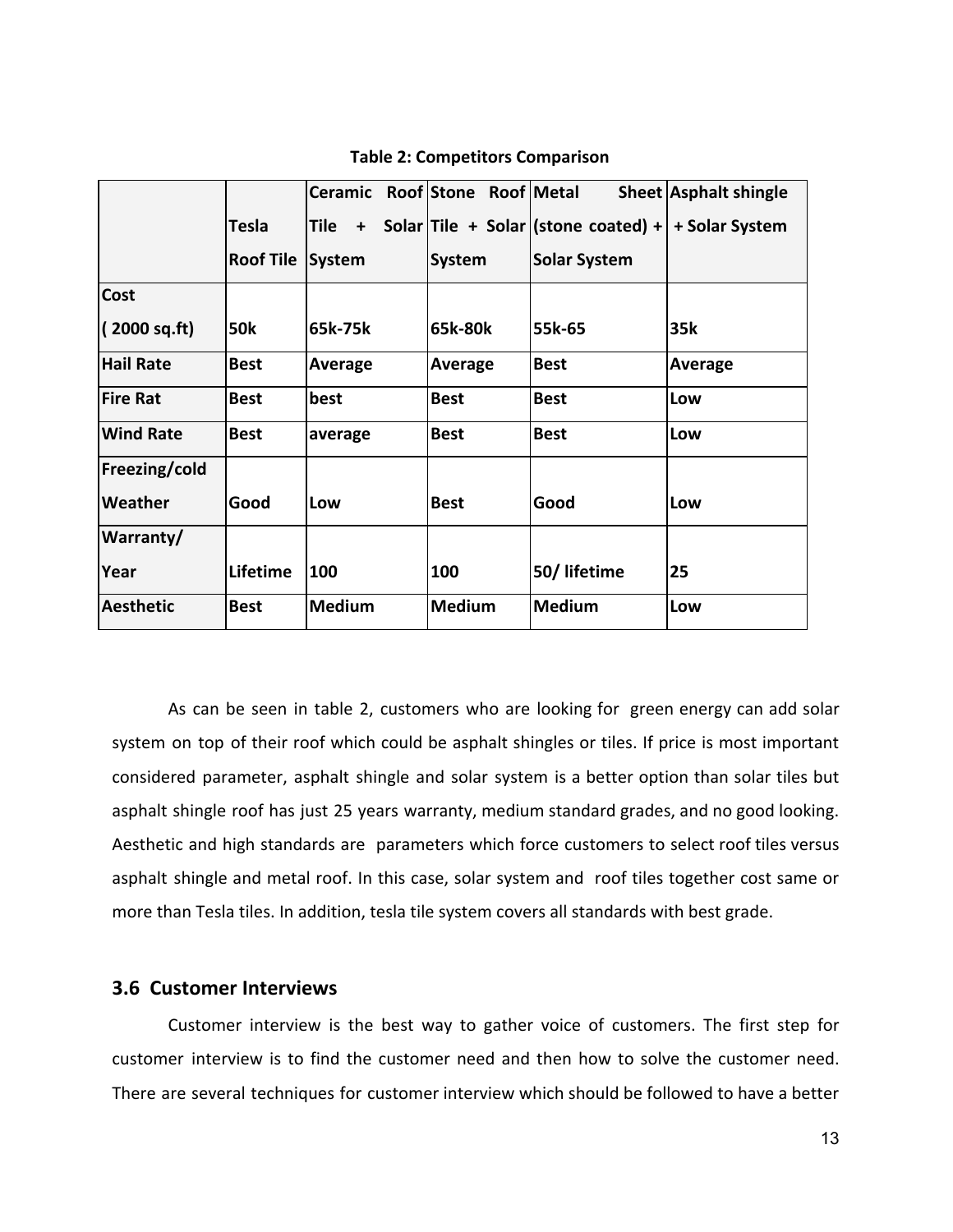|                  |                  | Ceramic Roof Stone Roof Metal |               |                                     | <b>Sheet Asphalt shingle</b> |
|------------------|------------------|-------------------------------|---------------|-------------------------------------|------------------------------|
|                  | <b>Tesla</b>     | Tile<br>$\ddot{}$             |               | Solar Tile + Solar (stone coated) + | + Solar System               |
|                  | <b>Roof Tile</b> | System                        | <b>System</b> | <b>Solar System</b>                 |                              |
| <b>Cost</b>      |                  |                               |               |                                     |                              |
| (2000 sq.fit)    | <b>50k</b>       | 65k-75k                       | 65k-80k       | 55k-65                              | 35k                          |
| <b>Hail Rate</b> | <b>Best</b>      | Average                       | Average       | <b>Best</b>                         | Average                      |
| <b>Fire Rat</b>  | <b>Best</b>      | best                          | <b>Best</b>   | <b>Best</b>                         | Low                          |
| <b>Wind Rate</b> | <b>Best</b>      | average                       | <b>Best</b>   | <b>Best</b>                         | Low                          |
| Freezing/cold    |                  |                               |               |                                     |                              |
| Weather          | Good             | Low                           | <b>Best</b>   | Good                                | Low                          |
| Warranty/        |                  |                               |               |                                     |                              |
| Year             | Lifetime         | 100                           | 100           | 50/lifetime                         | 25                           |
| <b>Aesthetic</b> | <b>Best</b>      | <b>Medium</b>                 | <b>Medium</b> | <b>Medium</b>                       | Low                          |

 **Table 2: Competitors Comparison**

As can be seen in table 2, customers who are looking for green energy can add solar system on top of their roof which could be asphalt shingles or tiles. If price is most important considered parameter, asphalt shingle and solar system is a better option than solar tiles but asphalt shingle roof has just 25 years warranty, medium standard grades, and no good looking. Aesthetic and high standards are parameters which force customers to select roof tiles versus asphalt shingle and metal roof. In this case, solar system and roof tiles together cost same or more than Tesla tiles. In addition, tesla tile system covers all standards with best grade.

#### **3.6 Customer Interviews**

Customer interview is the best way to gather voice of customers. The first step for customer interview is to find the customer need and then how to solve the customer need. There are several techniques for customer interview which should be followed to have a better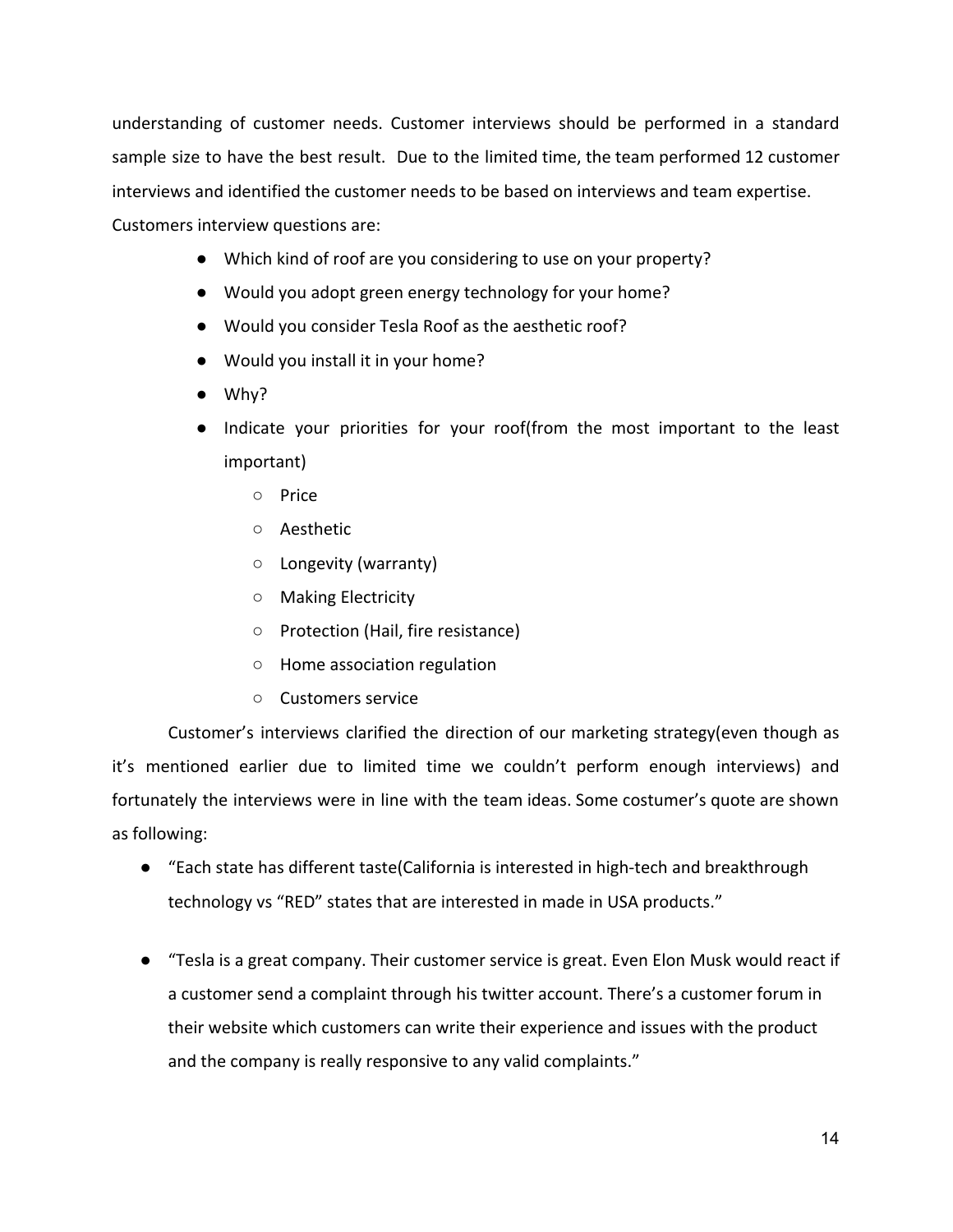understanding of customer needs. Customer interviews should be performed in a standard sample size to have the best result. Due to the limited time, the team performed 12 customer interviews and identified the customer needs to be based on interviews and team expertise. Customers interview questions are:

- Which kind of roof are you considering to use on your property?
- Would you adopt green energy technology for your home?
- Would you consider Tesla Roof as the aesthetic roof?
- Would you install it in your home?
- Why?
- Indicate your priorities for your roof(from the most important to the least important)
	- Price
	- Aesthetic
	- Longevity (warranty)
	- Making Electricity
	- Protection (Hail, fire resistance)
	- Home association regulation
	- Customers service

Customer's interviews clarified the direction of our marketing strategy(even though as it's mentioned earlier due to limited time we couldn't perform enough interviews) and fortunately the interviews were in line with the team ideas. Some costumer's quote are shown as following:

- "Each state has different taste(California is interested in high-tech and breakthrough technology vs "RED" states that are interested in made in USA products."
- "Tesla is a great company. Their customer service is great. Even Elon Musk would react if a customer send a complaint through his twitter account. There's a customer forum in their website which customers can write their experience and issues with the product and the company is really responsive to any valid complaints."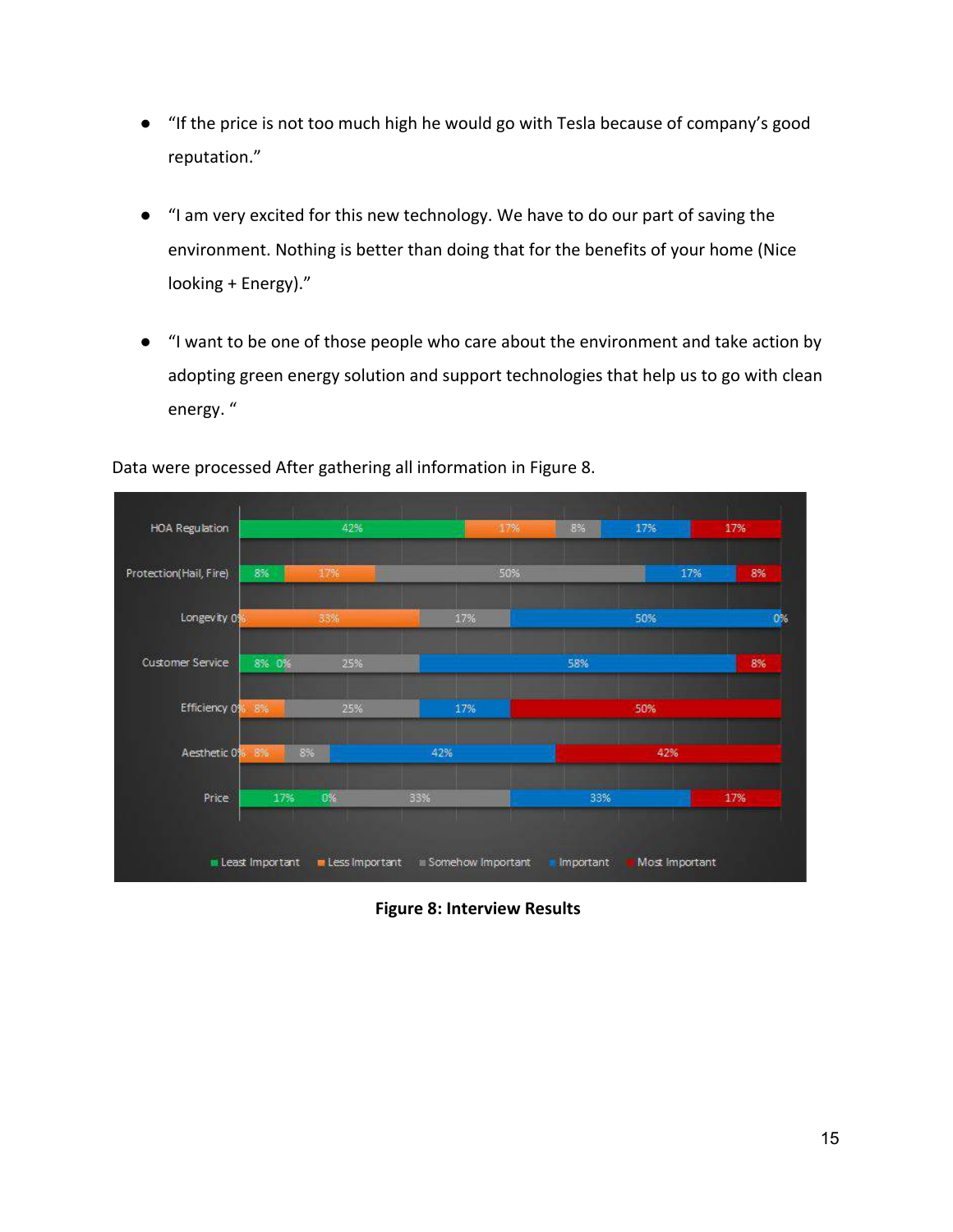- "If the price is not too much high he would go with Tesla because of company's good reputation."
- "I am very excited for this new technology. We have to do our part of saving the environment. Nothing is better than doing that for the benefits of your home (Nice looking + Energy)."
- "I want to be one of those people who care about the environment and take action by adopting green energy solution and support technologies that help us to go with clean energy. "



Data were processed After gathering all information in Figure 8.

 **Figure 8: Interview Results**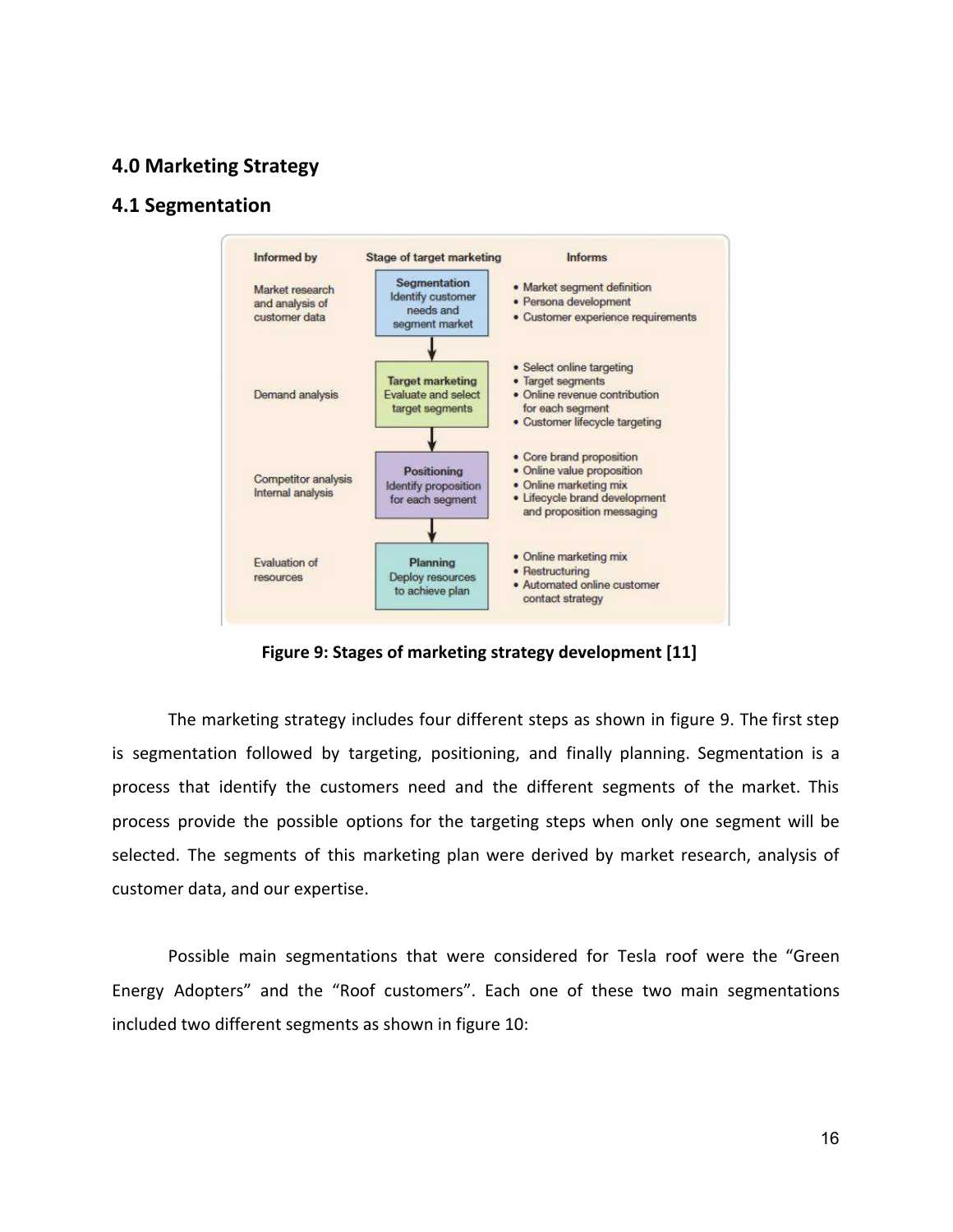#### **4.0 Marketing Strategy**

#### **4.1 Segmentation**



 **Figure 9: Stages of marketing strategy development [11]**

The marketing strategy includes four different steps as shown in figure 9. The first step is segmentation followed by targeting, positioning, and finally planning. Segmentation is a process that identify the customers need and the different segments of the market. This process provide the possible options for the targeting steps when only one segment will be selected. The segments of this marketing plan were derived by market research, analysis of customer data, and our expertise.

Possible main segmentations that were considered for Tesla roof were the "Green Energy Adopters" and the "Roof customers". Each one of these two main segmentations included two different segments as shown in figure 10: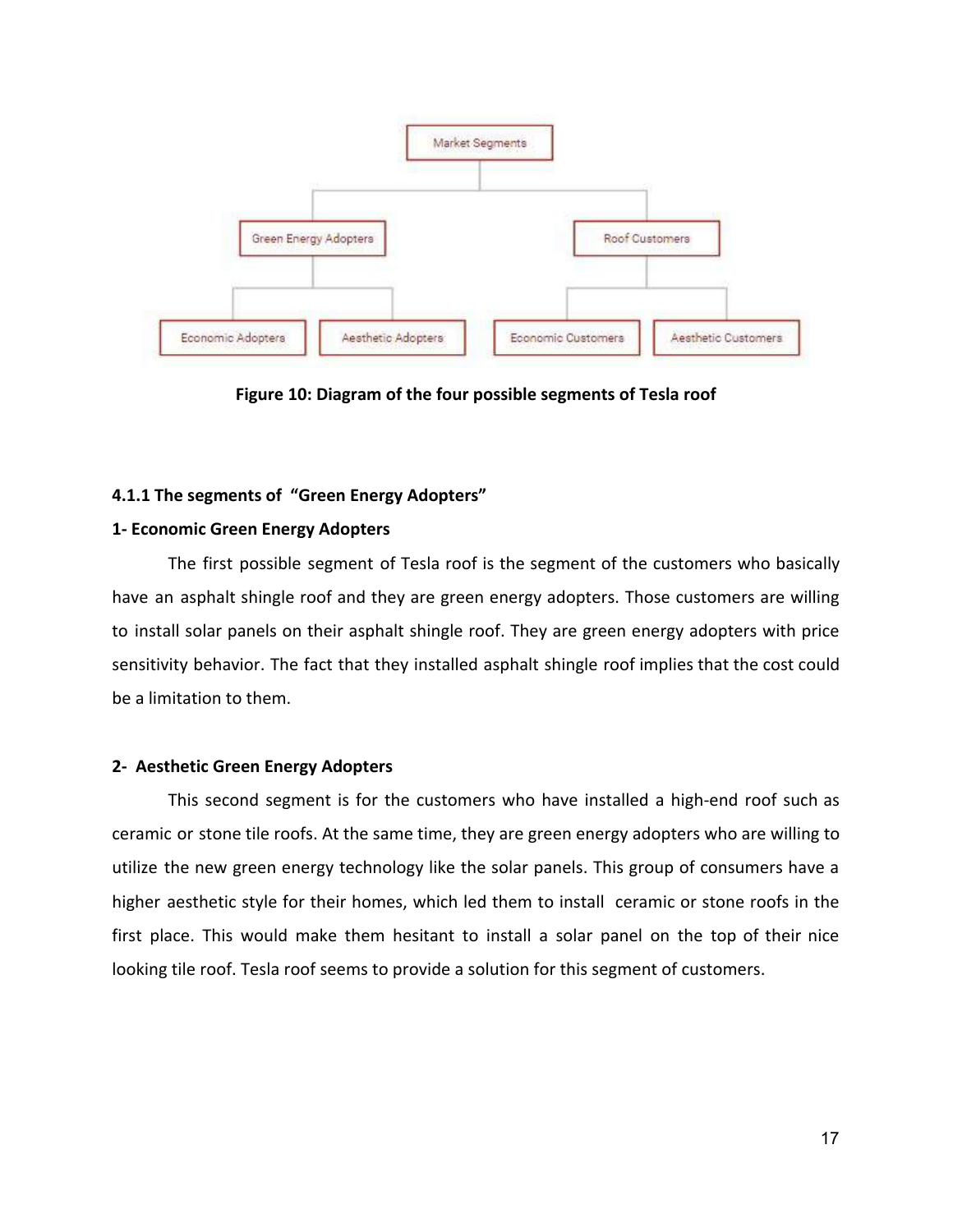

**Figure 10: Diagram of the four possible segments of Tesla roof**

#### **4.1.1 The segments of "Green Energy Adopters"**

#### **1- Economic Green Energy Adopters**

The first possible segment of Tesla roof is the segment of the customers who basically have an asphalt shingle roof and they are green energy adopters. Those customers are willing to install solar panels on their asphalt shingle roof. They are green energy adopters with price sensitivity behavior. The fact that they installed asphalt shingle roof implies that the cost could be a limitation to them.

#### **2- Aesthetic Green Energy Adopters**

This second segment is for the customers who have installed a high-end roof such as ceramic or stone tile roofs. At the same time, they are green energy adopters who are willing to utilize the new green energy technology like the solar panels. This group of consumers have a higher aesthetic style for their homes, which led them to install ceramic or stone roofs in the first place. This would make them hesitant to install a solar panel on the top of their nice looking tile roof. Tesla roof seems to provide a solution for this segment of customers.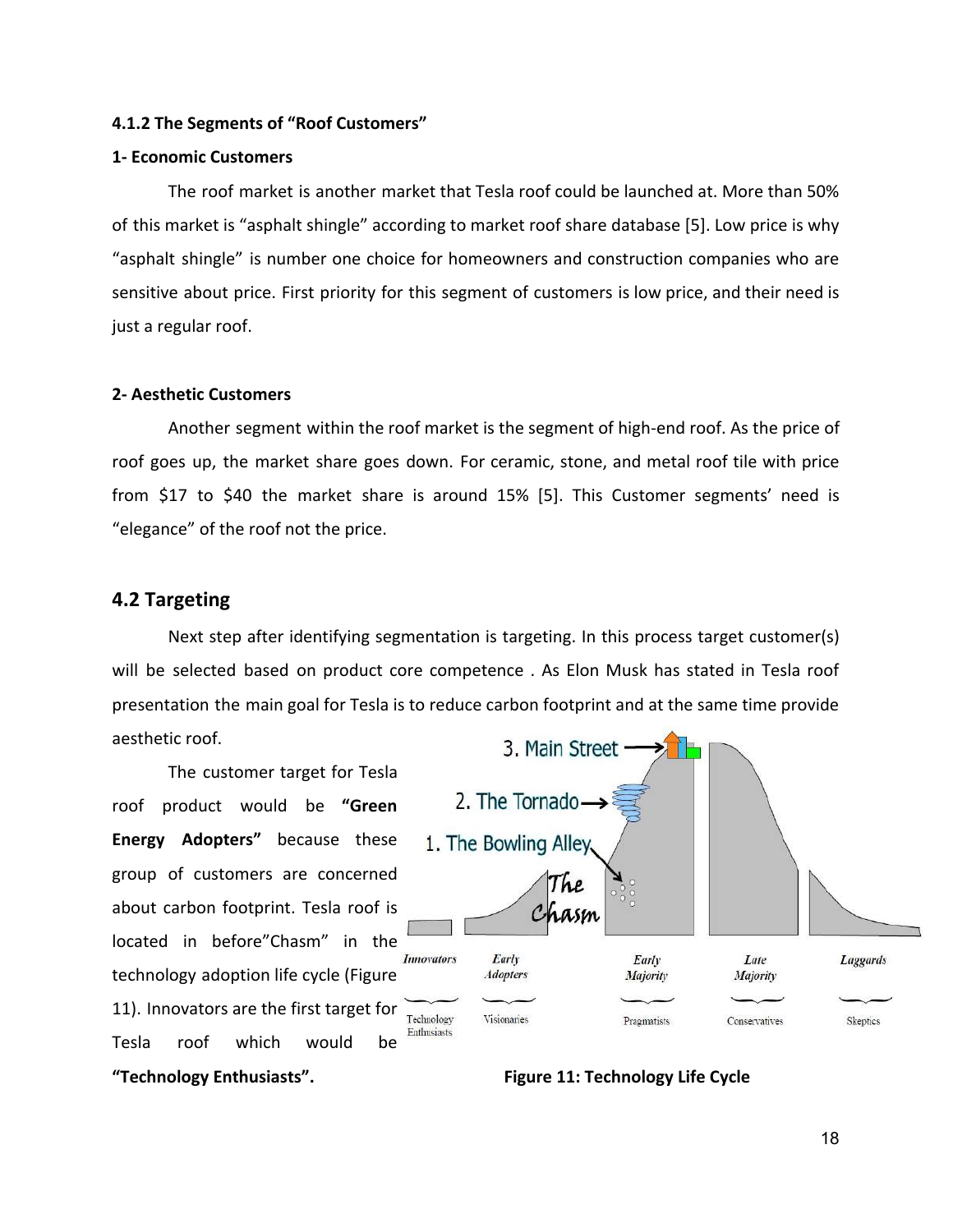#### **4.1.2 The Segments of "Roof Customers"**

#### **1- Economic Customers**

The roof market is another market that Tesla roof could be launched at. More than 50% of this market is "asphalt shingle" according to market roof share database [5]. Low price is why "asphalt shingle" is number one choice for homeowners and construction companies who are sensitive about price. First priority for this segment of customers is low price, and their need is just a regular roof.

#### **2- Aesthetic Customers**

Another segment within the roof market is the segment of high-end roof. As the price of roof goes up, the market share goes down. For ceramic, stone, and metal roof tile with price from \$17 to \$40 the market share is around 15% [5]. This Customer segments' need is "elegance" of the roof not the price.

#### **4.2 Targeting**

Next step after identifying segmentation is targeting. In this process target customer(s) will be selected based on product core competence . As Elon Musk has stated in Tesla roof presentation the main goal for Tesla is to reduce carbon footprint and at the same time provide aesthetic roof.

The customer target for Tesla roof product would be **"Green Energy Adopters"** because these group of customers are concerned about carbon footprint. Tesla roof is located in before"Chasm" in the technology adoption life cycle (Figure 11). Innovators are the first target for Tesla roof which would be **"Technology Enthusiasts". Figure 11: Technology Life Cycle**

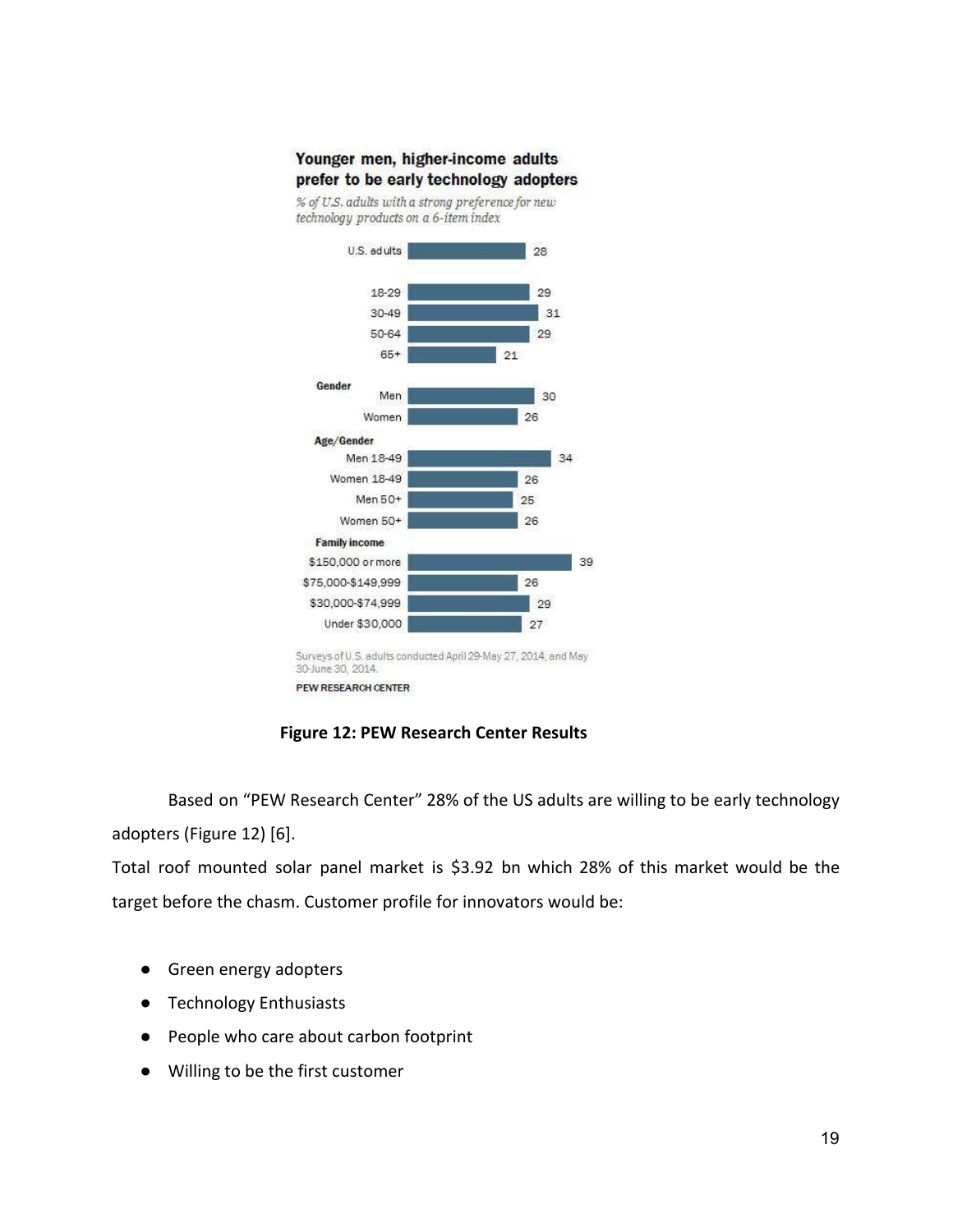#### Younger men, higher-income adults prefer to be early technology adopters

% of U.S. adults with a strong preference for new technology products on a 6-item index



**Figure 12: PEW Research Center Results**

Based on "PEW Research Center" 28% of the US adults are willing to be early technology adopters (Figure 12) [6].

Total roof mounted solar panel market is \$3.92 bn which 28% of this market would be the target before the chasm. Customer profile for innovators would be:

- Green energy adopters
- **Technology Enthusiasts**
- People who care about carbon footprint
- Willing to be the first customer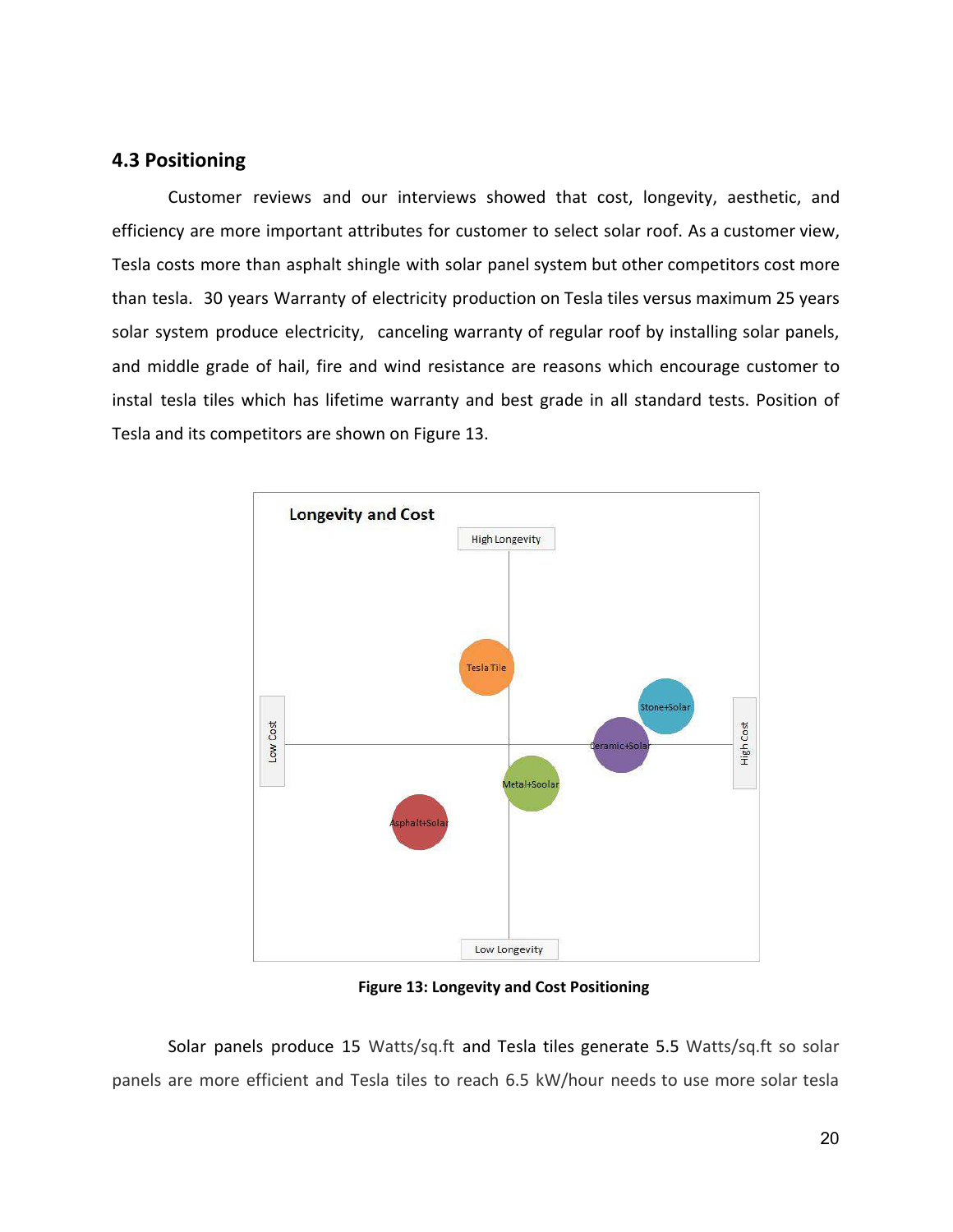#### **4.3 Positioning**

Customer reviews and our interviews showed that cost, longevity, aesthetic, and efficiency are more important attributes for customer to select solar roof. As a customer view, Tesla costs more than asphalt shingle with solar panel system but other competitors cost more than tesla. 30 years Warranty of electricity production on Tesla tiles versus maximum 25 years solar system produce electricity, canceling warranty of regular roof by installing solar panels, and middle grade of hail, fire and wind resistance are reasons which encourage customer to instal tesla tiles which has lifetime warranty and best grade in all standard tests. Position of Tesla and its competitors are shown on Figure 13.



**Figure 13: Longevity and Cost Positioning**

Solar panels produce 15 Watts/sq.ft and Tesla tiles generate 5.5 Watts/sq.ft so solar panels are more efficient and Tesla tiles to reach 6.5 kW/hour needs to use more solar tesla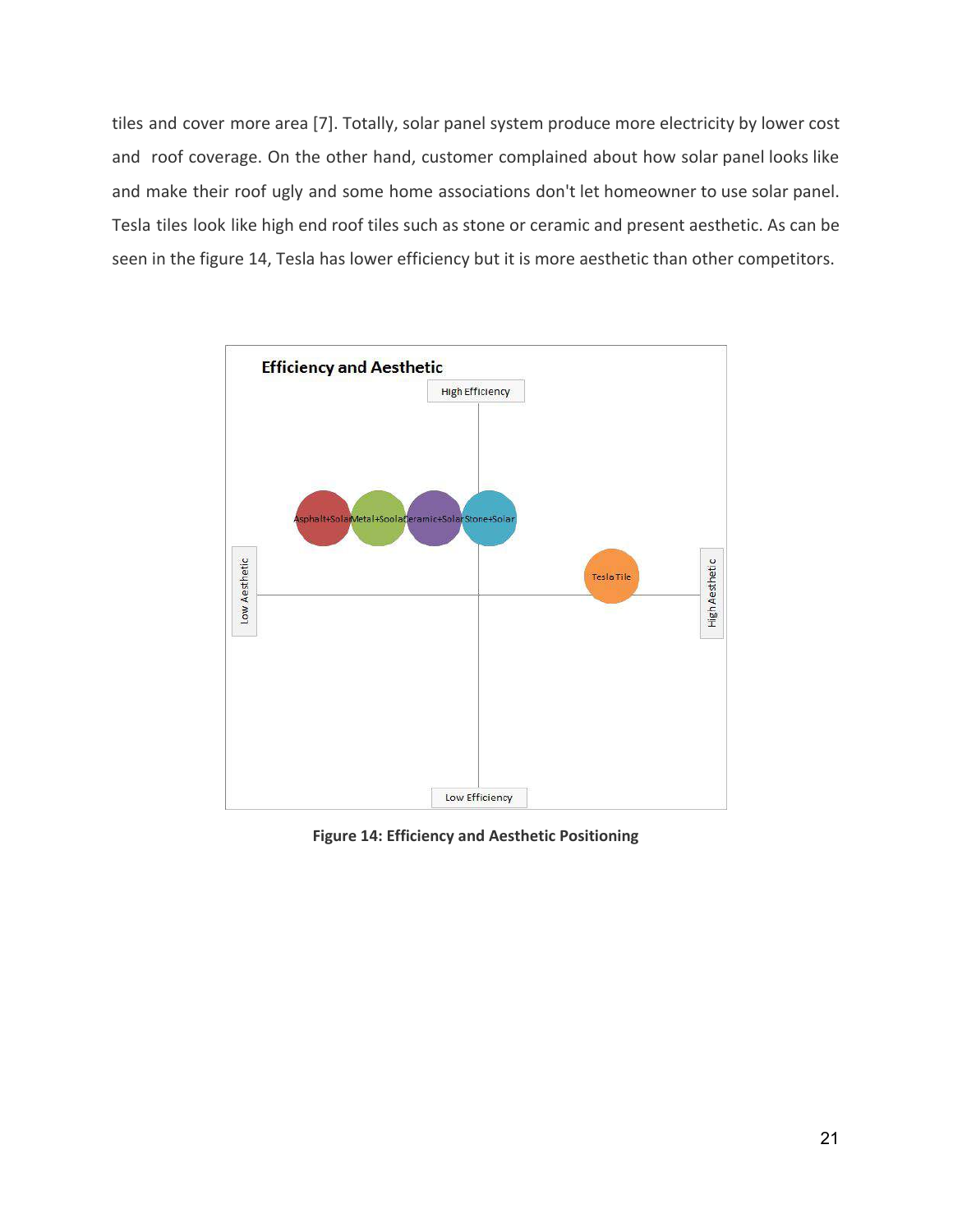tiles and cover more area [7]. Totally, solar panel system produce more electricity by lower cost and roof coverage. On the other hand, customer complained about how solar panel looks like and make their roof ugly and some home associations don't let homeowner to use solar panel. Tesla tiles look like high end roof tiles such as stone or ceramic and present aesthetic. As can be seen in the figure 14, Tesla has lower efficiency but it is more aesthetic than other competitors.



**Figure 14: Efficiency and Aesthetic Positioning**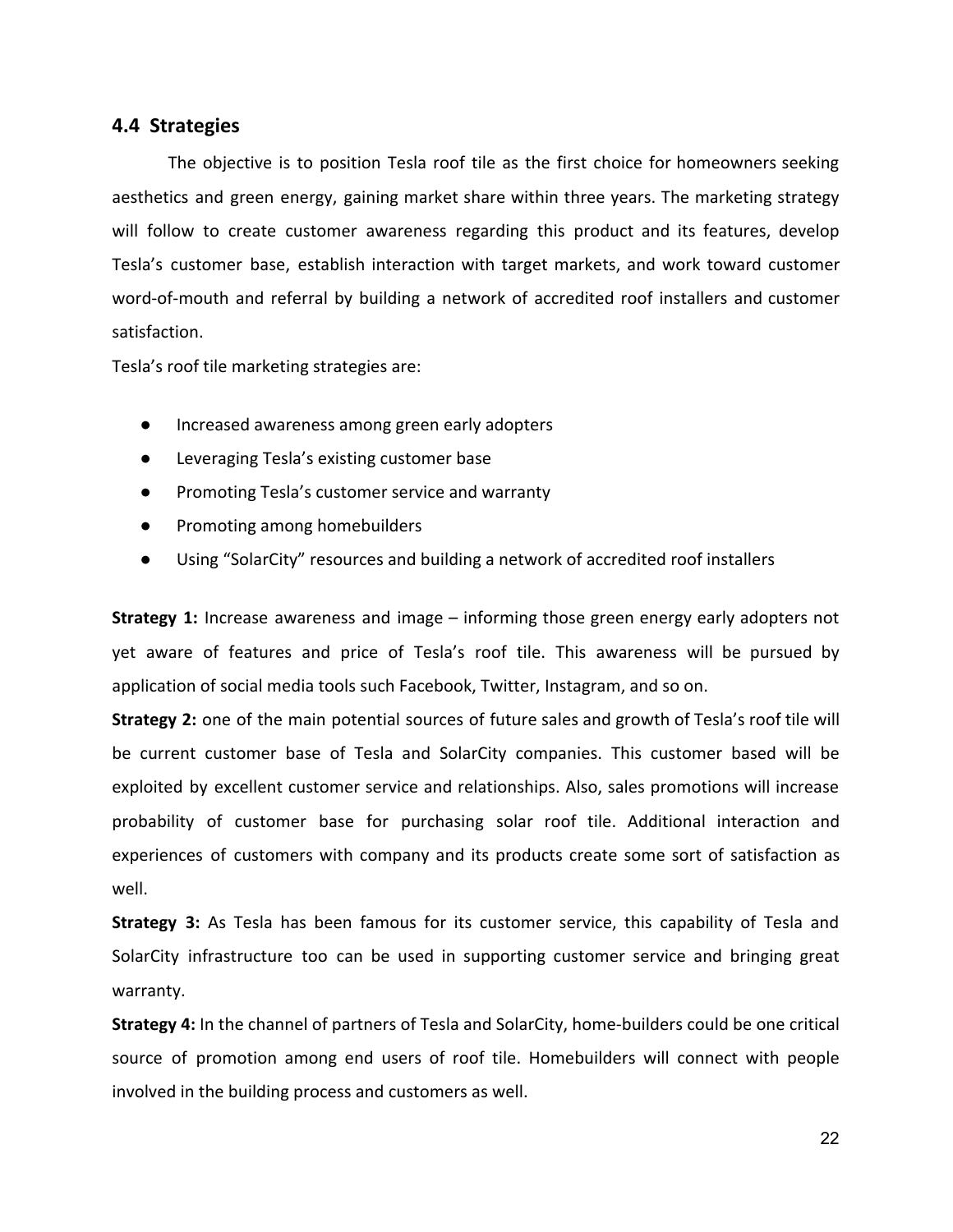#### **4.4 Strategies**

The objective is to position Tesla roof tile as the first choice for homeowners seeking aesthetics and green energy, gaining market share within three years. The marketing strategy will follow to create customer awareness regarding this product and its features, develop Tesla's customer base, establish interaction with target markets, and work toward customer word-of-mouth and referral by building a network of accredited roof installers and customer satisfaction.

Tesla's roof tile marketing strategies are:

- Increased awareness among green early adopters
- Leveraging Tesla's existing customer base
- Promoting Tesla's customer service and warranty
- Promoting among homebuilders
- Using "SolarCity" resources and building a network of accredited roof installers

**Strategy 1:** Increase awareness and image – informing those green energy early adopters not yet aware of features and price of Tesla's roof tile. This awareness will be pursued by application of social media tools such Facebook, Twitter, Instagram, and so on.

**Strategy 2:** one of the main potential sources of future sales and growth of Tesla's roof tile will be current customer base of Tesla and SolarCity companies. This customer based will be exploited by excellent customer service and relationships. Also, sales promotions will increase probability of customer base for purchasing solar roof tile. Additional interaction and experiences of customers with company and its products create some sort of satisfaction as well.

**Strategy 3:** As Tesla has been famous for its customer service, this capability of Tesla and SolarCity infrastructure too can be used in supporting customer service and bringing great warranty.

**Strategy 4:** In the channel of partners of Tesla and SolarCity, home-builders could be one critical source of promotion among end users of roof tile. Homebuilders will connect with people involved in the building process and customers as well.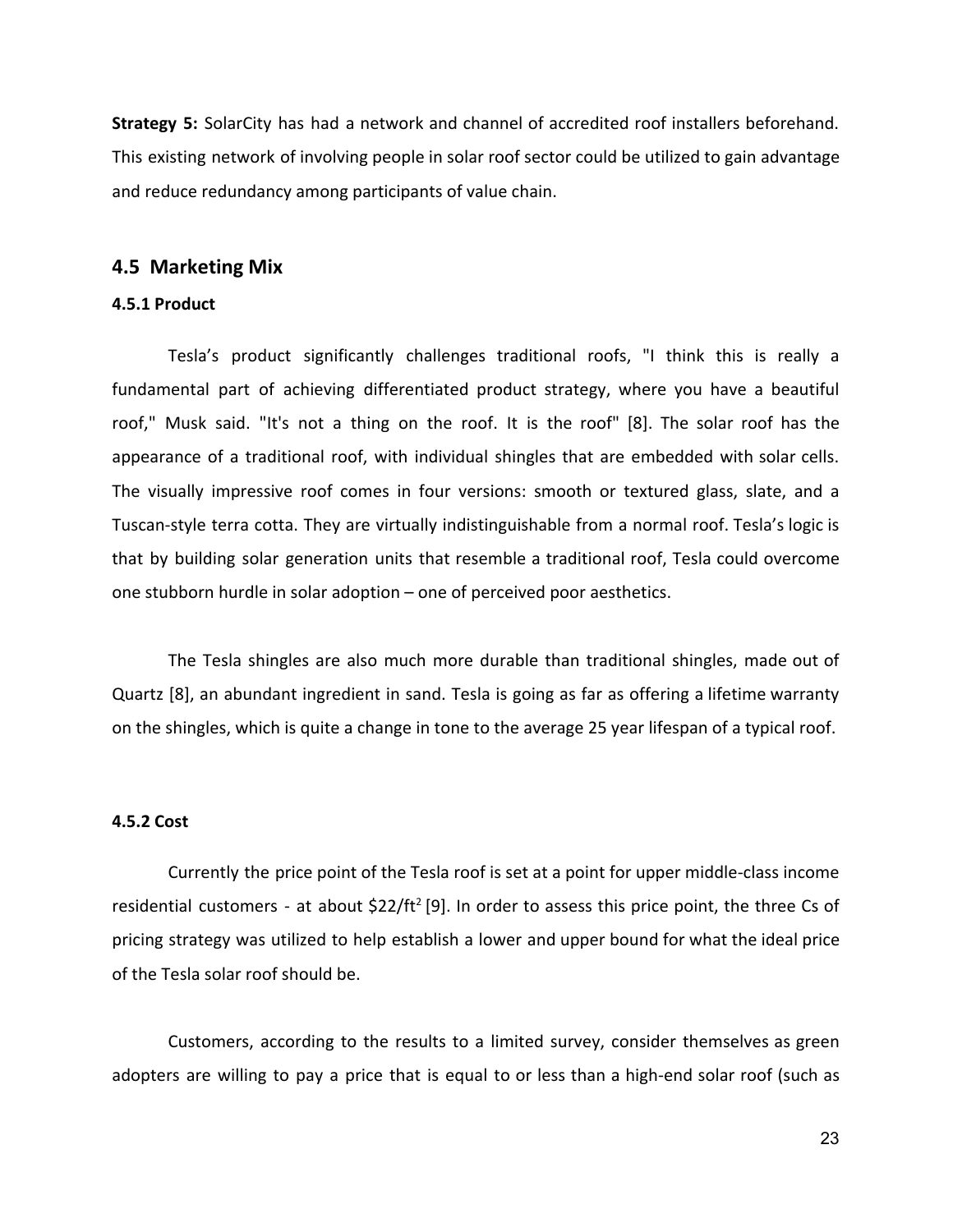**Strategy 5:** SolarCity has had a network and channel of accredited roof installers beforehand. This existing network of involving people in solar roof sector could be utilized to gain advantage and reduce redundancy among participants of value chain.

#### **4.5 Marketing Mix**

#### **4.5.1 Product**

Tesla's product significantly challenges traditional roofs, "I think this is really a fundamental part of achieving differentiated product strategy, where you have a beautiful roof," Musk said. "It's not a thing on the roof. It is the roof" [8]. The solar roof has the appearance of a traditional roof, with individual shingles that are embedded with solar cells. The visually impressive roof comes in four versions: smooth or textured glass, slate, and a Tuscan-style terra cotta. They are virtually indistinguishable from a normal roof. Tesla's logic is that by building solar generation units that resemble a traditional roof, Tesla could overcome one stubborn hurdle in solar adoption – one of perceived poor aesthetics.

The Tesla shingles are also much more durable than traditional shingles, made out of Quartz [8], an abundant ingredient in sand. Tesla is going as far as offering a lifetime warranty on the shingles, which is quite a change in tone to the average 25 year lifespan of a typical roof.

#### **4.5.2 Cost**

Currently the price point of the Tesla roof is set at a point for upper middle-class income residential customers - at about \$22/ft<sup>2</sup> [9]. In order to assess this price point, the three Cs of pricing strategy was utilized to help establish a lower and upper bound for what the ideal price of the Tesla solar roof should be.

Customers, according to the results to a limited survey, consider themselves as green adopters are willing to pay a price that is equal to or less than a high-end solar roof (such as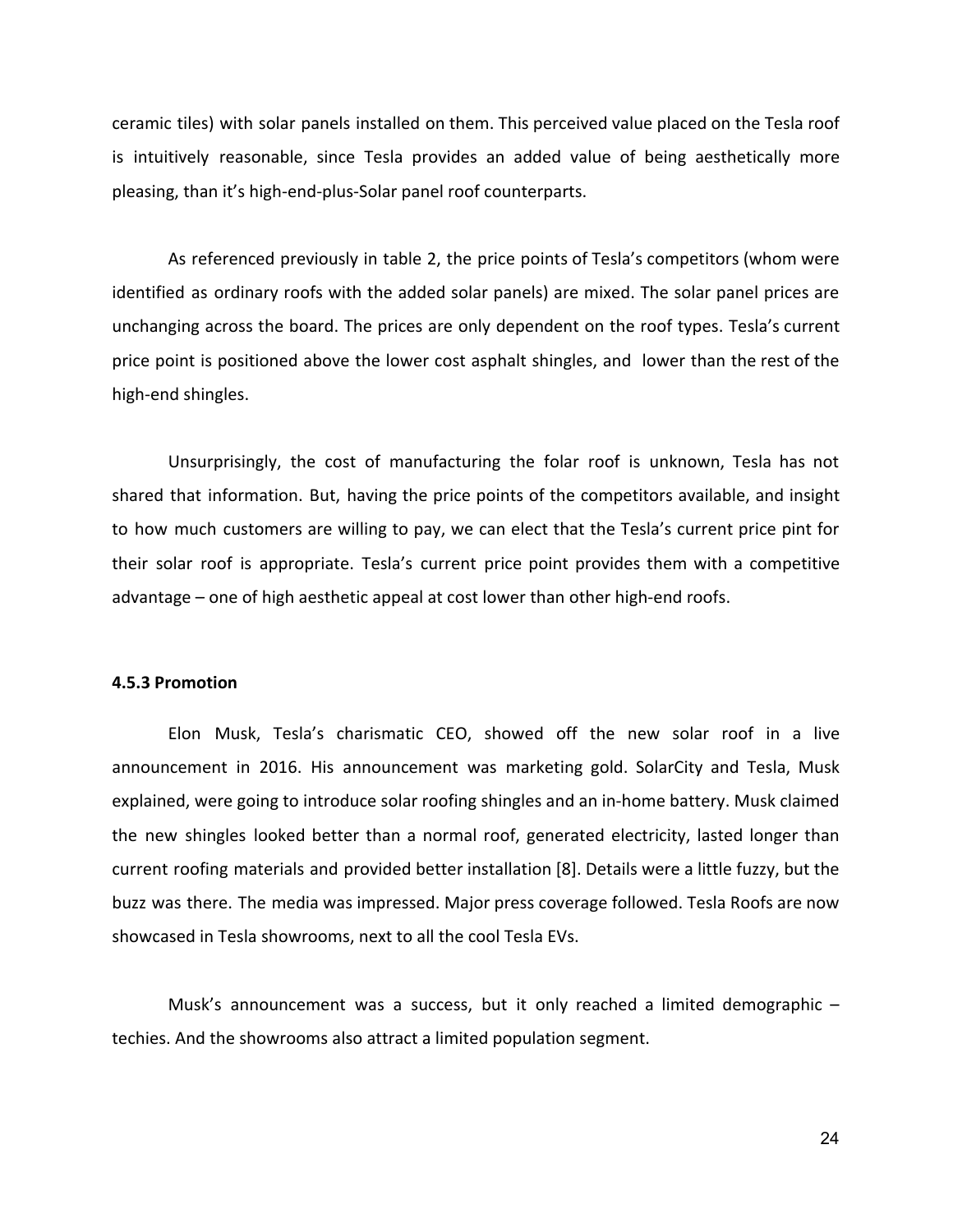ceramic tiles) with solar panels installed on them. This perceived value placed on the Tesla roof is intuitively reasonable, since Tesla provides an added value of being aesthetically more pleasing, than it's high-end-plus-Solar panel roof counterparts.

As referenced previously in table 2, the price points of Tesla's competitors (whom were identified as ordinary roofs with the added solar panels) are mixed. The solar panel prices are unchanging across the board. The prices are only dependent on the roof types. Tesla's current price point is positioned above the lower cost asphalt shingles, and lower than the rest of the high-end shingles.

Unsurprisingly, the cost of manufacturing the folar roof is unknown, Tesla has not shared that information. But, having the price points of the competitors available, and insight to how much customers are willing to pay, we can elect that the Tesla's current price pint for their solar roof is appropriate. Tesla's current price point provides them with a competitive advantage – one of high aesthetic appeal at cost lower than other high-end roofs.

#### **4.5.3 Promotion**

Elon Musk, Tesla's charismatic CEO, showed off the new solar roof in a live announcement in 2016. His announcement was marketing gold. SolarCity and Tesla, Musk explained, were going to introduce solar roofing shingles and an in-home battery. Musk claimed the new shingles looked better than a normal roof, generated electricity, lasted longer than current roofing materials and provided better installation [8]. Details were a little fuzzy, but the buzz was there. The media was impressed. Major press coverage followed. Tesla Roofs are now showcased in Tesla showrooms, next to all the cool Tesla EVs.

Musk's announcement was a success, but it only reached a limited demographic – techies. And the showrooms also attract a limited population segment.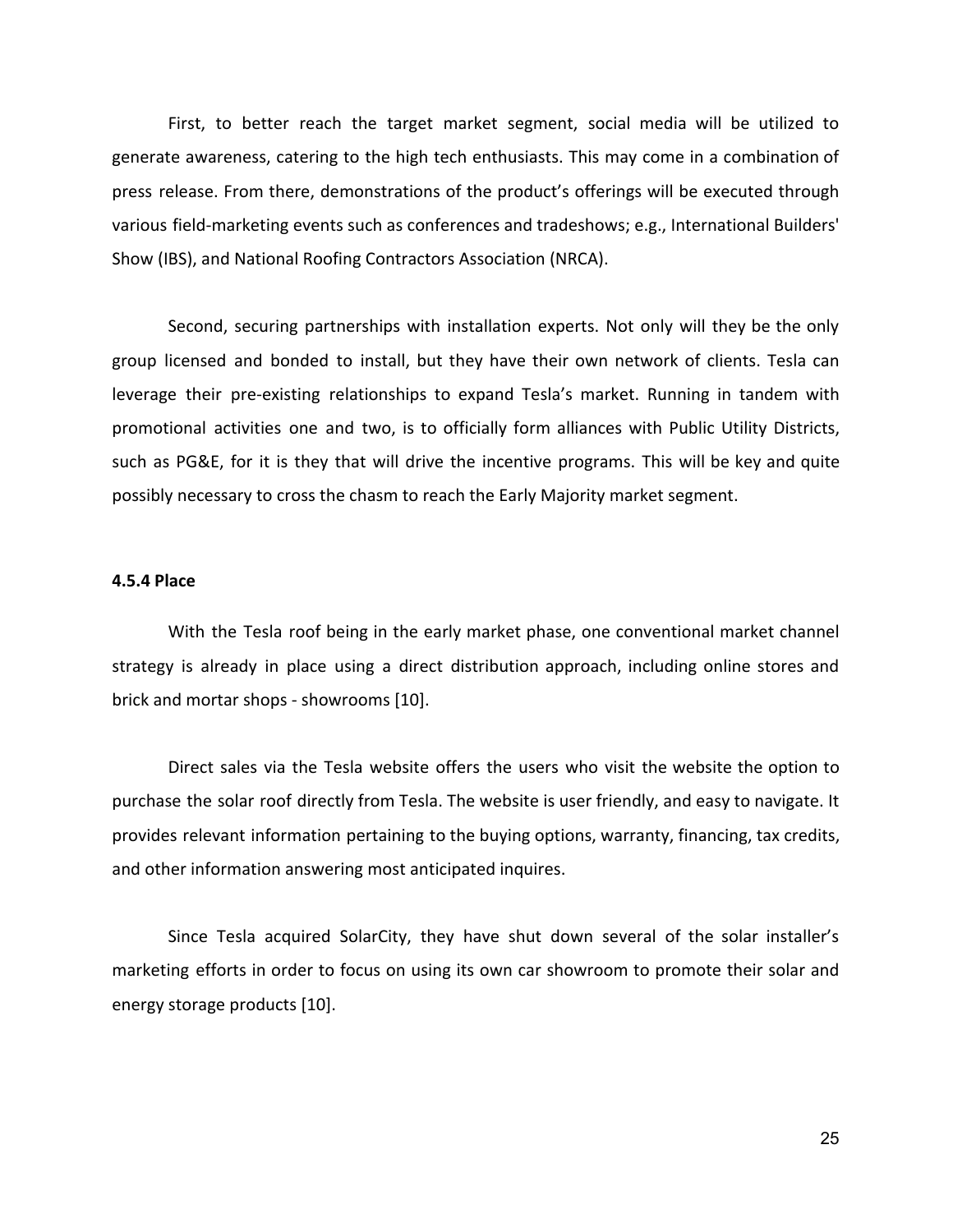First, to better reach the target market segment, social media will be utilized to generate awareness, catering to the high tech enthusiasts. This may come in a combination of press release. From there, demonstrations of the product's offerings will be executed through various field-marketing events such as conferences and tradeshows; e.g., International Builders' Show (IBS), and National Roofing Contractors Association (NRCA).

Second, securing partnerships with installation experts. Not only will they be the only group licensed and bonded to install, but they have their own network of clients. Tesla can leverage their pre-existing relationships to expand Tesla's market. Running in tandem with promotional activities one and two, is to officially form alliances with Public Utility Districts, such as PG&E, for it is they that will drive the incentive programs. This will be key and quite possibly necessary to cross the chasm to reach the Early Majority market segment.

#### **4.5.4 Place**

With the Tesla roof being in the early market phase, one conventional market channel strategy is already in place using a direct distribution approach, including online stores and brick and mortar shops - showrooms [10].

Direct sales via the Tesla website offers the users who visit the website the option to purchase the solar roof directly from Tesla. The website is user friendly, and easy to navigate. It provides relevant information pertaining to the buying options, warranty, financing, tax credits, and other information answering most anticipated inquires.

Since Tesla acquired SolarCity, they have shut down several of the solar installer's marketing efforts in order to focus on using its own car showroom to promote their solar and energy storage products [10].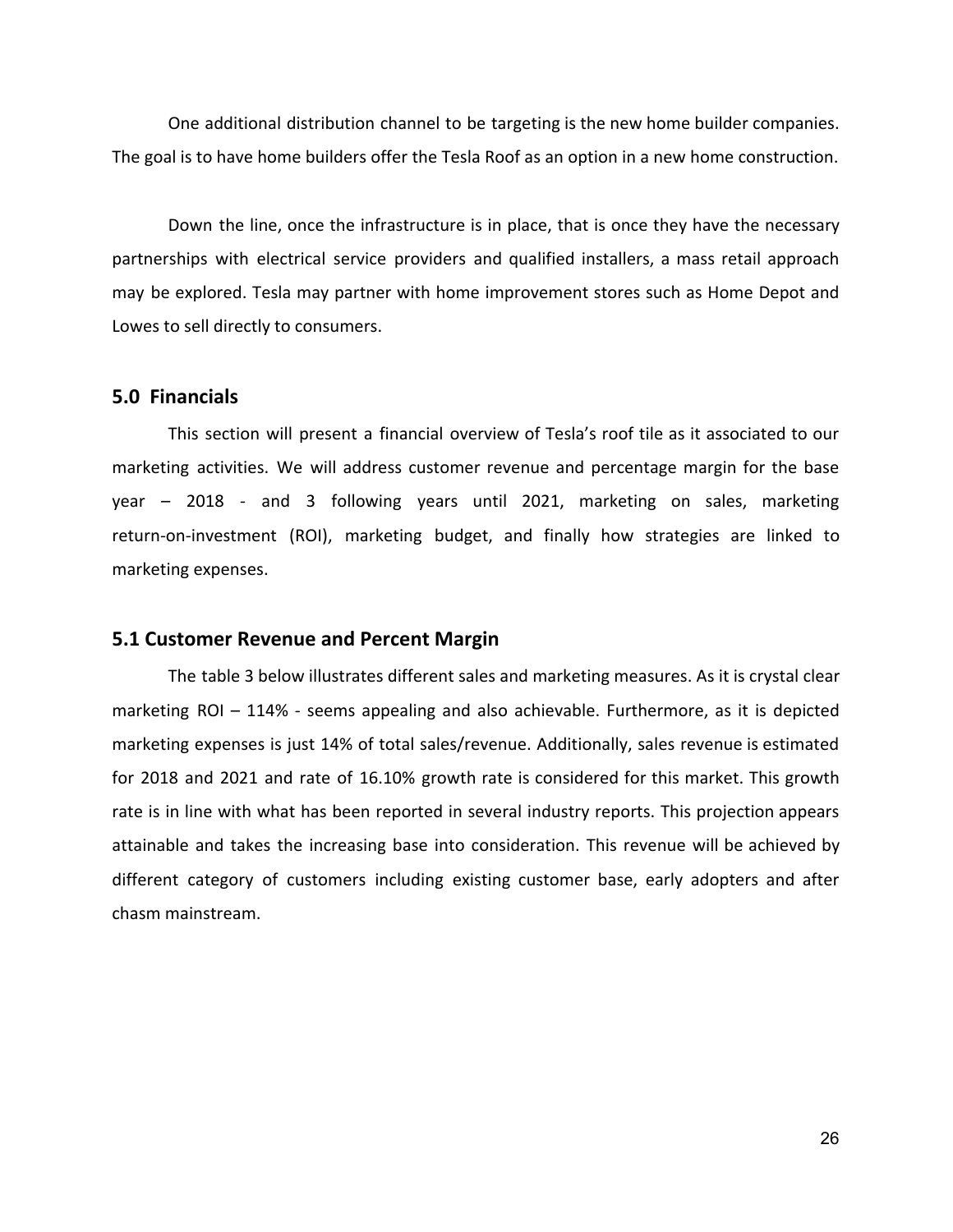One additional distribution channel to be targeting is the new home builder companies. The goal is to have home builders offer the Tesla Roof as an option in a new home construction.

Down the line, once the infrastructure is in place, that is once they have the necessary partnerships with electrical service providers and qualified installers, a mass retail approach may be explored. Tesla may partner with home improvement stores such as Home Depot and Lowes to sell directly to consumers.

#### **5.0 Financials**

This section will present a financial overview of Tesla's roof tile as it associated to our marketing activities. We will address customer revenue and percentage margin for the base year – 2018 - and 3 following years until 2021, marketing on sales, marketing return-on-investment (ROI), marketing budget, and finally how strategies are linked to marketing expenses.

#### **5.1 Customer Revenue and Percent Margin**

The table 3 below illustrates different sales and marketing measures. As it is crystal clear marketing ROI – 114% - seems appealing and also achievable. Furthermore, as it is depicted marketing expenses is just 14% of total sales/revenue. Additionally, sales revenue is estimated for 2018 and 2021 and rate of 16.10% growth rate is considered for this market. This growth rate is in line with what has been reported in several industry reports. This projection appears attainable and takes the increasing base into consideration. This revenue will be achieved by different category of customers including existing customer base, early adopters and after chasm mainstream.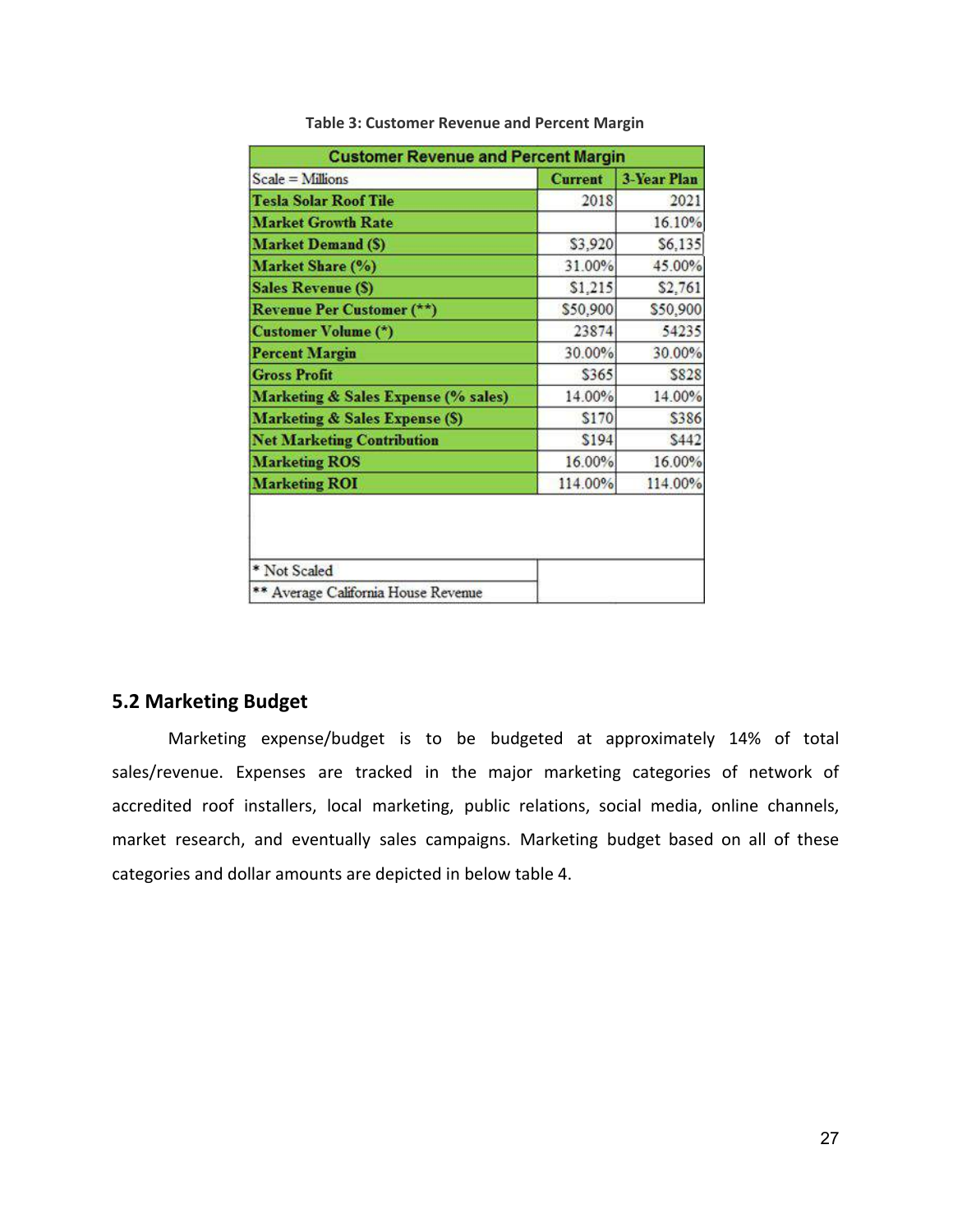| <b>Customer Revenue and Percent Margin</b> |                |                    |  |
|--------------------------------------------|----------------|--------------------|--|
| Scale = Millions                           | <b>Current</b> | <b>3-Year Plan</b> |  |
| <b>Tesla Solar Roof Tile</b>               | 2018           | 2021               |  |
| <b>Market Growth Rate</b>                  |                | 16.10%             |  |
| <b>Market Demand (S)</b>                   | \$3,920        | \$6,135            |  |
| Market Share (%)                           | 31.00%         | 45.00%             |  |
| <b>Sales Revenue (\$)</b>                  | \$1,215        | \$2,761            |  |
| <b>Revenue Per Customer (**)</b>           | \$50,900       | \$50,900           |  |
| <b>Customer Volume (*)</b>                 | 23874          | 54235              |  |
| <b>Percent Margin</b>                      | 30.00%         | 30.00%             |  |
| <b>Gross Profit</b>                        | \$365          | \$828              |  |
| Marketing & Sales Expense (% sales)        | 14.00%         | 14.00%             |  |
| <b>Marketing &amp; Sales Expense (S)</b>   | \$170          | \$386              |  |
| <b>Net Marketing Contribution</b>          | \$194          | <b>S442</b>        |  |
| <b>Marketing ROS</b>                       | 16.00%         | 16.00%             |  |
| <b>Marketing ROI</b>                       | 114.00%        | 114.00%            |  |

**Table 3: Customer Revenue and Percent Margin**

#### **5.2 Marketing Budget**

Marketing expense/budget is to be budgeted at approximately 14% of total sales/revenue. Expenses are tracked in the major marketing categories of network of accredited roof installers, local marketing, public relations, social media, online channels, market research, and eventually sales campaigns. Marketing budget based on all of these categories and dollar amounts are depicted in below table 4.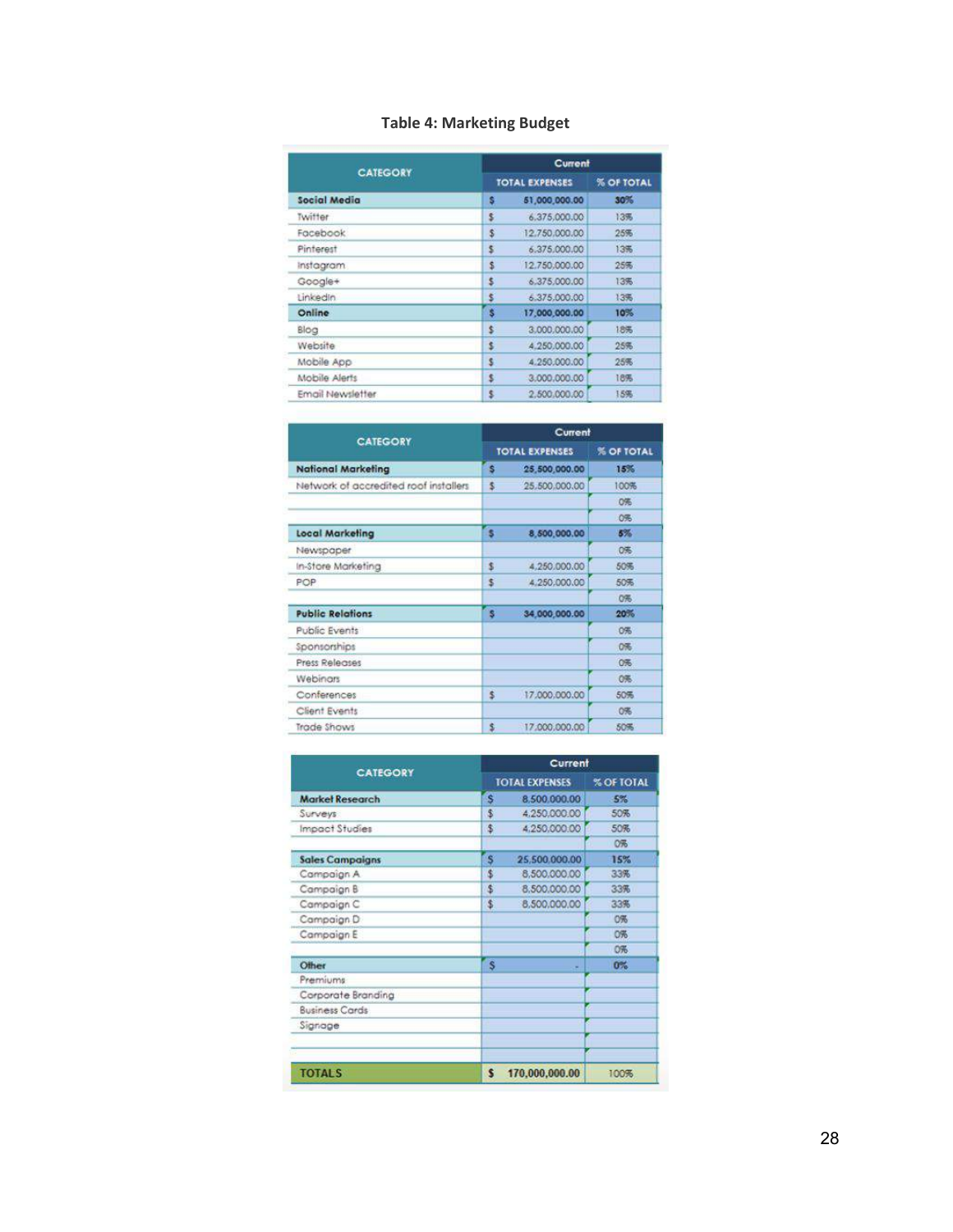## **Table 4: Marketing Budget**

|                  | Current |                       |     |  |
|------------------|---------|-----------------------|-----|--|
| <b>CATEGORY</b>  |         | <b>TOTAL EXPENSES</b> |     |  |
| Social Media     | s       | 51,000,000.00         | 30% |  |
| Twiffer          | s       | 6.375,000.00          | 13% |  |
| Facebook         | \$      | 12,750,000,00         | 25% |  |
| Pinterest        | \$      | 6.375.000.00          | 13% |  |
| <i>instagram</i> | S       | 12.750.000.00         | 25% |  |
| Google+          | \$      | 6.375.000.00          | 13% |  |
| Linkedin         | š       | 6.375.000.00          | 13% |  |
| Online           | 3       | 17,000,000.00         | 10% |  |
| Blog             | \$      | 3,000,000,00          | 18% |  |
| Website          | s       | 4.250.000.00          | 25% |  |
| Mobile App       | s       | 4.250.000.00          | 25% |  |
| Mobile Alerts    | \$      | 3.000.000.00          | 18% |  |
| Email Newsletter | \$      | 2.500.000.00          | 15% |  |

| <b>CATEGORY</b><br><b>National Marketing</b> |                | Current        |                   |  |
|----------------------------------------------|----------------|----------------|-------------------|--|
|                                              |                | TOTAL EXPENSES | <b>% OF TOTAL</b> |  |
|                                              |                | 25,500,000.00  | 15%               |  |
| Network of accredited roof installers        | \$             | 25.500.000.00  | 100%              |  |
|                                              |                |                | 0%                |  |
|                                              |                |                | 0%                |  |
| <b>Local Marketing</b>                       | 5 <sub>u</sub> | 8,500,000.00   | 5%                |  |
| Newspaper                                    |                |                | 0%                |  |
| In-Store Marketina                           | \$             | 4.250.000.00   | 50%               |  |
| POP                                          | \$             | 4,250,000,00   | 50%               |  |
|                                              |                |                | 0%                |  |
| <b>Public Relations</b>                      | <b>S</b>       | 34,000,000.00  | 20%               |  |
| <b>Public Events</b>                         |                |                | O%                |  |
| Sponsorships                                 |                |                | 0%                |  |
| <b>Press Releases</b>                        |                |                | 0%                |  |
| Webinars                                     |                |                | 0%                |  |
| Conferences                                  | \$             | 17.000.000.00  | 50%               |  |
| Client Events                                |                |                | O%                |  |
| Trade Shows                                  | s              | 17.000.000.00  | 50%               |  |

| <b>CATEGORY</b>        |                         | Current               |      |  |  |
|------------------------|-------------------------|-----------------------|------|--|--|
|                        |                         | <b>TOTAL EXPENSES</b> |      |  |  |
| <b>Market Research</b> | $\mathbf{s}$            | 8.500.000.00          | 5%   |  |  |
| Surveys                | \$                      | 4.250.000.00          | 50%  |  |  |
| Impact Studies         | \$                      | 4.250.000.00          | 50%  |  |  |
|                        |                         |                       | 0%   |  |  |
| <b>Sales Campaigns</b> | s                       | 25,500,000.00         | 15%  |  |  |
| Campaign A             | \$                      | 8,500,000.00          | 33%  |  |  |
| Campaign B             | \$                      | 8,500,000.00          | 33%  |  |  |
| Campaign C             | \$                      | 8,500,000,00          | 33%  |  |  |
| Campaign D             |                         |                       | 0%   |  |  |
| Campaign E             |                         |                       | 0%   |  |  |
|                        |                         |                       | O%   |  |  |
| Other                  | $\overline{\mathbf{s}}$ |                       | 0%   |  |  |
| Premiums               |                         |                       |      |  |  |
| Corporate Branding     |                         |                       |      |  |  |
| <b>Business Cards</b>  |                         |                       |      |  |  |
| Signage                |                         |                       |      |  |  |
|                        |                         |                       |      |  |  |
|                        |                         |                       |      |  |  |
| <b>TOTALS</b>          | s                       | 170.000.000.00        | 100% |  |  |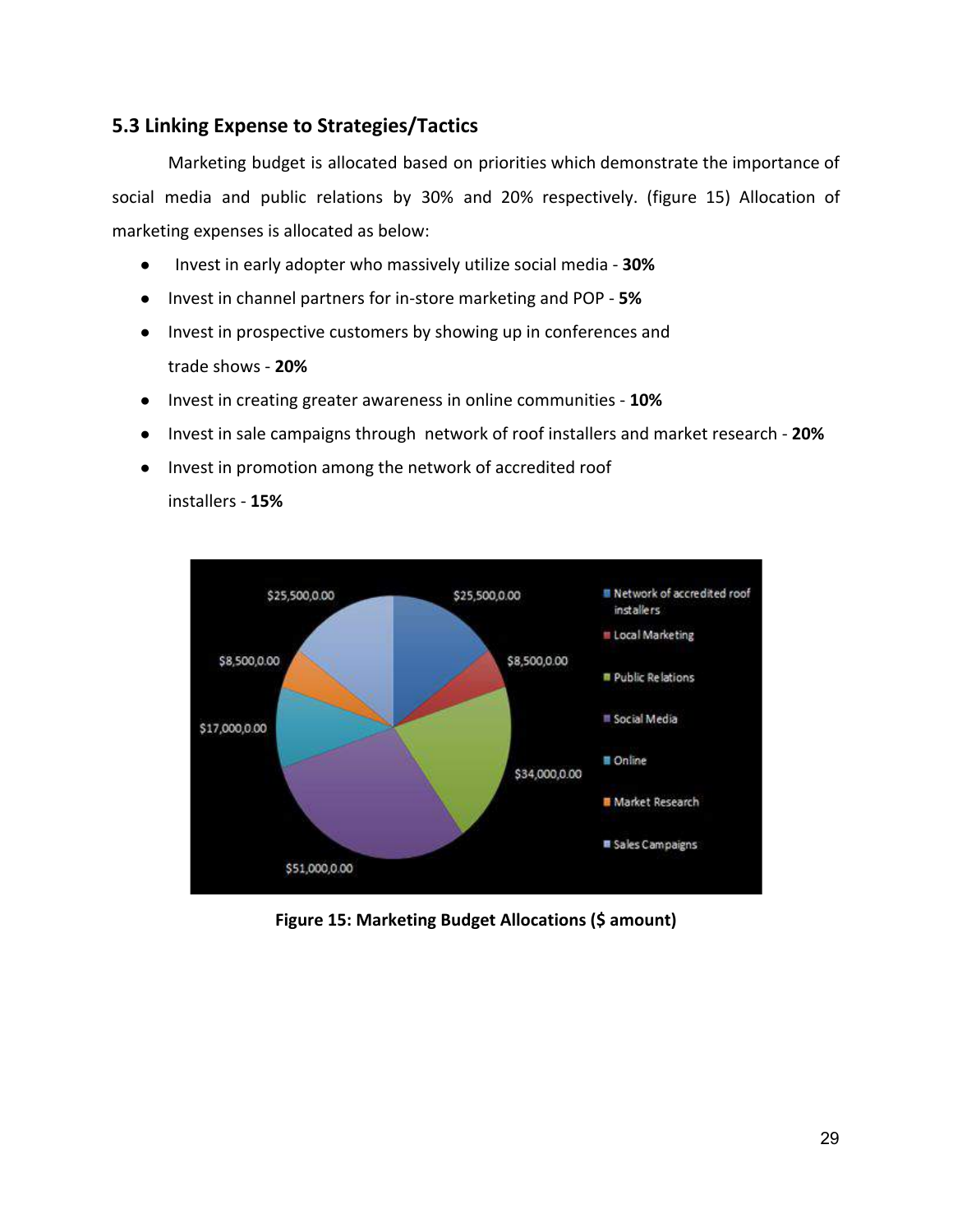## **5.3 Linking Expense to Strategies/Tactics**

Marketing budget is allocated based on priorities which demonstrate the importance of social media and public relations by 30% and 20% respectively. (figure 15) Allocation of marketing expenses is allocated as below:

- Invest in early adopter who massively utilize social media **30%**
- Invest in channel partners for in-store marketing and POP **5%**
- Invest in prospective customers by showing up in conferences and trade shows - **20%**
- Invest in creating greater awareness in online communities **10%**
- Invest in sale campaigns through network of roof installers and market research **20%**
- Invest in promotion among the network of accredited roof installers - **15%**



**Figure 15: Marketing Budget Allocations (\$ amount)**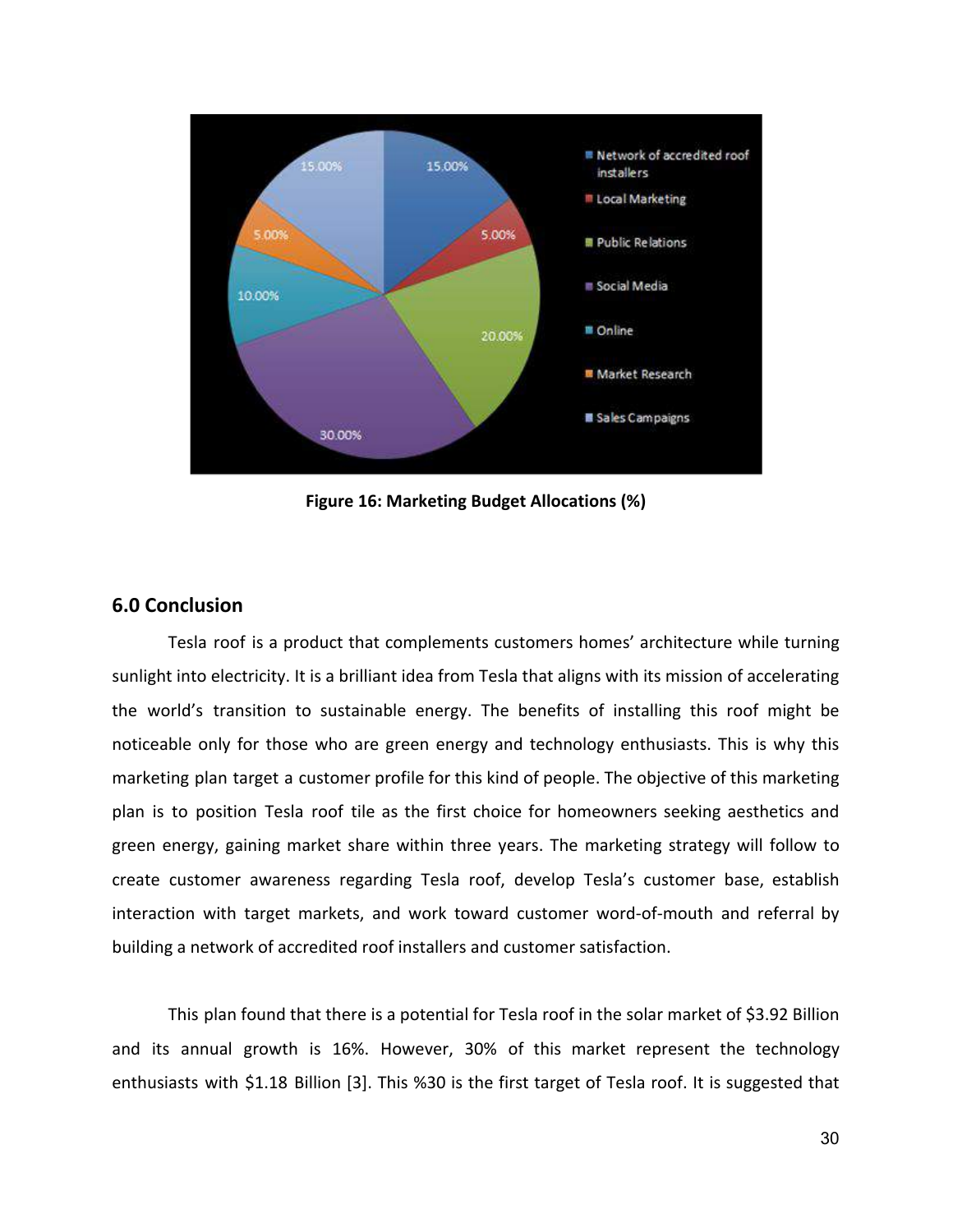

**Figure 16: Marketing Budget Allocations (%)**

#### **6.0 Conclusion**

Tesla roof is a product that complements customers homes' architecture while turning sunlight into electricity. It is a brilliant idea from Tesla that aligns with its mission of accelerating the world's transition to sustainable energy. The benefits of installing this roof might be noticeable only for those who are green energy and technology enthusiasts. This is why this marketing plan target a customer profile for this kind of people. The objective of this marketing plan is to position Tesla roof tile as the first choice for homeowners seeking aesthetics and green energy, gaining market share within three years. The marketing strategy will follow to create customer awareness regarding Tesla roof, develop Tesla's customer base, establish interaction with target markets, and work toward customer word-of-mouth and referral by building a network of accredited roof installers and customer satisfaction.

This plan found that there is a potential for Tesla roof in the solar market of \$3.92 Billion and its annual growth is 16%. However, 30% of this market represent the technology enthusiasts with \$1.18 Billion [3]. This %30 is the first target of Tesla roof. It is suggested that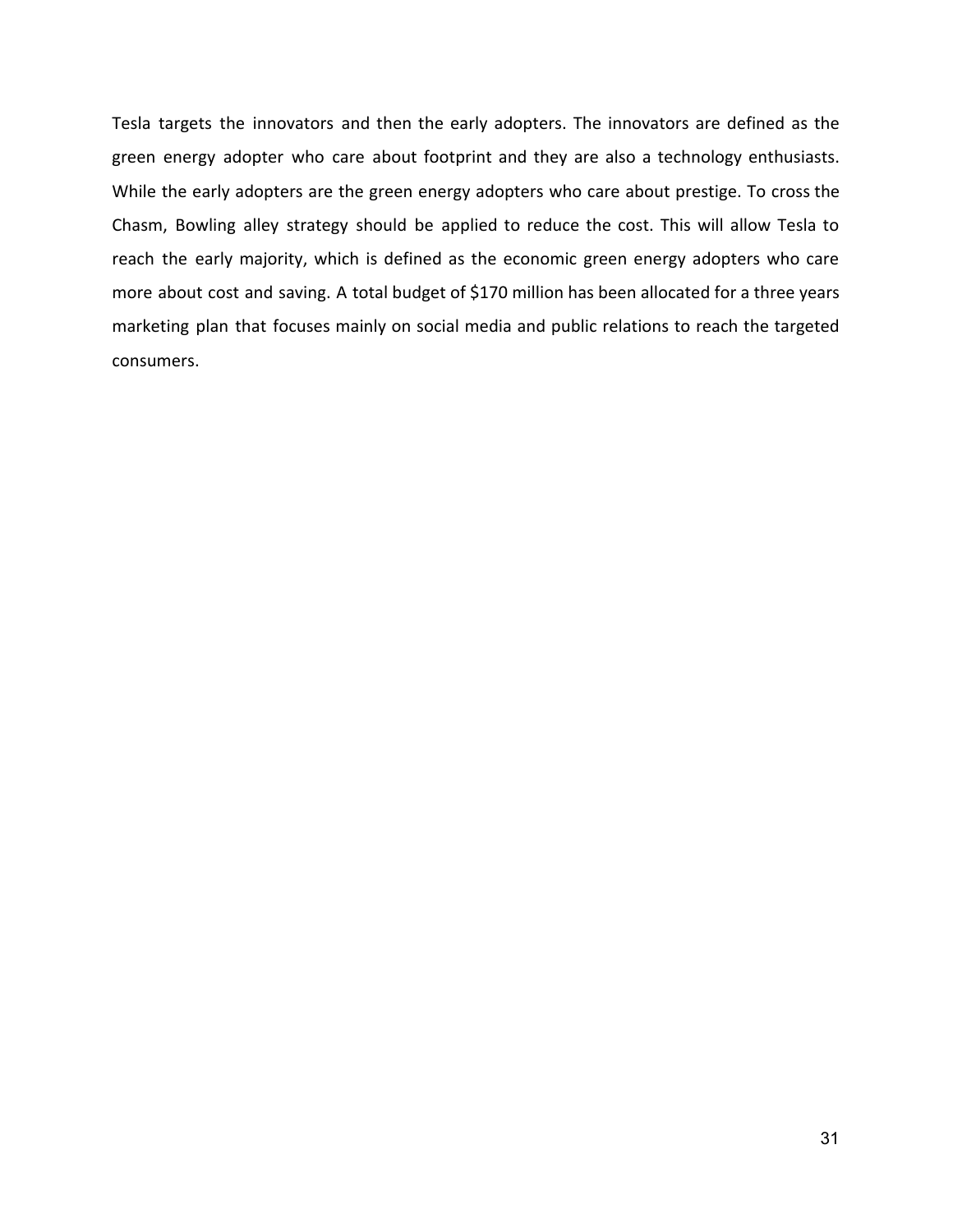Tesla targets the innovators and then the early adopters. The innovators are defined as the green energy adopter who care about footprint and they are also a technology enthusiasts. While the early adopters are the green energy adopters who care about prestige. To cross the Chasm, Bowling alley strategy should be applied to reduce the cost. This will allow Tesla to reach the early majority, which is defined as the economic green energy adopters who care more about cost and saving. A total budget of \$170 million has been allocated for a three years marketing plan that focuses mainly on social media and public relations to reach the targeted consumers.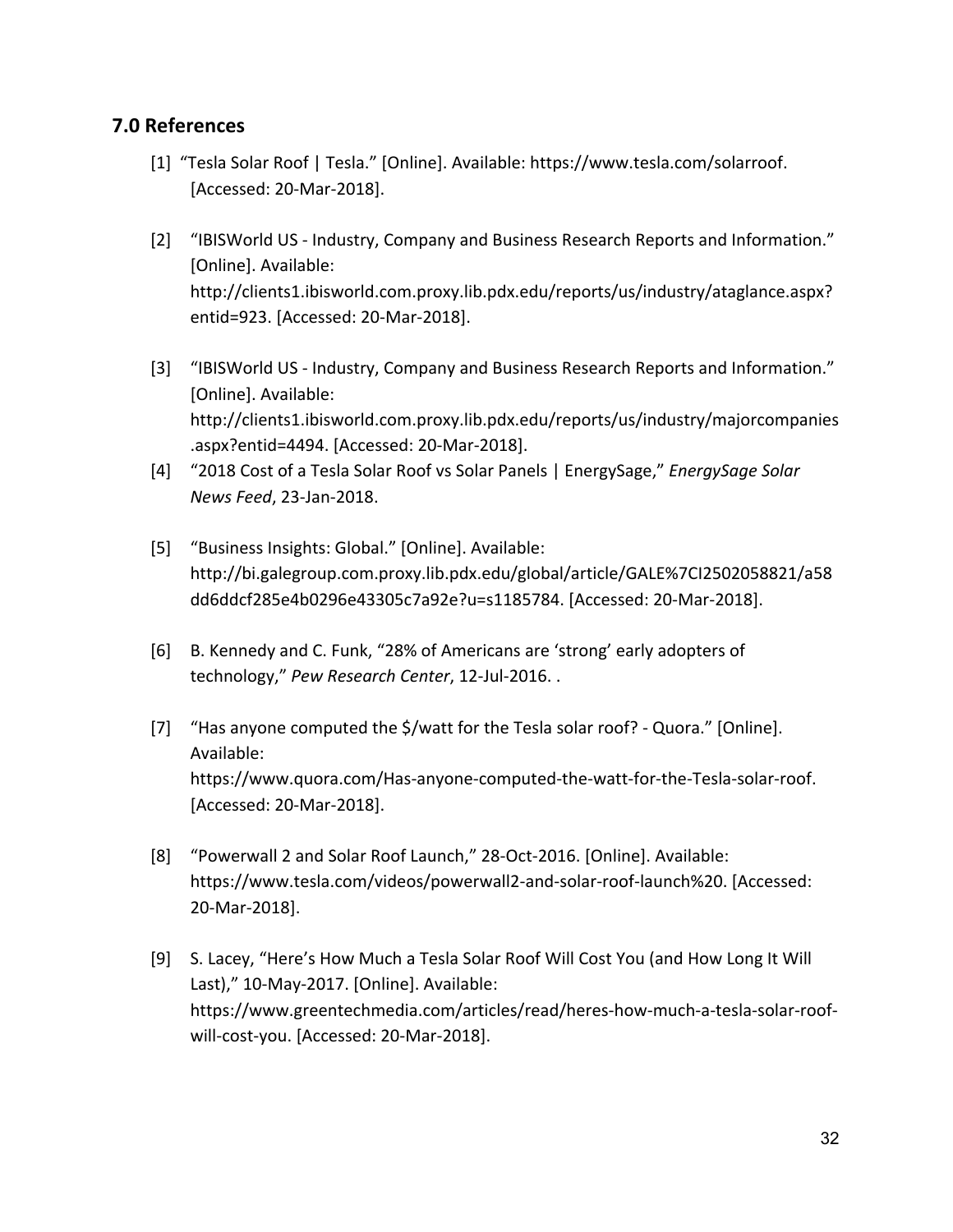## **7.0 References**

- [1] "Tesla Solar Roof | Tesla." [Online]. Available: https://www.tesla.com/solarroof. [Accessed: 20-Mar-2018].
- [2] "IBISWorld US Industry, Company and Business Research Reports and Information." [Online]. Available: http://clients1.ibisworld.com.proxy.lib.pdx.edu/reports/us/industry/ataglance.aspx? entid=923. [Accessed: 20-Mar-2018].
- [3] "IBISWorld US Industry, Company and Business Research Reports and Information." [Online]. Available: http://clients1.ibisworld.com.proxy.lib.pdx.edu/reports/us/industry/majorcompanies .aspx?entid=4494. [Accessed: 20-Mar-2018].
- [4] "2018 Cost of a Tesla Solar Roof vs Solar Panels | EnergySage," *EnergySage Solar News Feed*, 23-Jan-2018.
- [5] "Business Insights: Global." [Online]. Available: http://bi.galegroup.com.proxy.lib.pdx.edu/global/article/GALE%7CI2502058821/a58 dd6ddcf285e4b0296e43305c7a92e?u=s1185784. [Accessed: 20-Mar-2018].
- [6] B. Kennedy and C. Funk, "28% of Americans are 'strong' early adopters of technology," *Pew Research Center*, 12-Jul-2016. .
- [7] "Has anyone computed the \$/watt for the Tesla solar roof? Quora." [Online]. Available: https://www.quora.com/Has-anyone-computed-the-watt-for-the-Tesla-solar-roof. [Accessed: 20-Mar-2018].
- [8] "Powerwall 2 and Solar Roof Launch," 28-Oct-2016. [Online]. Available: https://www.tesla.com/videos/powerwall2-and-solar-roof-launch%20. [Accessed: 20-Mar-2018].
- [9] S. Lacey, "Here's How Much a Tesla Solar Roof Will Cost You (and How Long It Will Last)," 10-May-2017. [Online]. Available: https://www.greentechmedia.com/articles/read/heres-how-much-a-tesla-solar-roofwill-cost-you. [Accessed: 20-Mar-2018].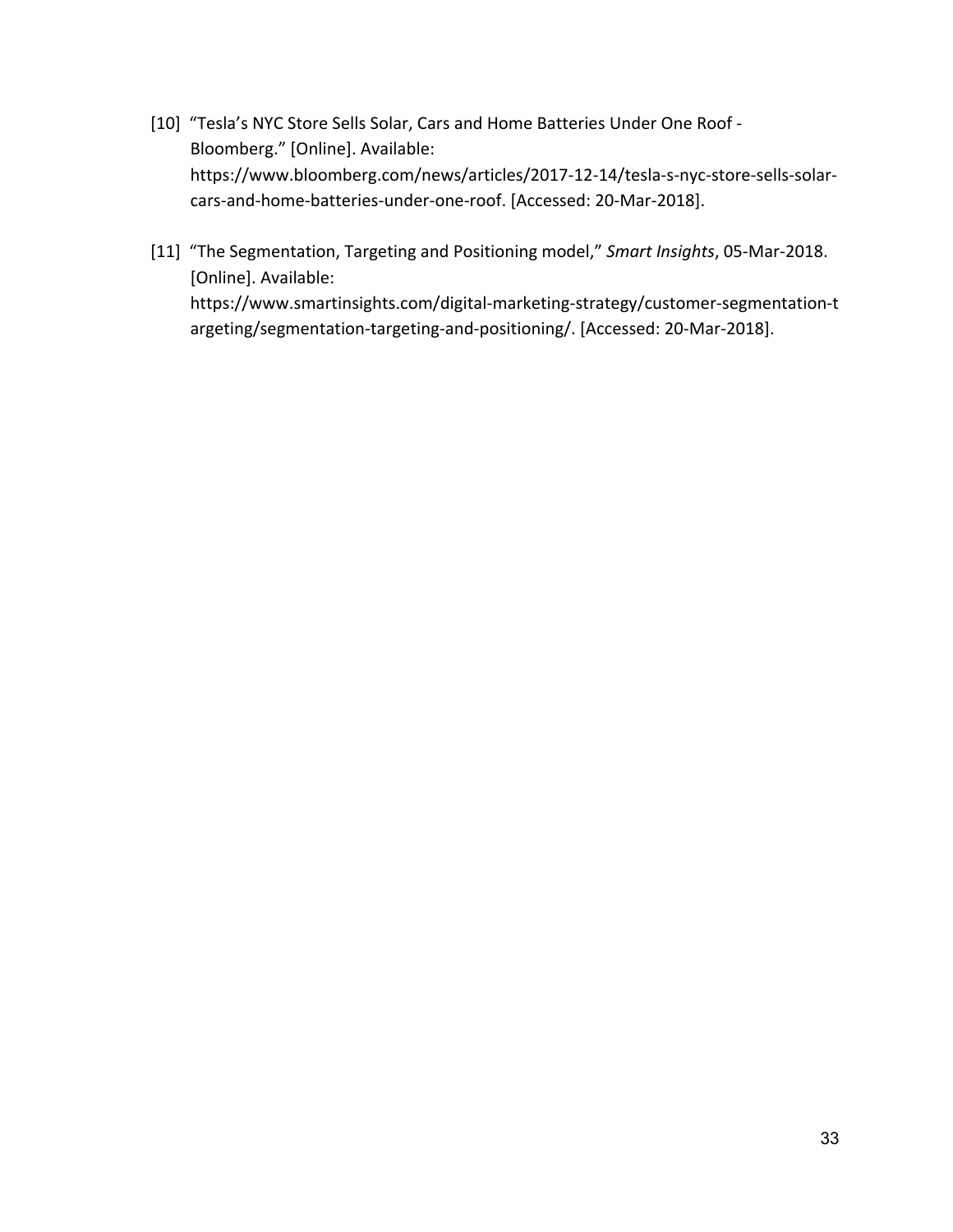- [10] "Tesla's NYC Store Sells Solar, Cars and Home Batteries Under One Roof Bloomberg." [Online]. Available: https://www.bloomberg.com/news/articles/2017-12-14/tesla-s-nyc-store-sells-solarcars-and-home-batteries-under-one-roof. [Accessed: 20-Mar-2018].
- [11] "The Segmentation, Targeting and Positioning model," *Smart Insights*, 05-Mar-2018. [Online]. Available: https://www.smartinsights.com/digital-marketing-strategy/customer-segmentation-t argeting/segmentation-targeting-and-positioning/. [Accessed: 20-Mar-2018].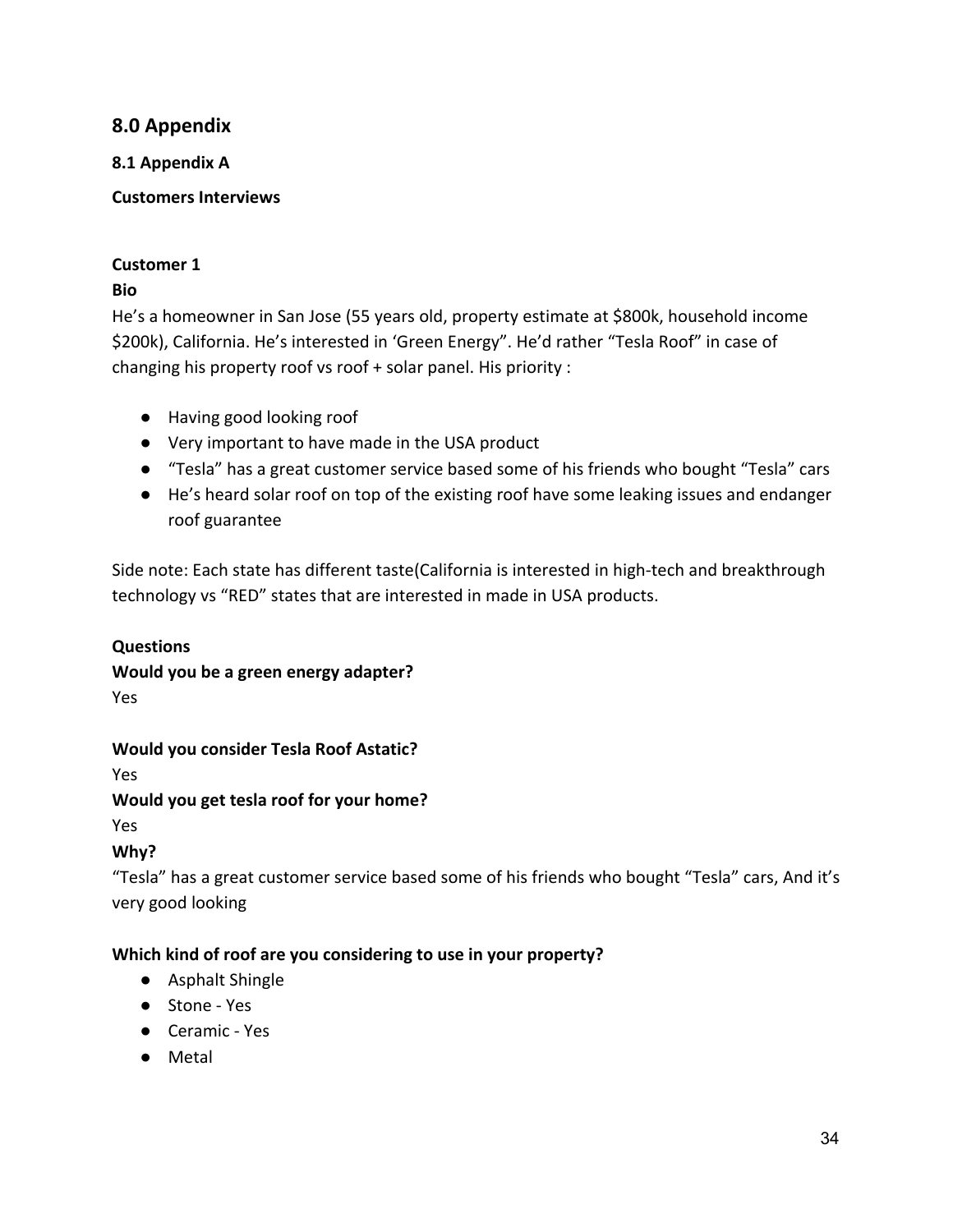## **8.0 Appendix**

#### **8.1 Appendix A**

**Customers Interviews**

## **Customer 1**

## **Bio**

He's a homeowner in San Jose (55 years old, property estimate at \$800k, household income \$200k), California. He's interested in 'Green Energy". He'd rather "Tesla Roof" in case of changing his property roof vs roof + solar panel. His priority :

- Having good looking roof
- Very important to have made in the USA product
- "Tesla" has a great customer service based some of his friends who bought "Tesla" cars
- He's heard solar roof on top of the existing roof have some leaking issues and endanger roof guarantee

Side note: Each state has different taste(California is interested in high-tech and breakthrough technology vs "RED" states that are interested in made in USA products.

## **Questions**

#### **Would you be a green energy adapter?** Yes

## **Would you consider Tesla Roof Astatic?**

Yes

## **Would you get tesla roof for your home?**

Yes

# **Why?**

"Tesla" has a great customer service based some of his friends who bought "Tesla" cars, And it's very good looking

## **Which kind of roof are you considering to use in your property?**

- Asphalt Shingle
- Stone Yes
- Ceramic Yes
- Metal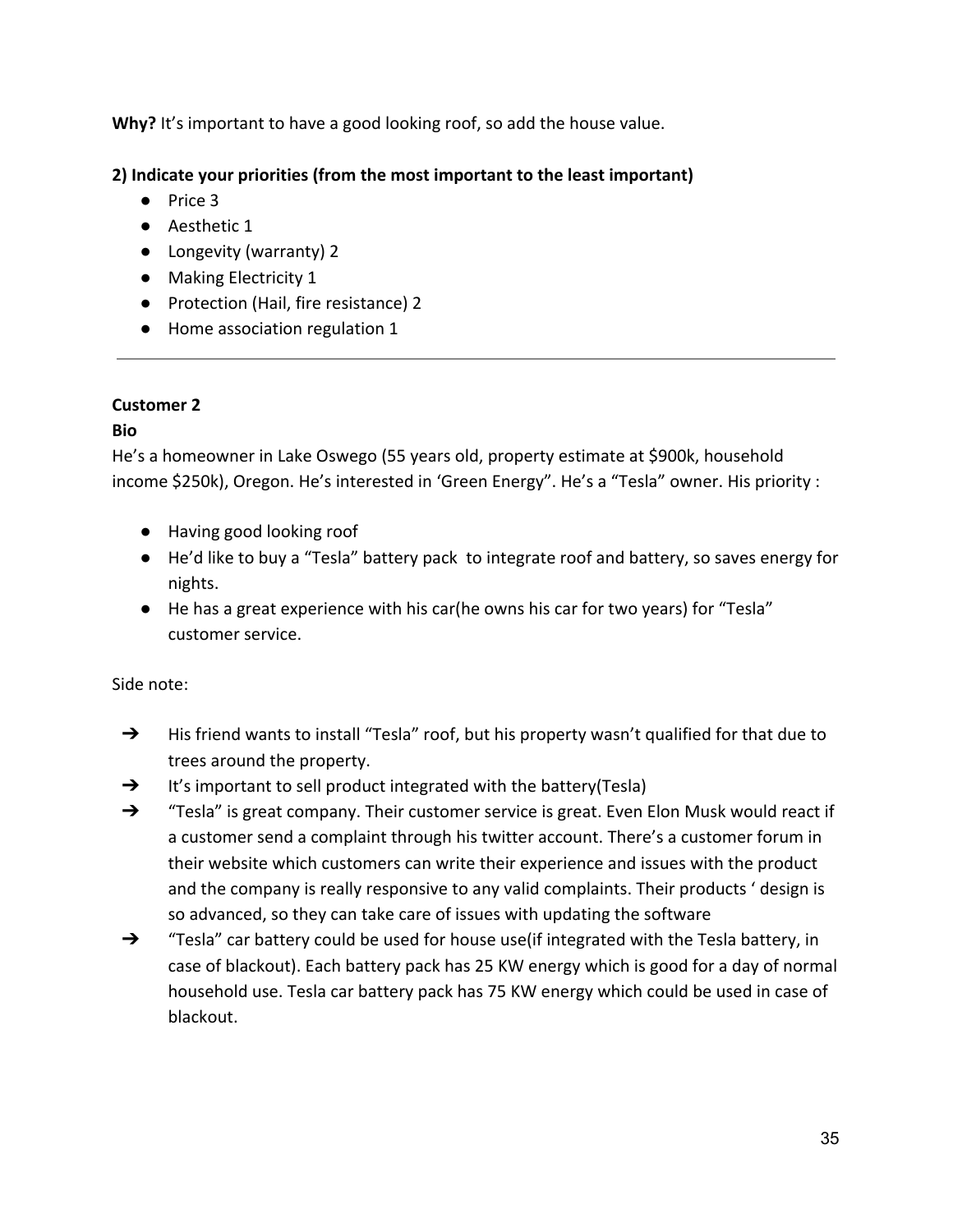Why? It's important to have a good looking roof, so add the house value.

## **2) Indicate your priorities (from the most important to the least important)**

- Price 3
- Aesthetic 1
- Longevity (warranty) 2
- Making Electricity 1
- Protection (Hail, fire resistance) 2
- Home association regulation 1

## **Customer 2**

## **Bio**

He's a homeowner in Lake Oswego (55 years old, property estimate at \$900k, household income \$250k), Oregon. He's interested in 'Green Energy". He's a "Tesla" owner. His priority :

- Having good looking roof
- He'd like to buy a "Tesla" battery pack to integrate roof and battery, so saves energy for nights.
- He has a great experience with his car(he owns his car for two years) for "Tesla" customer service.

Side note:

- → His friend wants to install "Tesla" roof, but his property wasn't qualified for that due to trees around the property.
- → It's important to sell product integrated with the battery(Tesla)
- ➔ "Tesla" is great company. Their customer service is great. Even Elon Musk would react if a customer send a complaint through his twitter account. There's a customer forum in their website which customers can write their experience and issues with the product and the company is really responsive to any valid complaints. Their products ' design is so advanced, so they can take care of issues with updating the software
- ➔ "Tesla" car battery could be used for house use(if integrated with the Tesla battery, in case of blackout). Each battery pack has 25 KW energy which is good for a day of normal household use. Tesla car battery pack has 75 KW energy which could be used in case of blackout.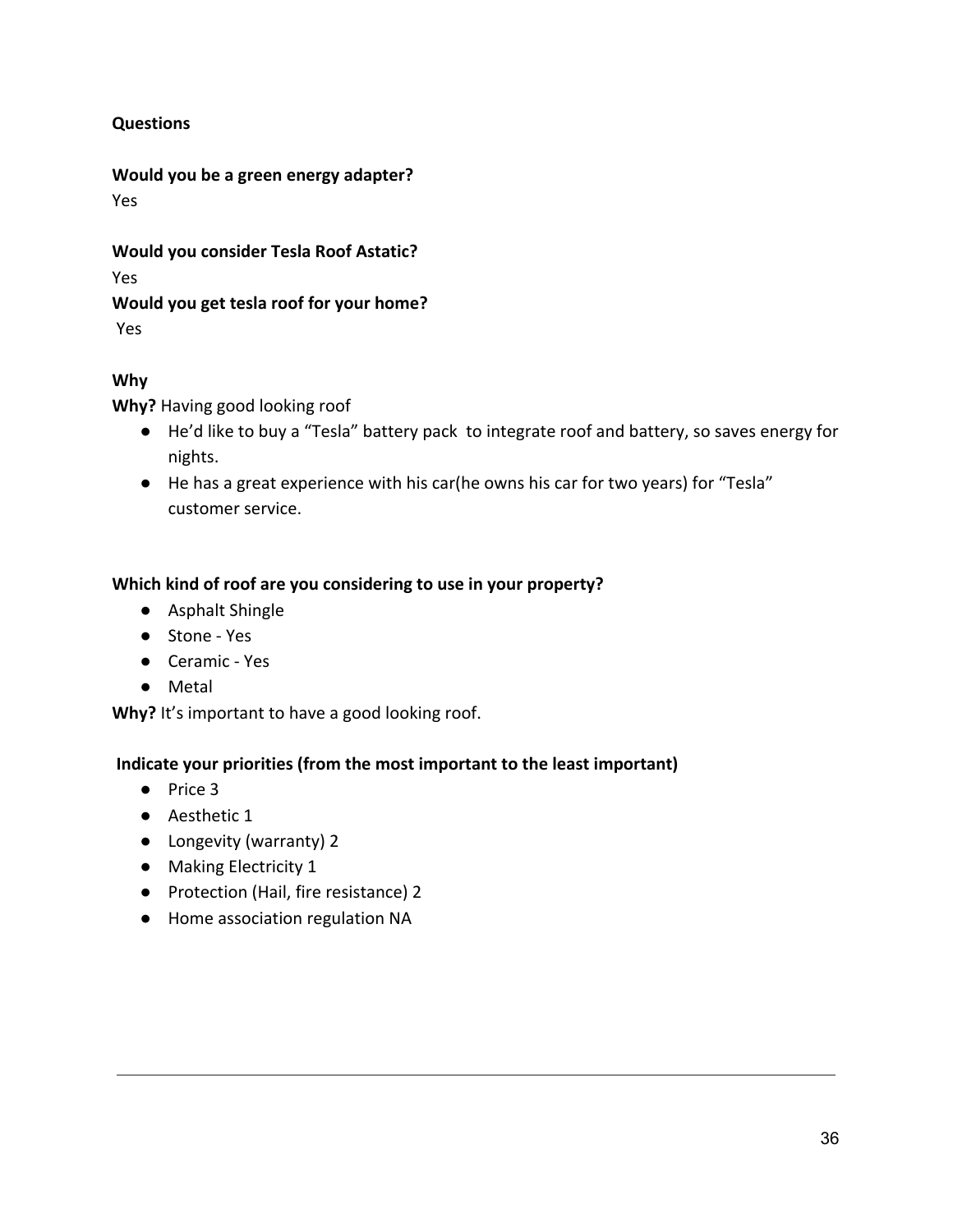#### **Questions**

**Would you be a green energy adapter?** Yes

**Would you consider Tesla Roof Astatic?**

Yes

## **Would you get tesla roof for your home?**

Yes

## **Why**

**Why?** Having good looking roof

- He'd like to buy a "Tesla" battery pack to integrate roof and battery, so saves energy for nights.
- He has a great experience with his car(he owns his car for two years) for "Tesla" customer service.

## **Which kind of roof are you considering to use in your property?**

- Asphalt Shingle
- Stone Yes
- Ceramic Yes
- Metal

**Why?** It's important to have a good looking roof.

- Price 3
- Aesthetic 1
- Longevity (warranty) 2
- Making Electricity 1
- Protection (Hail, fire resistance) 2
- Home association regulation NA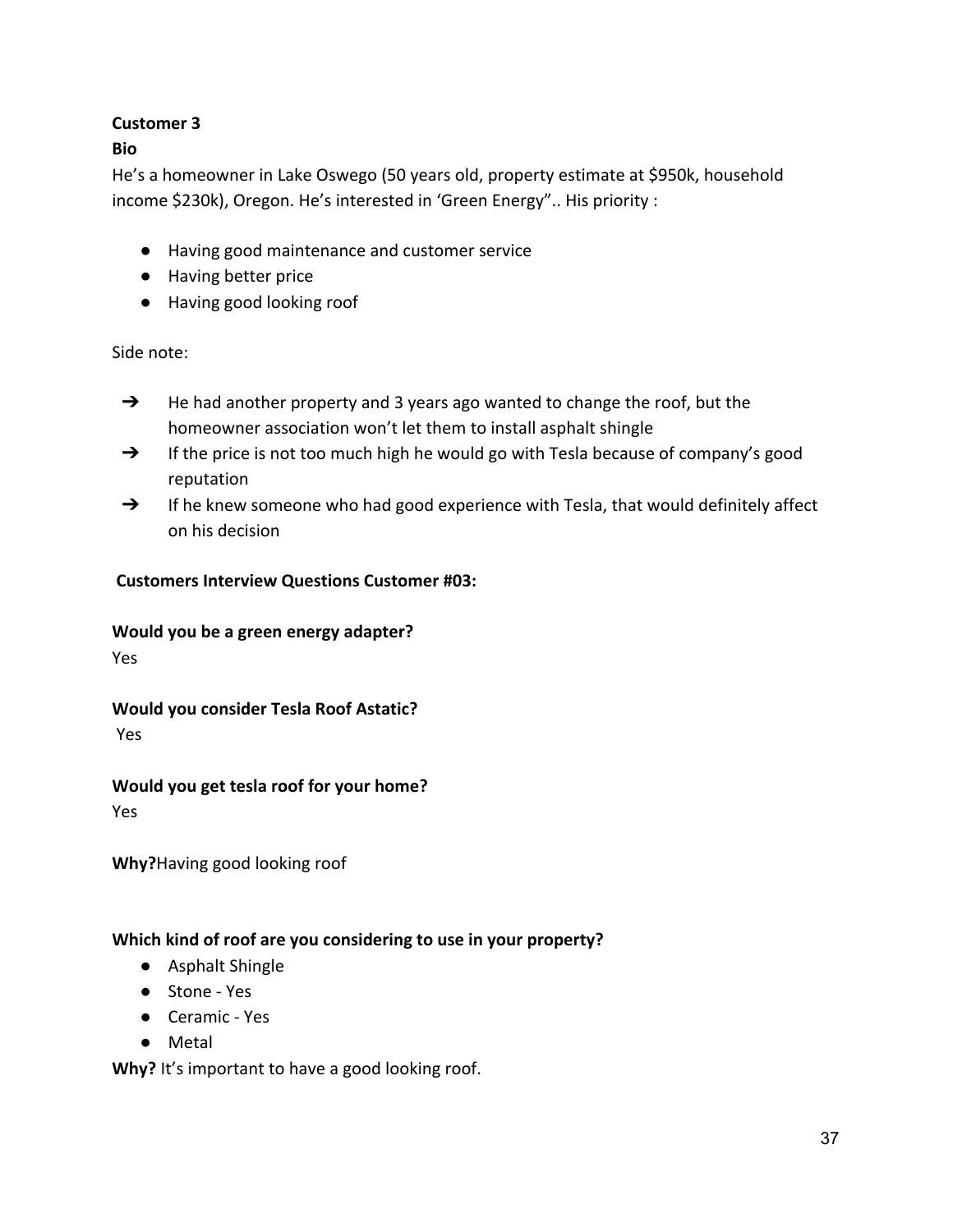#### **Bio**

He's a homeowner in Lake Oswego (50 years old, property estimate at \$950k, household income \$230k), Oregon. He's interested in 'Green Energy".. His priority :

- Having good maintenance and customer service
- Having better price
- Having good looking roof

Side note:

- → He had another property and 3 years ago wanted to change the roof, but the homeowner association won't let them to install asphalt shingle
- → If the price is not too much high he would go with Tesla because of company's good reputation
- → If he knew someone who had good experience with Tesla, that would definitely affect on his decision

#### **Customers Interview Questions Customer #03:**

#### **Would you be a green energy adapter?**

Yes

# **Would you consider Tesla Roof Astatic?**

Yes

#### **Would you get tesla roof for your home?**

Yes

**Why?**Having good looking roof

#### **Which kind of roof are you considering to use in your property?**

- Asphalt Shingle
- Stone Yes
- Ceramic Yes
- Metal

**Why?** It's important to have a good looking roof.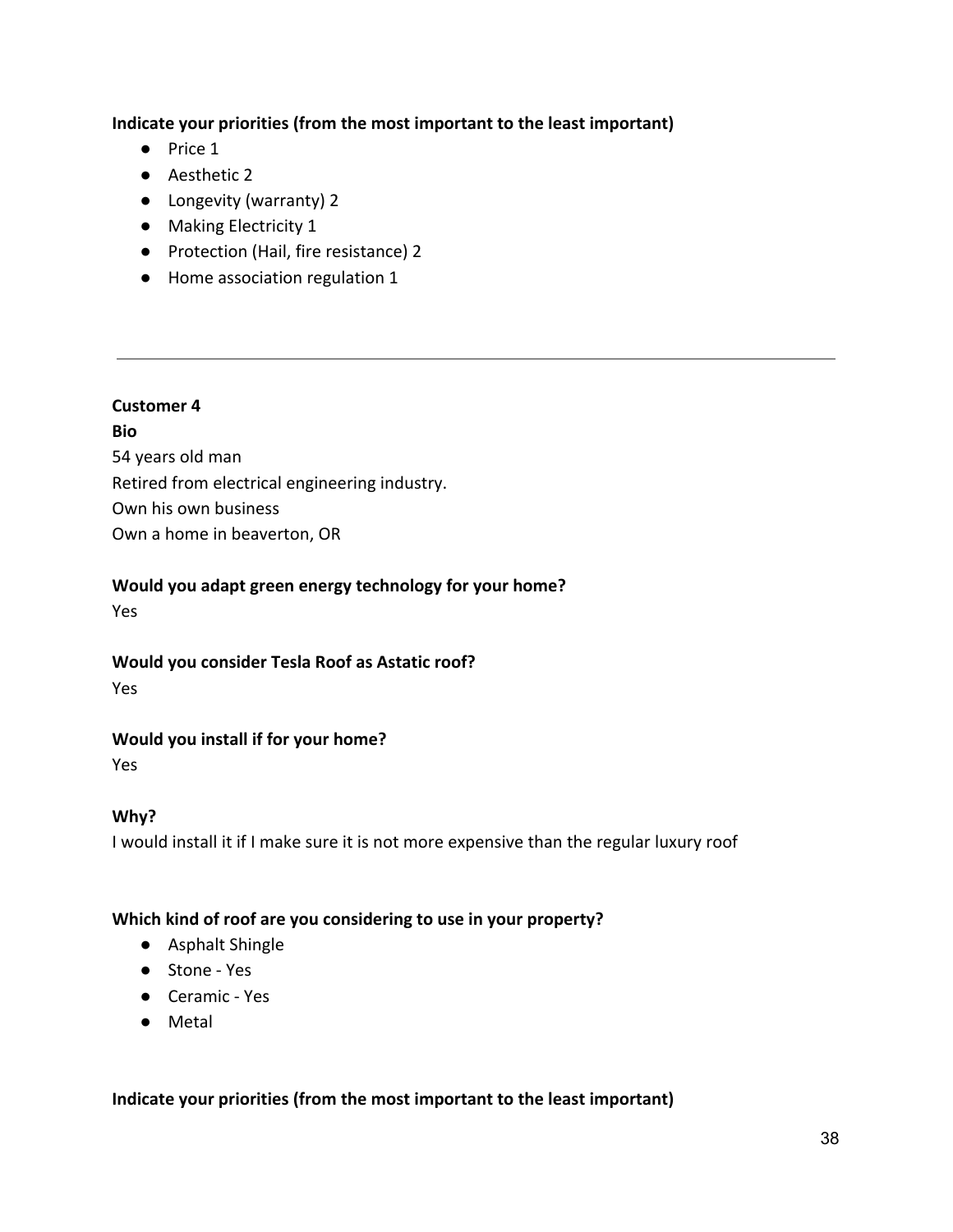#### **Indicate your priorities (from the most important to the least important)**

- Price 1
- Aesthetic 2
- Longevity (warranty) 2
- Making Electricity 1
- Protection (Hail, fire resistance) 2
- Home association regulation 1

#### **Customer 4**

**Bio** 54 years old man Retired from electrical engineering industry. Own his own business Own a home in beaverton, OR

#### **Would you adapt green energy technology for your home?**

Yes

## **Would you consider Tesla Roof as Astatic roof?**

Yes

## **Would you install if for your home?**

Yes

## **Why?**

I would install it if I make sure it is not more expensive than the regular luxury roof

#### **Which kind of roof are you considering to use in your property?**

- Asphalt Shingle
- Stone Yes
- Ceramic Yes
- Metal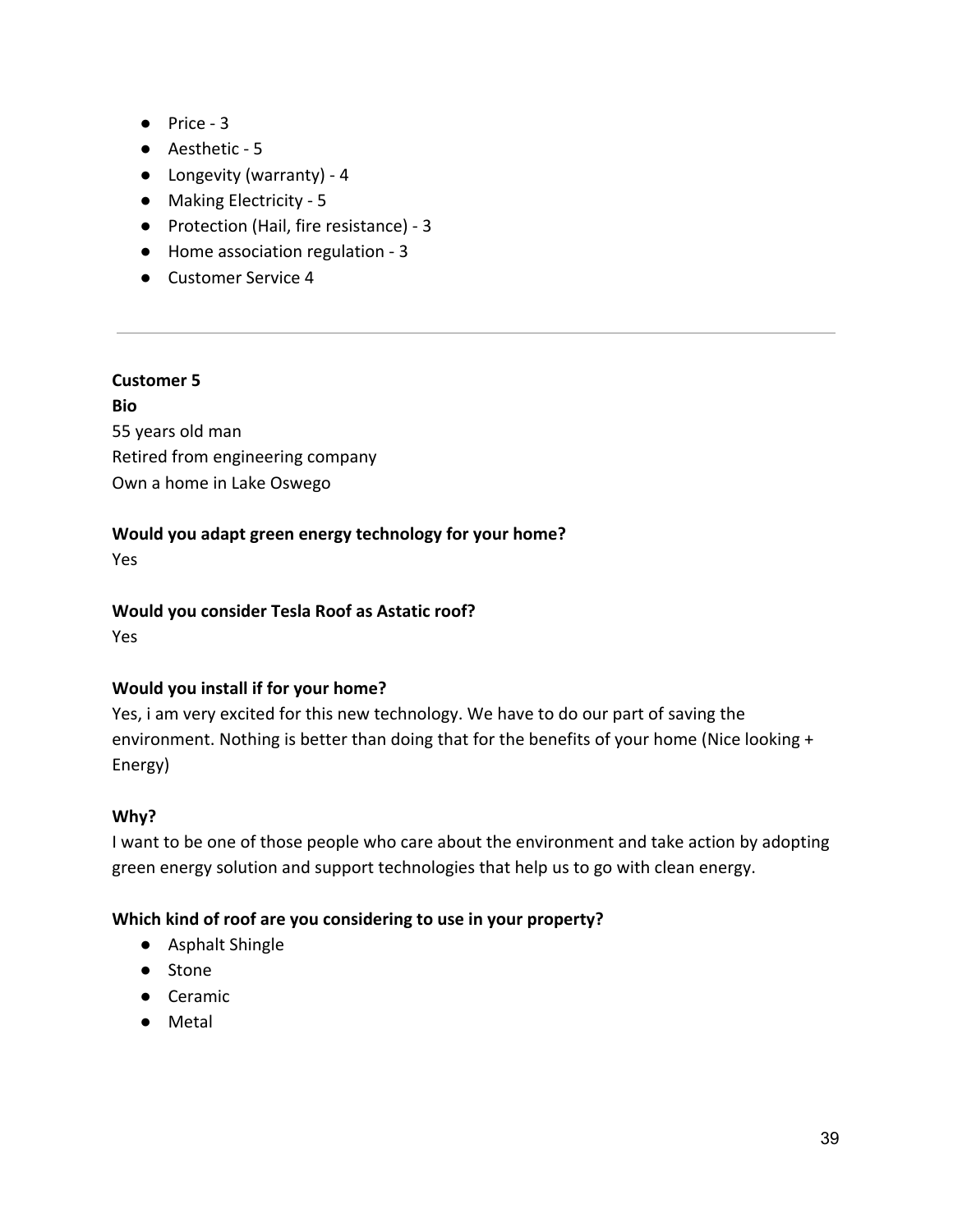- Price 3
- Aesthetic 5
- Longevity (warranty) 4
- Making Electricity 5
- Protection (Hail, fire resistance) 3
- Home association regulation 3
- Customer Service 4

**Bio**

55 years old man Retired from engineering company Own a home in Lake Oswego

#### **Would you adapt green energy technology for your home?**

Yes

#### **Would you consider Tesla Roof as Astatic roof?**

Yes

#### **Would you install if for your home?**

Yes, i am very excited for this new technology. We have to do our part of saving the environment. Nothing is better than doing that for the benefits of your home (Nice looking + Energy)

#### **Why?**

I want to be one of those people who care about the environment and take action by adopting green energy solution and support technologies that help us to go with clean energy.

#### **Which kind of roof are you considering to use in your property?**

- Asphalt Shingle
- Stone
- Ceramic
- Metal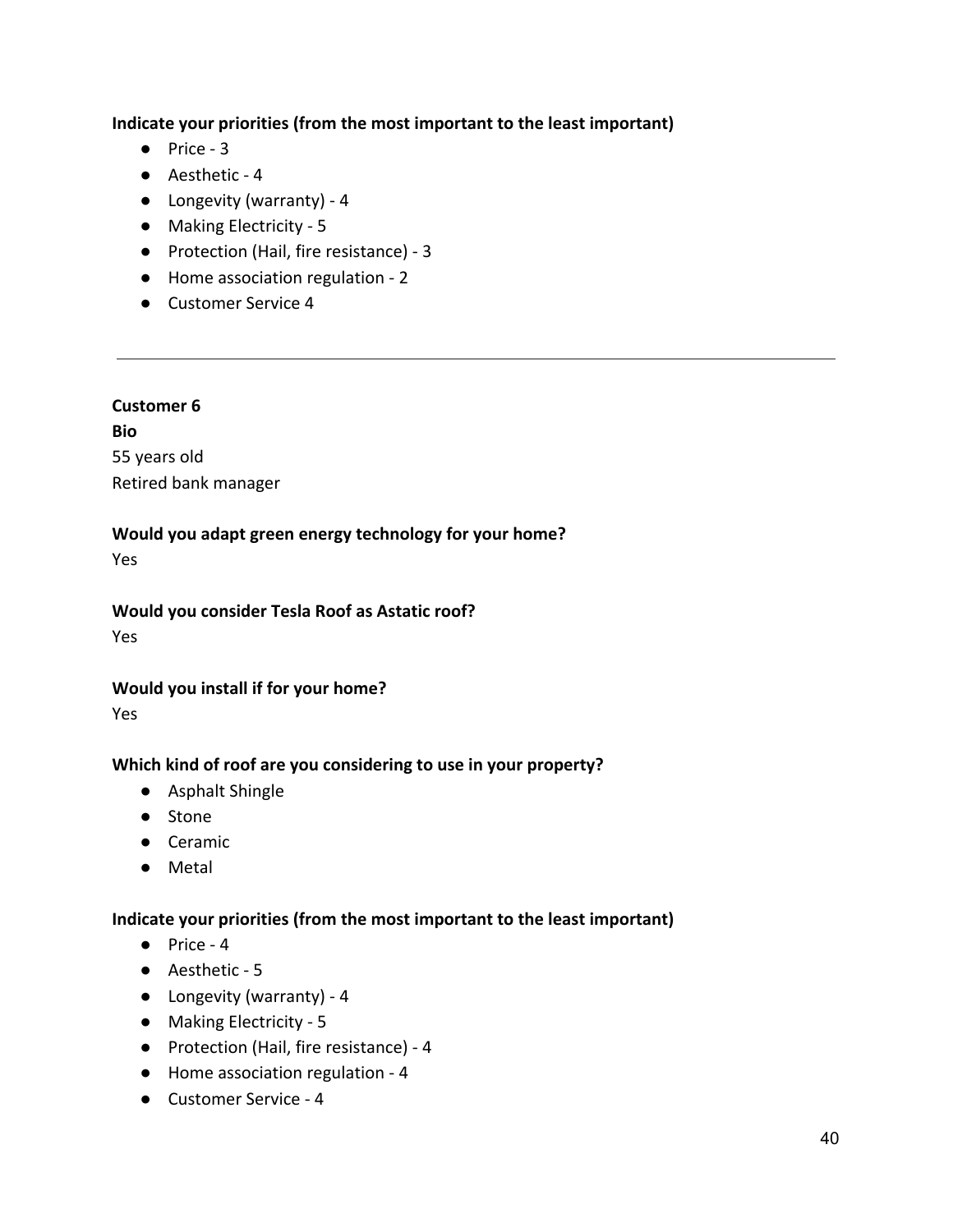#### **Indicate your priorities (from the most important to the least important)**

- Price 3
- Aesthetic 4
- Longevity (warranty) 4
- Making Electricity 5
- Protection (Hail, fire resistance) 3
- Home association regulation 2
- Customer Service 4

#### **Customer 6**

**Bio** 55 years old Retired bank manager

#### **Would you adapt green energy technology for your home?**

Yes

#### **Would you consider Tesla Roof as Astatic roof?**

Yes

#### **Would you install if for your home?**

Yes

#### **Which kind of roof are you considering to use in your property?**

- Asphalt Shingle
- Stone
- Ceramic
- Metal

- Price 4
- Aesthetic 5
- Longevity (warranty) 4
- Making Electricity 5
- Protection (Hail, fire resistance) 4
- Home association regulation 4
- Customer Service 4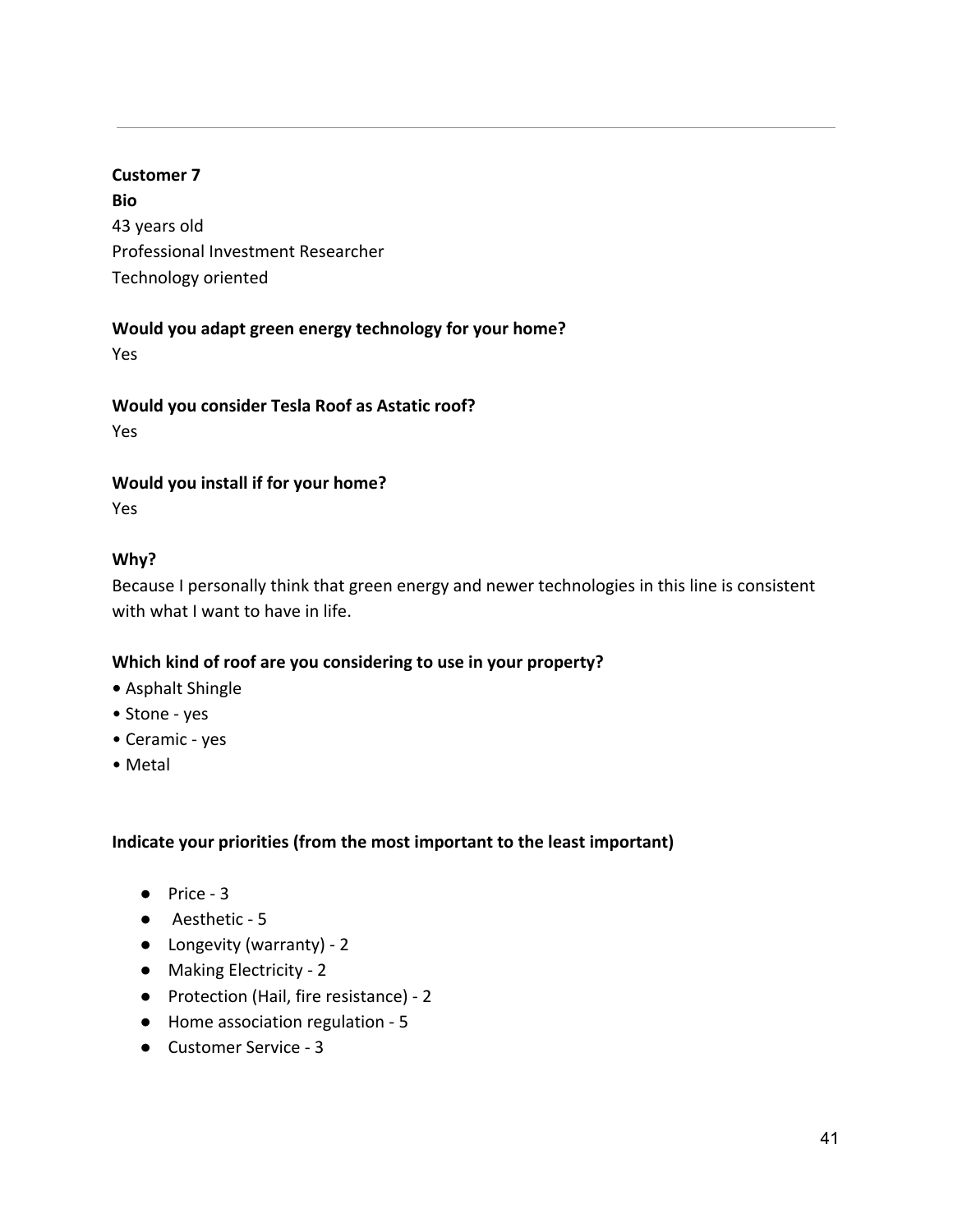**Bio** 43 years old Professional Investment Researcher Technology oriented

#### **Would you adapt green energy technology for your home?**

Yes

**Would you consider Tesla Roof as Astatic roof?**

Yes

#### **Would you install if for your home?**

Yes

## **Why?**

Because I personally think that green energy and newer technologies in this line is consistent with what I want to have in life.

## **Which kind of roof are you considering to use in your property?**

- Asphalt Shingle
- Stone yes
- Ceramic yes
- Metal

- Price 3
- Aesthetic 5
- Longevity (warranty) 2
- Making Electricity 2
- Protection (Hail, fire resistance) 2
- Home association regulation 5
- Customer Service 3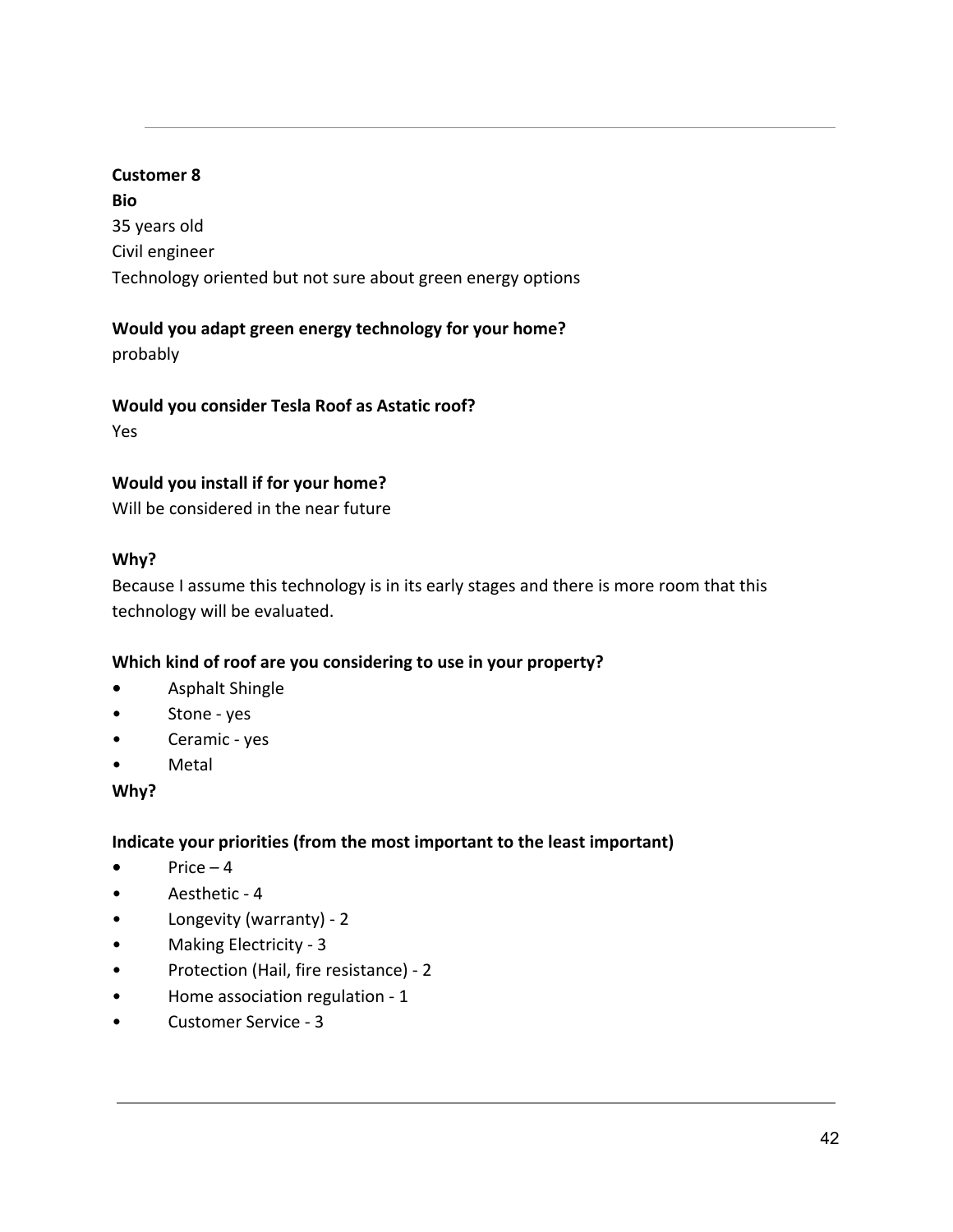**Bio** 35 years old Civil engineer Technology oriented but not sure about green energy options

# **Would you adapt green energy technology for your home?**

probably

## **Would you consider Tesla Roof as Astatic roof?**

Yes

## **Would you install if for your home?**

Will be considered in the near future

# **Why?**

Because I assume this technology is in its early stages and there is more room that this technology will be evaluated.

# **Which kind of roof are you considering to use in your property?**

- **•** Asphalt Shingle
- Stone yes
- Ceramic yes
- Metal

## **Why?**

- $\bullet$  Price 4
- Aesthetic 4
- Longevity (warranty) 2
- Making Electricity 3
- Protection (Hail, fire resistance) 2
- Home association regulation 1
- Customer Service 3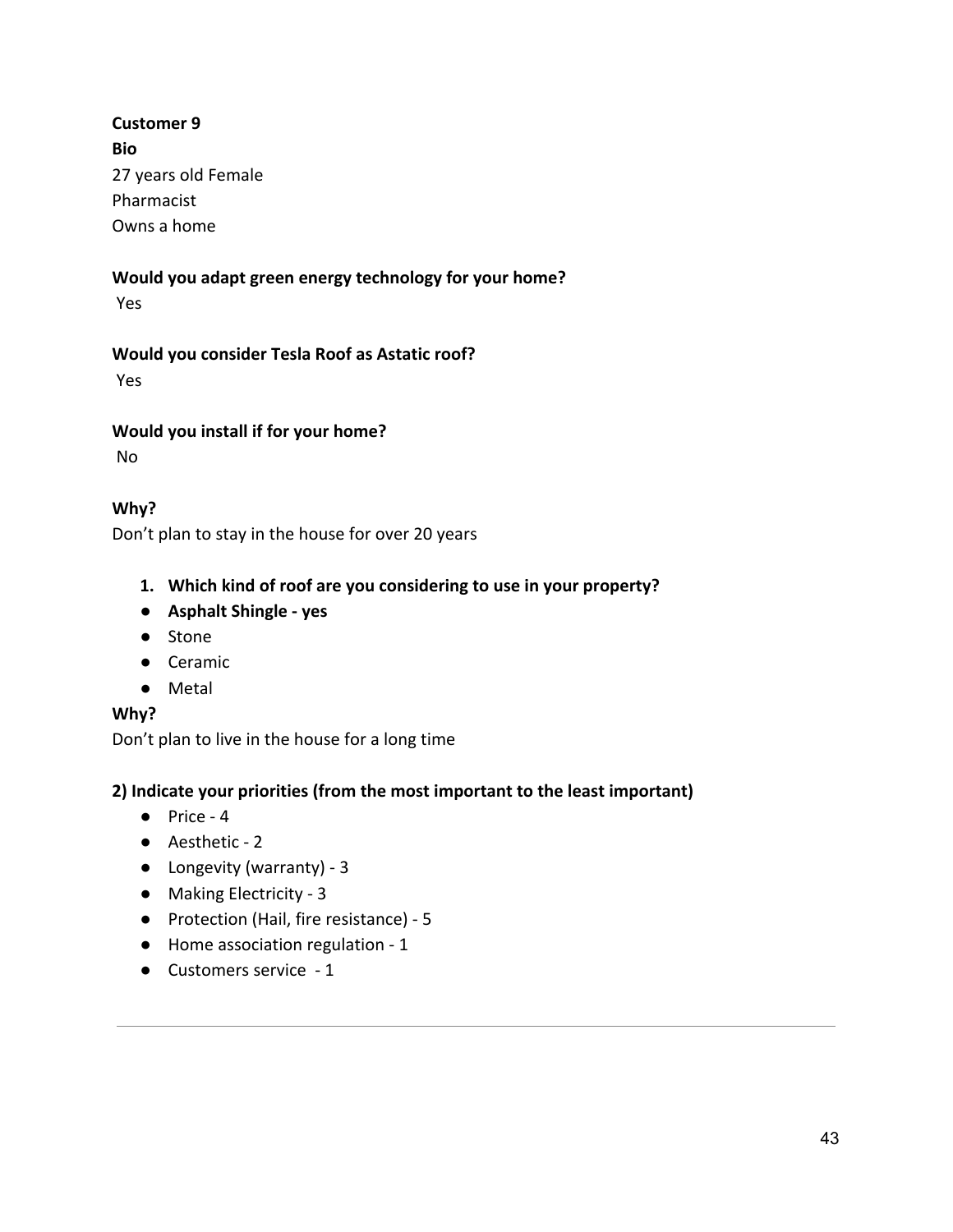**Bio** 27 years old Female Pharmacist Owns a home

# **Would you adapt green energy technology for your home?**

Yes

## **Would you consider Tesla Roof as Astatic roof?**

Yes

## **Would you install if for your home?**

No

# **Why?**

Don't plan to stay in the house for over 20 years

- **1. Which kind of roof are you considering to use in your property?**
- **Asphalt Shingle yes**
- Stone
- Ceramic
- Metal

## **Why?**

Don't plan to live in the house for a long time

- Price 4
- Aesthetic 2
- Longevity (warranty) 3
- Making Electricity 3
- Protection (Hail, fire resistance) 5
- Home association regulation 1
- Customers service 1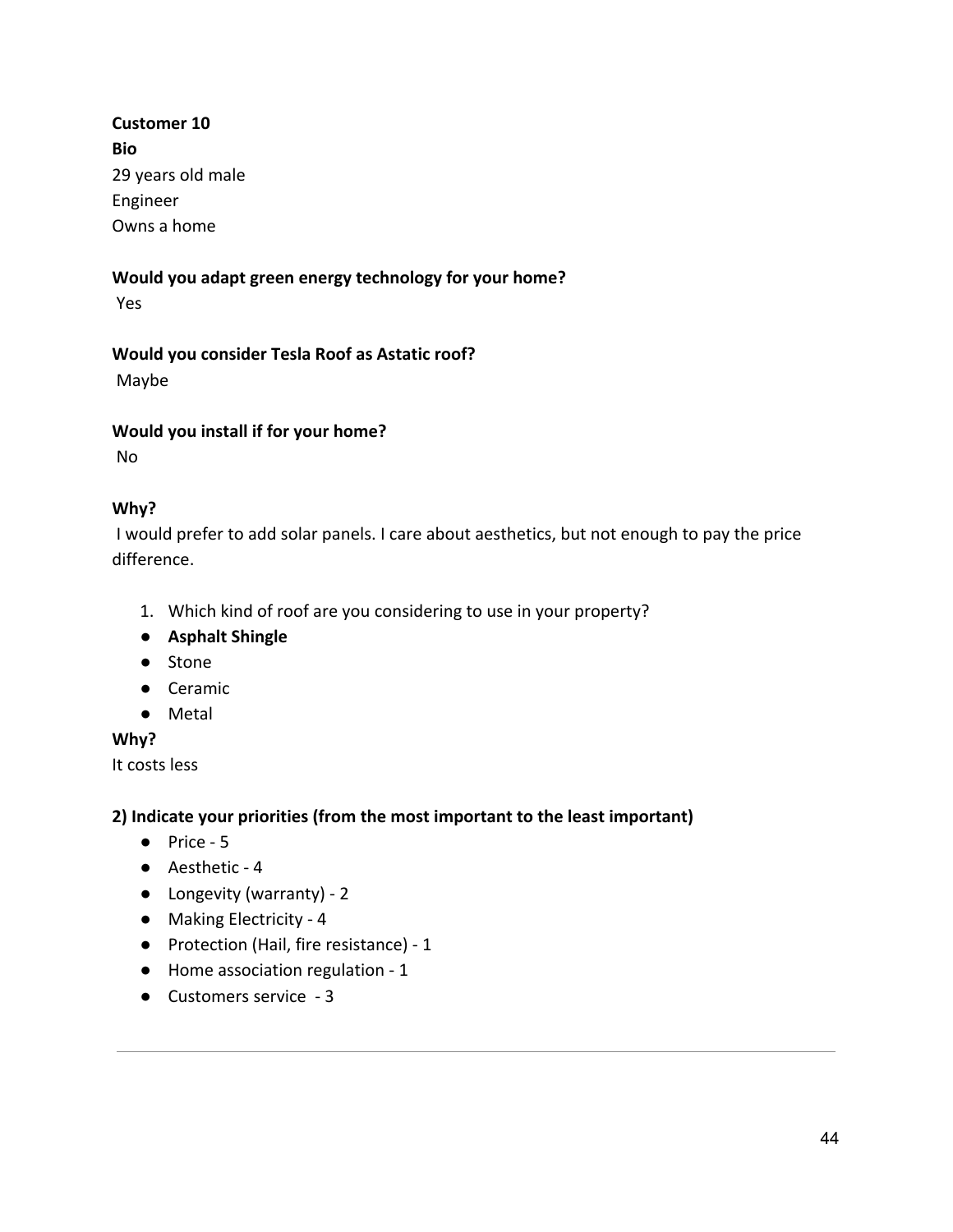**Customer 10 Bio** 29 years old male Engineer Owns a home

# **Would you adapt green energy technology for your home?**

Yes

**Would you consider Tesla Roof as Astatic roof?**

Maybe

#### **Would you install if for your home?**

No

## **Why?**

 I would prefer to add solar panels. I care about aesthetics, but not enough to pay the price difference.

- 1. Which kind of roof are you considering to use in your property?
- **Asphalt Shingle**
- Stone
- Ceramic
- Metal

## **Why?**

It costs less

- Price 5
- Aesthetic 4
- Longevity (warranty) 2
- Making Electricity 4
- Protection (Hail, fire resistance) 1
- Home association regulation 1
- Customers service 3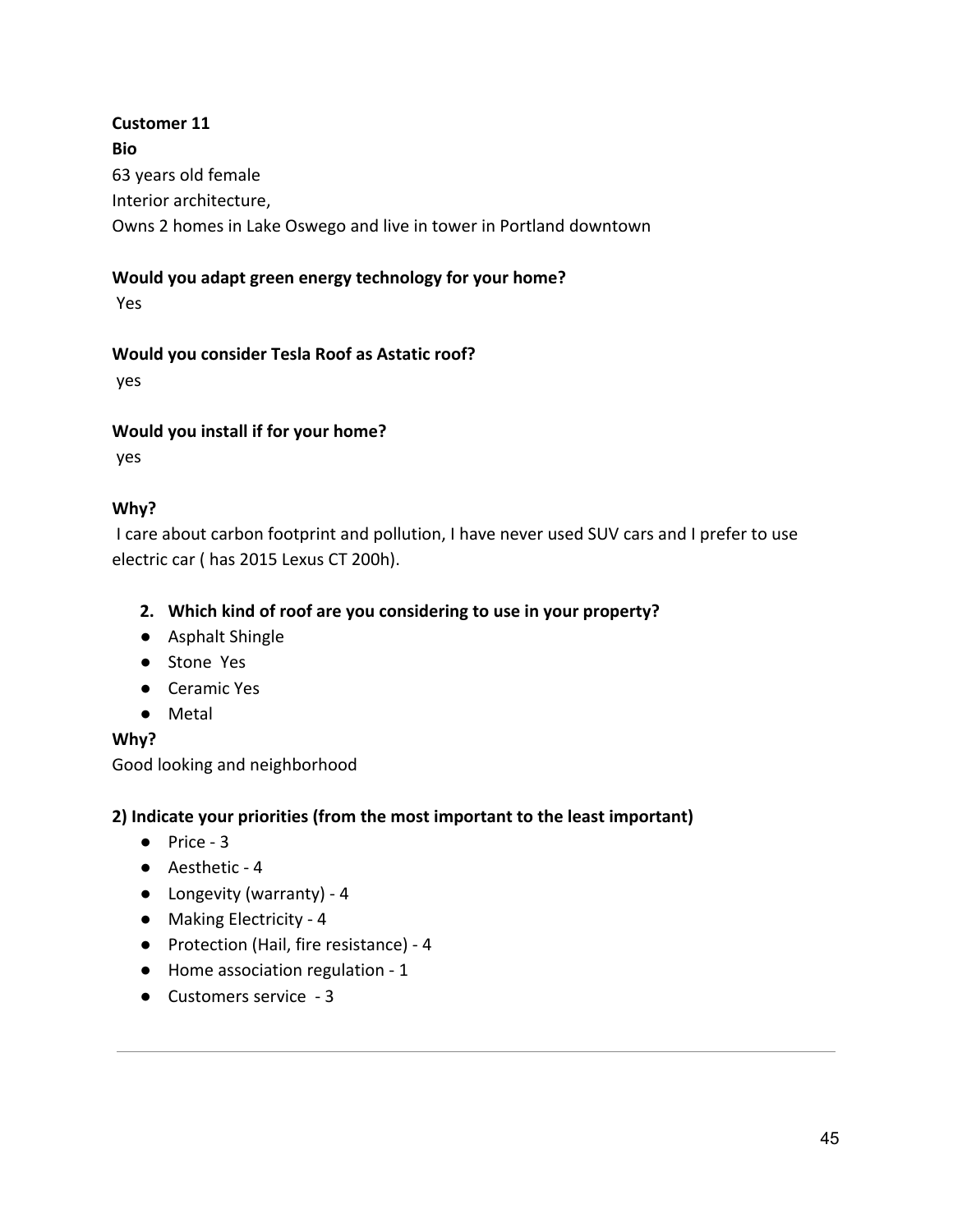# **Customer 11 Bio** 63 years old female Interior architecture, Owns 2 homes in Lake Oswego and live in tower in Portland downtown

## **Would you adapt green energy technology for your home?**

Yes

#### **Would you consider Tesla Roof as Astatic roof?**

yes

#### **Would you install if for your home?**

yes

## **Why?**

 I care about carbon footprint and pollution, I have never used SUV cars and I prefer to use electric car ( has 2015 Lexus CT 200h).

#### **2. Which kind of roof are you considering to use in your property?**

- Asphalt Shingle
- Stone Yes
- Ceramic Yes
- Metal

## **Why?**

Good looking and neighborhood

- Price 3
- Aesthetic 4
- Longevity (warranty) 4
- Making Electricity 4
- Protection (Hail, fire resistance) 4
- Home association regulation 1
- Customers service 3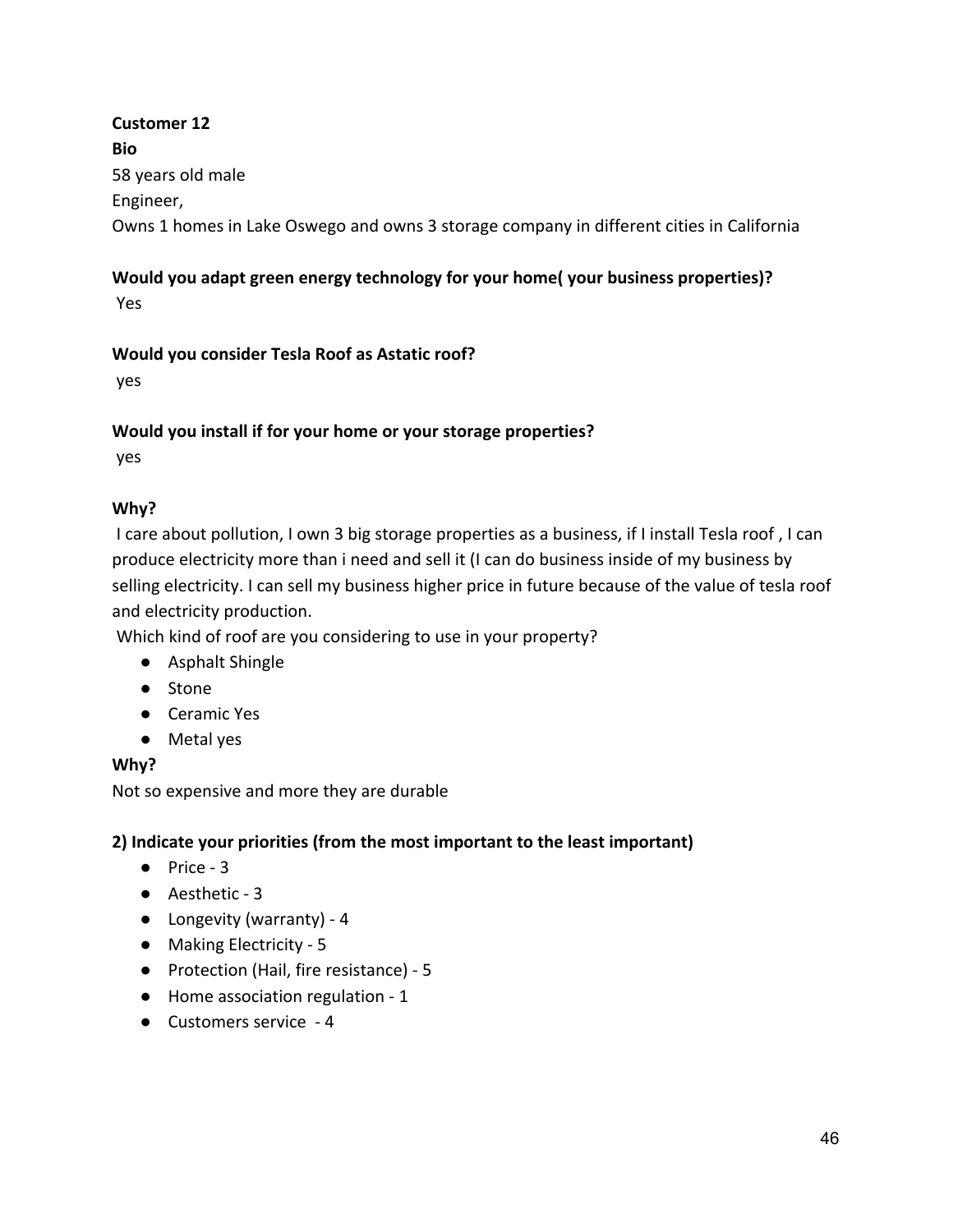**Customer 12 Bio** 58 years old male Engineer, Owns 1 homes in Lake Oswego and owns 3 storage company in different cities in California

# **Would you adapt green energy technology for your home( your business properties)?**

Yes

#### **Would you consider Tesla Roof as Astatic roof?**

yes

#### **Would you install if for your home or your storage properties?**

yes

## **Why?**

 I care about pollution, I own 3 big storage properties as a business, if I install Tesla roof , I can produce electricity more than i need and sell it (I can do business inside of my business by selling electricity. I can sell my business higher price in future because of the value of tesla roof and electricity production.

Which kind of roof are you considering to use in your property?

- Asphalt Shingle
- Stone
- Ceramic Yes
- Metal yes

## **Why?**

Not so expensive and more they are durable

- Price 3
- Aesthetic 3
- Longevity (warranty) 4
- Making Electricity 5
- Protection (Hail, fire resistance) 5
- Home association regulation 1
- Customers service 4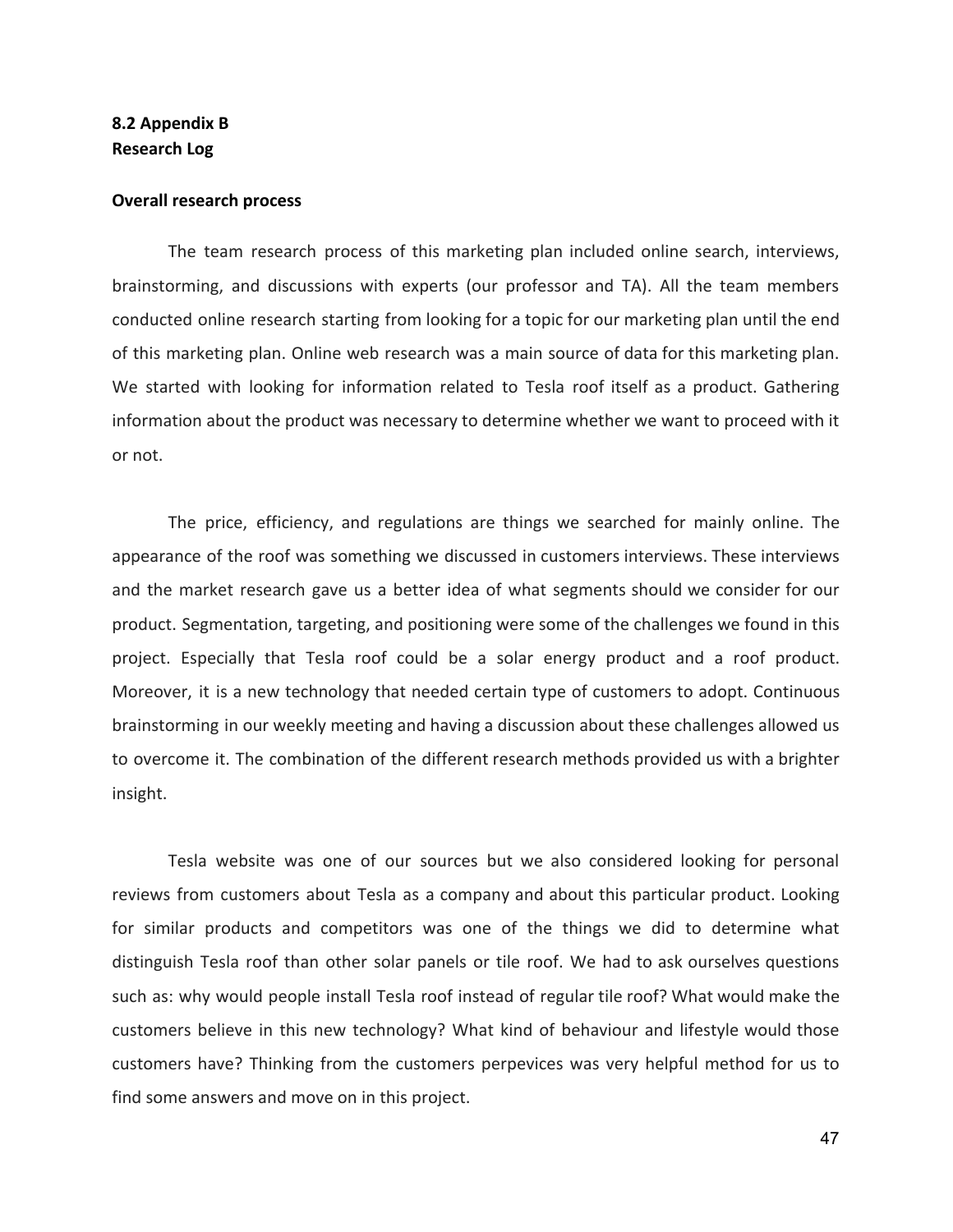#### **8.2 Appendix B Research Log**

#### **Overall research process**

The team research process of this marketing plan included online search, interviews, brainstorming, and discussions with experts (our professor and TA). All the team members conducted online research starting from looking for a topic for our marketing plan until the end of this marketing plan. Online web research was a main source of data for this marketing plan. We started with looking for information related to Tesla roof itself as a product. Gathering information about the product was necessary to determine whether we want to proceed with it or not.

The price, efficiency, and regulations are things we searched for mainly online. The appearance of the roof was something we discussed in customers interviews. These interviews and the market research gave us a better idea of what segments should we consider for our product. Segmentation, targeting, and positioning were some of the challenges we found in this project. Especially that Tesla roof could be a solar energy product and a roof product. Moreover, it is a new technology that needed certain type of customers to adopt. Continuous brainstorming in our weekly meeting and having a discussion about these challenges allowed us to overcome it. The combination of the different research methods provided us with a brighter insight.

Tesla website was one of our sources but we also considered looking for personal reviews from customers about Tesla as a company and about this particular product. Looking for similar products and competitors was one of the things we did to determine what distinguish Tesla roof than other solar panels or tile roof. We had to ask ourselves questions such as: why would people install Tesla roof instead of regular tile roof? What would make the customers believe in this new technology? What kind of behaviour and lifestyle would those customers have? Thinking from the customers perpevices was very helpful method for us to find some answers and move on in this project.

47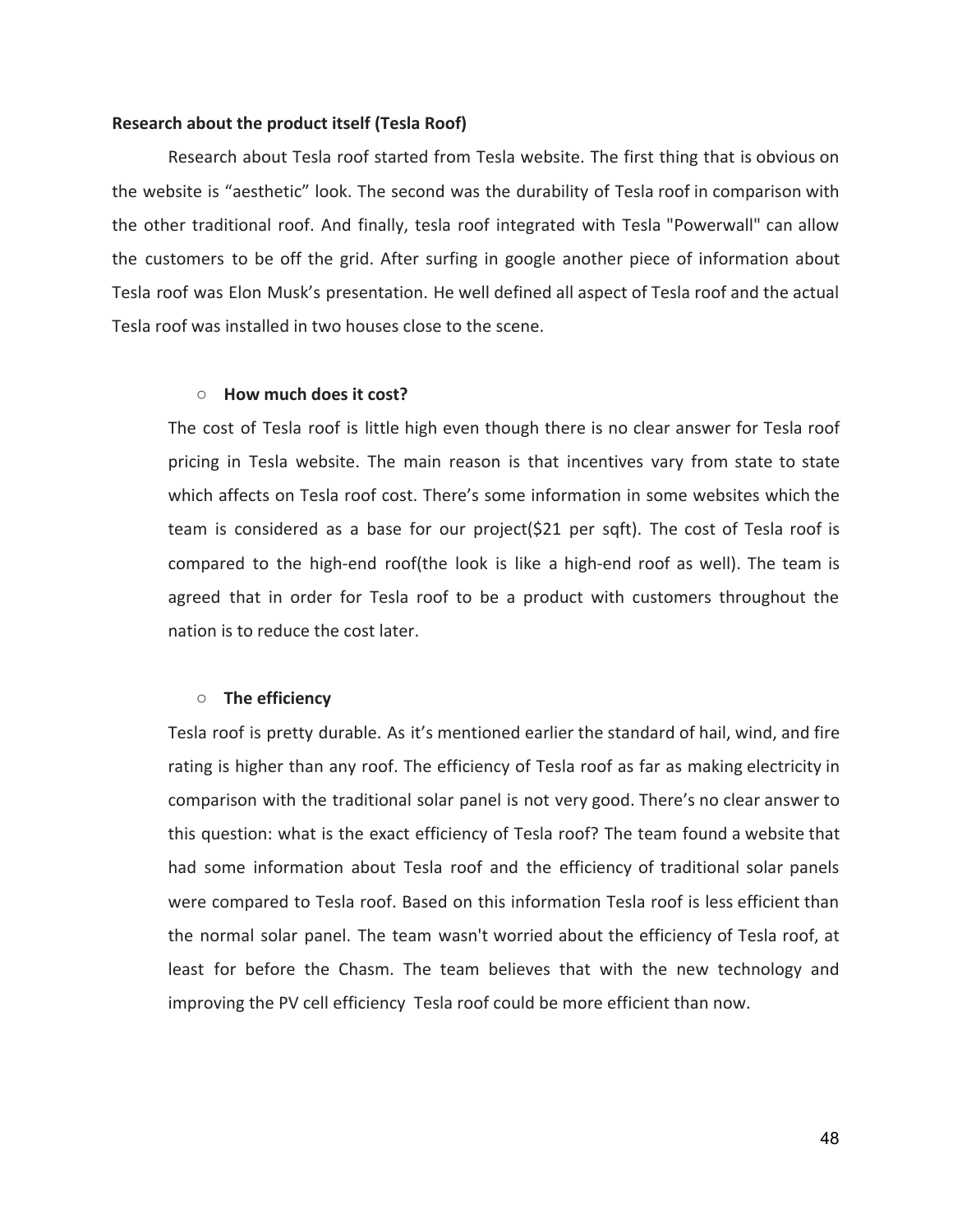#### **Research about the product itself (Tesla Roof)**

Research about Tesla roof started from Tesla website. The first thing that is obvious on the website is "aesthetic" look. The second was the durability of Tesla roof in comparison with the other traditional roof. And finally, tesla roof integrated with Tesla "Powerwall" can allow the customers to be off the grid. After surfing in google another piece of information about Tesla roof was Elon Musk's presentation. He well defined all aspect of Tesla roof and the actual Tesla roof was installed in two houses close to the scene.

#### **○ How much does it cost?**

The cost of Tesla roof is little high even though there is no clear answer for Tesla roof pricing in Tesla website. The main reason is that incentives vary from state to state which affects on Tesla roof cost. There's some information in some websites which the team is considered as a base for our project(\$21 per sqft). The cost of Tesla roof is compared to the high-end roof(the look is like a high-end roof as well). The team is agreed that in order for Tesla roof to be a product with customers throughout the nation is to reduce the cost later.

#### **○ The efficiency**

Tesla roof is pretty durable. As it's mentioned earlier the standard of hail, wind, and fire rating is higher than any roof. The efficiency of Tesla roof as far as making electricity in comparison with the traditional solar panel is not very good. There's no clear answer to this question: what is the exact efficiency of Tesla roof? The team found a website that had some information about Tesla roof and the efficiency of traditional solar panels were compared to Tesla roof. Based on this information Tesla roof is less efficient than the normal solar panel. The team wasn't worried about the efficiency of Tesla roof, at least for before the Chasm. The team believes that with the new technology and improving the PV cell efficiency Tesla roof could be more efficient than now.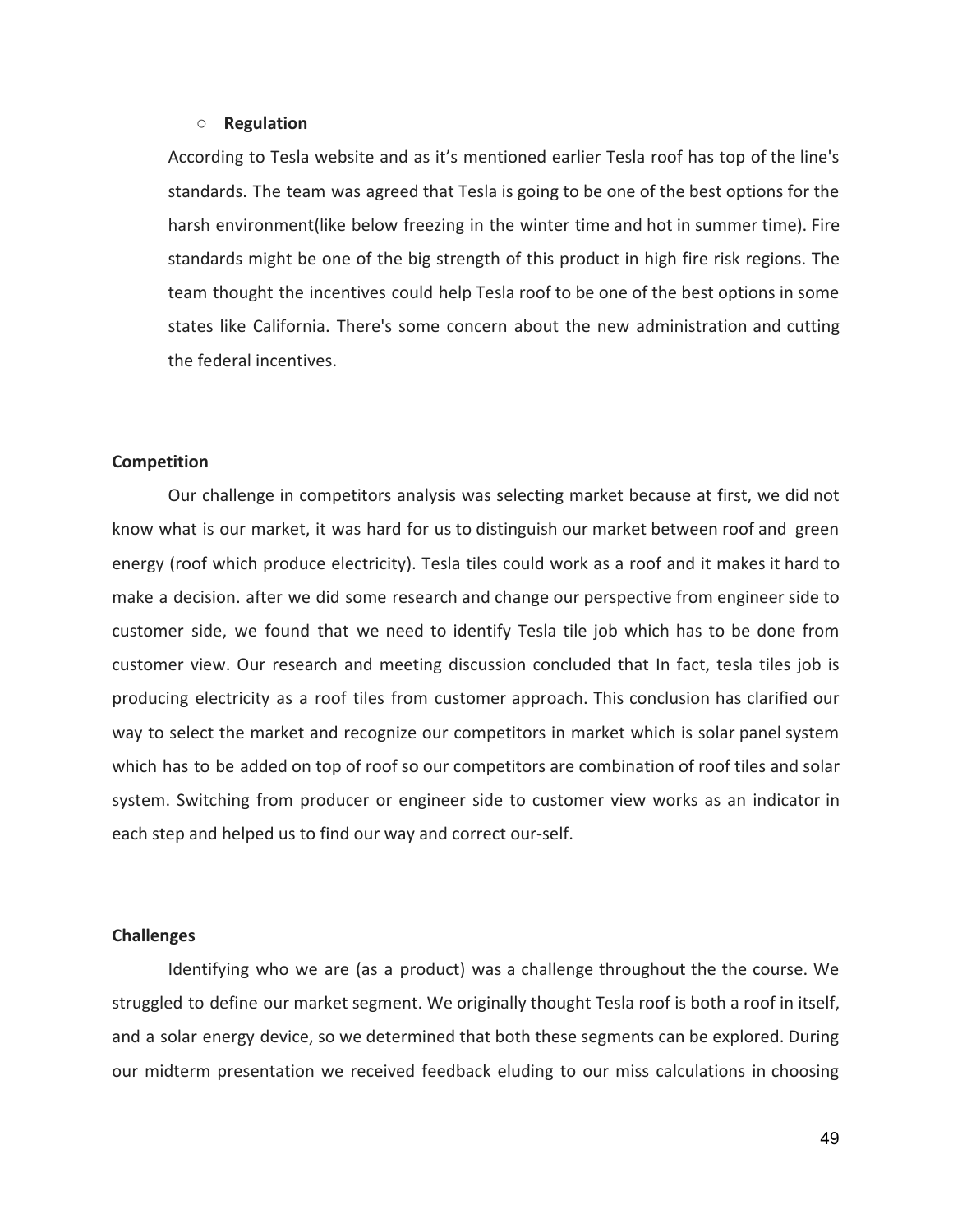#### **○ Regulation**

According to Tesla website and as it's mentioned earlier Tesla roof has top of the line's standards. The team was agreed that Tesla is going to be one of the best options for the harsh environment(like below freezing in the winter time and hot in summer time). Fire standards might be one of the big strength of this product in high fire risk regions. The team thought the incentives could help Tesla roof to be one of the best options in some states like California. There's some concern about the new administration and cutting the federal incentives.

#### **Competition**

Our challenge in competitors analysis was selecting market because at first, we did not know what is our market, it was hard for us to distinguish our market between roof and green energy (roof which produce electricity). Tesla tiles could work as a roof and it makes it hard to make a decision. after we did some research and change our perspective from engineer side to customer side, we found that we need to identify Tesla tile job which has to be done from customer view. Our research and meeting discussion concluded that In fact, tesla tiles job is producing electricity as a roof tiles from customer approach. This conclusion has clarified our way to select the market and recognize our competitors in market which is solar panel system which has to be added on top of roof so our competitors are combination of roof tiles and solar system. Switching from producer or engineer side to customer view works as an indicator in each step and helped us to find our way and correct our-self.

#### **Challenges**

Identifying who we are (as a product) was a challenge throughout the the course. We struggled to define our market segment. We originally thought Tesla roof is both a roof in itself, and a solar energy device, so we determined that both these segments can be explored. During our midterm presentation we received feedback eluding to our miss calculations in choosing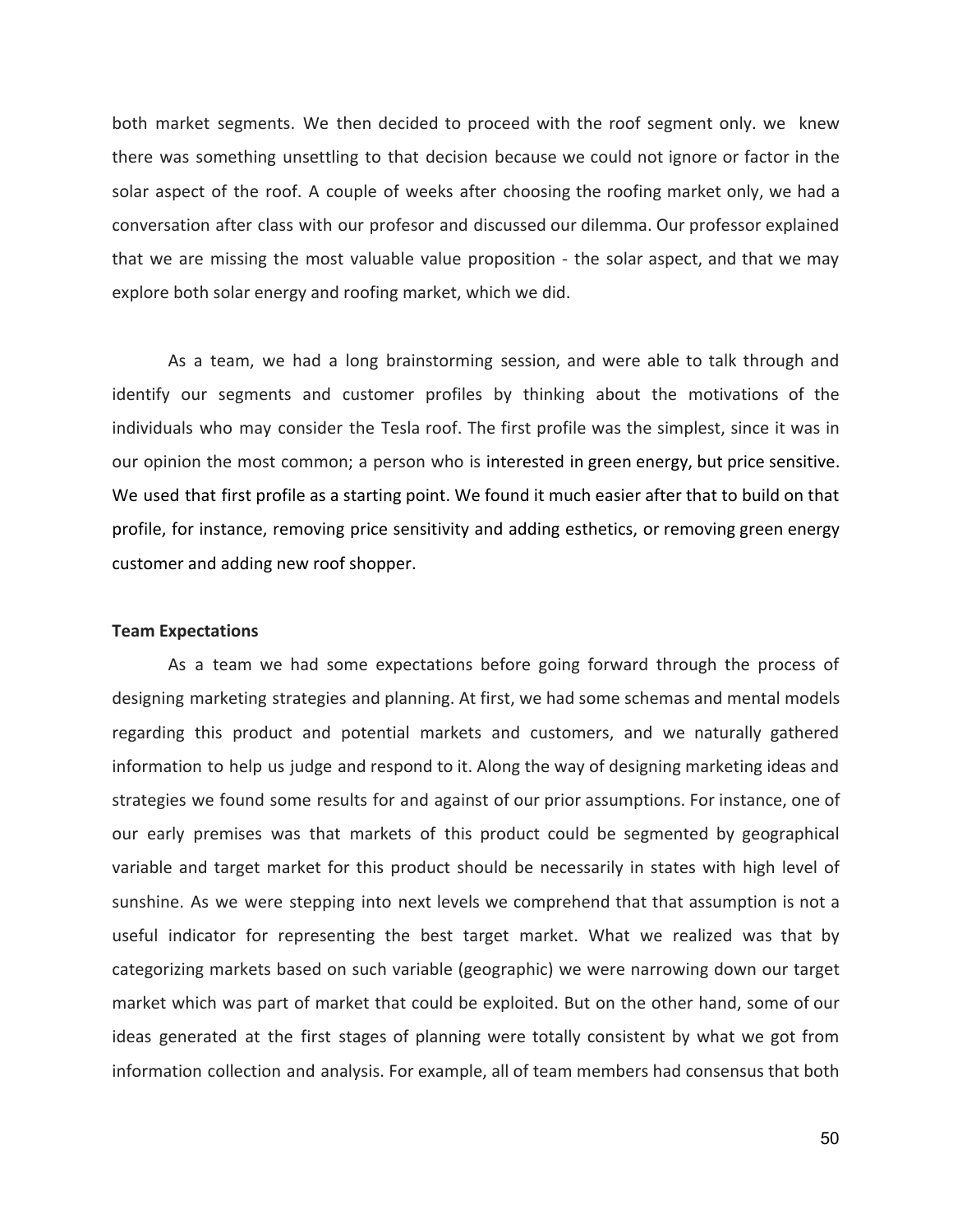both market segments. We then decided to proceed with the roof segment only. we knew there was something unsettling to that decision because we could not ignore or factor in the solar aspect of the roof. A couple of weeks after choosing the roofing market only, we had a conversation after class with our profesor and discussed our dilemma. Our professor explained that we are missing the most valuable value proposition - the solar aspect, and that we may explore both solar energy and roofing market, which we did.

As a team, we had a long brainstorming session, and were able to talk through and identify our segments and customer profiles by thinking about the motivations of the individuals who may consider the Tesla roof. The first profile was the simplest, since it was in our opinion the most common; a person who is interested in green energy, but price sensitive. We used that first profile as a starting point. We found it much easier after that to build on that profile, for instance, removing price sensitivity and adding esthetics, or removing green energy customer and adding new roof shopper.

#### **Team Expectations**

As a team we had some expectations before going forward through the process of designing marketing strategies and planning. At first, we had some schemas and mental models regarding this product and potential markets and customers, and we naturally gathered information to help us judge and respond to it. Along the way of designing marketing ideas and strategies we found some results for and against of our prior assumptions. For instance, one of our early premises was that markets of this product could be segmented by geographical variable and target market for this product should be necessarily in states with high level of sunshine. As we were stepping into next levels we comprehend that that assumption is not a useful indicator for representing the best target market. What we realized was that by categorizing markets based on such variable (geographic) we were narrowing down our target market which was part of market that could be exploited. But on the other hand, some of our ideas generated at the first stages of planning were totally consistent by what we got from information collection and analysis. For example, all of team members had consensus that both